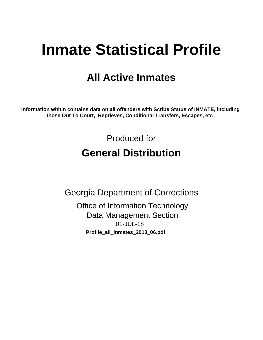# **Inmate Statistical Profile**

## **All Active Inmates**

Information within contains data on all offenders with Scribe Status of INMATE, including those Out To Court, Reprieves, Conditional Transfers, Escapes, etc

> Produced for **General Distribution**

**Georgia Department of Corrections Office of Information Technology Data Management Section** 01-JUL-18 Profile\_all\_inmates\_2018\_06.pdf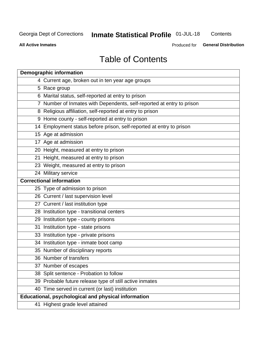## Inmate Statistical Profile 01-JUL-18

Contents

**All Active Inmates** 

Produced for General Distribution

## **Table of Contents**

| <b>Demographic information</b>                                        |
|-----------------------------------------------------------------------|
| 4 Current age, broken out in ten year age groups                      |
| 5 Race group                                                          |
| 6 Marital status, self-reported at entry to prison                    |
| 7 Number of Inmates with Dependents, self-reported at entry to prison |
| 8 Religious affiliation, self-reported at entry to prison             |
| 9 Home county - self-reported at entry to prison                      |
| 14 Employment status before prison, self-reported at entry to prison  |
| 15 Age at admission                                                   |
| 17 Age at admission                                                   |
| 20 Height, measured at entry to prison                                |
| 21 Height, measured at entry to prison                                |
| 23 Weight, measured at entry to prison                                |
| 24 Military service                                                   |
| <b>Correctional information</b>                                       |
| 25 Type of admission to prison                                        |
| 26 Current / last supervision level                                   |
| 27 Current / last institution type                                    |
| 28 Institution type - transitional centers                            |
| 29 Institution type - county prisons                                  |
| 31 Institution type - state prisons                                   |
| 33 Institution type - private prisons                                 |
| 34 Institution type - inmate boot camp                                |
| 35 Number of disciplinary reports                                     |
| 36 Number of transfers                                                |
| 37 Number of escapes                                                  |
| 38 Split sentence - Probation to follow                               |
| 39 Probable future release type of still active inmates               |
| 40 Time served in current (or last) institution                       |
| Educational, psychological and physical information                   |
| 41 Highest grade level attained                                       |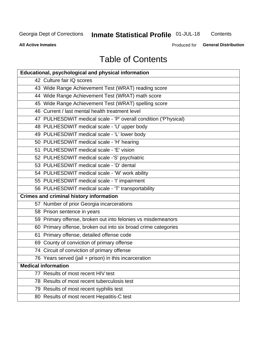## **Inmate Statistical Profile 01-JUL-18**

Contents

**All Active Inmates** 

Produced for **General Distribution** 

## **Table of Contents**

| <b>Educational, psychological and physical information</b>       |
|------------------------------------------------------------------|
| 42 Culture fair IQ scores                                        |
| 43 Wide Range Achievement Test (WRAT) reading score              |
| 44 Wide Range Achievement Test (WRAT) math score                 |
| 45 Wide Range Achievement Test (WRAT) spelling score             |
| 46 Current / last mental health treatment level                  |
| 47 PULHESDWIT medical scale - 'P' overall condition ('P'hysical) |
| 48 PULHESDWIT medical scale - 'U' upper body                     |
| 49 PULHESDWIT medical scale - 'L' lower body                     |
| 50 PULHESDWIT medical scale - 'H' hearing                        |
| 51 PULHESDWIT medical scale - 'E' vision                         |
| 52 PULHESDWIT medical scale -'S' psychiatric                     |
| 53 PULHESDWIT medical scale - 'D' dental                         |
| 54 PULHESDWIT medical scale - 'W' work ability                   |
| 55 PULHESDWIT medical scale - 'I' impairment                     |
| 56 PULHESDWIT medical scale - 'T' transportability               |
| <b>Crimes and criminal history information</b>                   |
| 57 Number of prior Georgia incarcerations                        |
| 58 Prison sentence in years                                      |
| 59 Primary offense, broken out into felonies vs misdemeanors     |
| 60 Primary offense, broken out into six broad crime categories   |
| 61 Primary offense, detailed offense code                        |
| 69 County of conviction of primary offense                       |
| 74 Circuit of conviction of primary offense                      |
| 76 Years served (jail + prison) in this incarceration            |
| <b>Medical information</b>                                       |
| 77 Results of most recent HIV test                               |
| 78 Results of most recent tuberculosis test                      |
| 79 Results of most recent syphilis test                          |
| 80 Results of most recent Hepatitis-C test                       |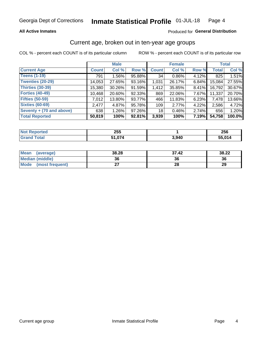#### **All Active Inmates**

#### Produced for General Distribution

## Current age, broken out in ten-year age groups

COL % - percent each COUNT is of its particular column

|                          | <b>Male</b>  |          |        | <b>Female</b> |        |       | <b>Total</b> |        |
|--------------------------|--------------|----------|--------|---------------|--------|-------|--------------|--------|
| <b>Current Age</b>       | <b>Count</b> | Col %    | Row %  | <b>Count</b>  | Col %  | Row % | <b>Total</b> | Col %  |
| <b>Teens (1-19)</b>      | 791          | $1.56\%$ | 95.88% | 34            | 0.86%  | 4.12% | 825          | 1.51%  |
| <b>Twenties (20-29)</b>  | 14,053       | 27.65%   | 93.16% | 1,031         | 26.17% | 6.84% | 15,084       | 27.55% |
| <b>Thirties (30-39)</b>  | 15,380       | 30.26%   | 91.59% | 1,412         | 35.85% | 8.41% | 16,792       | 30.67% |
| <b>Forties (40-49)</b>   | 10,468       | 20.60%   | 92.33% | 869           | 22.06% | 7.67% | 11,337       | 20.70% |
| <b>Fifties (50-59)</b>   | 7.012        | 13.80%   | 93.77% | 466           | 11.83% | 6.23% | 7,478        | 13.66% |
| <b>Sixties (60-69)</b>   | 2,477        | 4.87%    | 95.78% | 109           | 2.77%  | 4.22% | 2,586        | 4.72%  |
| Seventy + (70 and above) | 638          | $1.26\%$ | 97.26% | 18            | 0.46%  | 2.74% | 656          | 1.20%  |
| <b>Total Reported</b>    | 50,819       | 100%     | 92.81% | 3,939         | 100%   | 7.19% | 54,758       | 100.0% |

| <b>Not Reported</b> | 255   |       | 256    |
|---------------------|-------|-------|--------|
| <b>Total</b>        | 1 ሰ74 | 3,940 | 55.014 |

| Mean<br>(average)       | 38.28     | 37.42 | 38.22 |
|-------------------------|-----------|-------|-------|
| <b>Median (middle)</b>  | 36        | 36    | 36    |
| Mode<br>(most frequent) | ^-<br>. . | 28    | 29    |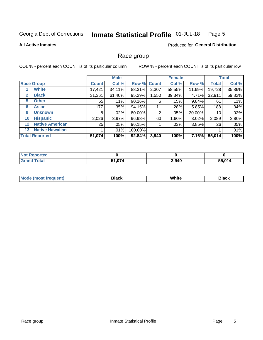#### Inmate Statistical Profile 01-JUL-18 Page 5

#### **All Active Inmates**

#### **Produced for General Distribution**

### Race group

COL % - percent each COUNT is of its particular column

|                   |                        | <b>Male</b>  |         |         | <b>Female</b> |         |        | <b>Total</b> |        |
|-------------------|------------------------|--------------|---------|---------|---------------|---------|--------|--------------|--------|
|                   | <b>Race Group</b>      | <b>Count</b> | Col %   |         | Row % Count   | Col %   | Row %  | <b>Total</b> | Col %  |
|                   | <b>White</b>           | 17,421       | 34.11%  | 88.31%  | 2,307         | 58.55%  | 11.69% | 19,728       | 35.86% |
| $\mathbf{2}$      | <b>Black</b>           | 31,361       | 61.40%  | 95.29%  | 1,550         | 39.34%  | 4.71%  | 32,911       | 59.82% |
| 5.                | <b>Other</b>           | 55           | .11%    | 90.16%  | 6             | $.15\%$ | 9.84%  | 61           | .11%   |
| 6                 | <b>Asian</b>           | 177          | .35%    | 94.15%  | 11            | .28%    | 5.85%  | 188          | .34%   |
| 9                 | <b>Unknown</b>         | 8            | $.02\%$ | 80.00%  | 2             | .05%    | 20.00% | 10           | .02%   |
| 10                | <b>Hispanic</b>        | 2,026        | 3.97%   | 96.98%  | 63            | 1.60%   | 3.02%  | 2,089        | 3.80%  |
| $12 \overline{ }$ | <b>Native American</b> | 25           | $.05\%$ | 96.15%  |               | .03%    | 3.85%  | 26           | .05%   |
| 13                | <b>Native Hawaiian</b> |              | .01%    | 100.00% |               |         |        |              | .01%   |
|                   | <b>Total Reported</b>  | 51,074       | 100%    | 92.84%  | 3,940         | 100%    | 7.16%  | 55,014       | 100%   |

| <b>Not Reported</b>           |               |       |        |
|-------------------------------|---------------|-------|--------|
| <b>Total</b><br><b>'Grand</b> | 51,074<br>- - | 3,940 | 55,014 |

| ' Mode | Black | .<br>vvnite | Black |
|--------|-------|-------------|-------|
|        |       |             |       |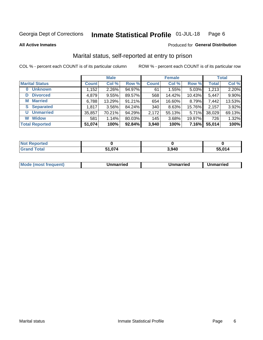#### Inmate Statistical Profile 01-JUL-18 Page 6

**All Active Inmates** 

#### Produced for General Distribution

## Marital status, self-reported at entry to prison

COL % - percent each COUNT is of its particular column

|                            | <b>Male</b>  |          |        |              | <b>Female</b> | <b>Total</b> |              |        |
|----------------------------|--------------|----------|--------|--------------|---------------|--------------|--------------|--------|
| <b>Marital Status</b>      | <b>Count</b> | Col %    | Row %  | <b>Count</b> | Col %         | Row %        | <b>Total</b> | Col %  |
| <b>Unknown</b><br>$\bf{0}$ | 1,152        | $2.26\%$ | 94.97% | 61           | 1.55%         | 5.03%        | 1,213        | 2.20%  |
| <b>Divorced</b><br>D       | 4,879        | 9.55%    | 89.57% | 568          | 14.42%        | 10.43%       | 5,447        | 9.90%  |
| <b>Married</b><br>М        | 6,788        | 13.29%   | 91.21% | 654          | 16.60%        | 8.79%        | 7,442        | 13.53% |
| <b>S</b> Separated         | 1,817        | $3.56\%$ | 84.24% | 340          | 8.63%         | 15.76%       | 2,157        | 3.92%  |
| <b>Unmarried</b><br>U      | 35,857       | 70.21%   | 94.29% | 2,172        | 55.13%        | 5.71%        | 38,029       | 69.13% |
| <b>Widow</b><br>W          | 581          | 1.14%    | 80.03% | 145          | 3.68%         | 19.97%       | 726          | 1.32%  |
| <b>Total Reported</b>      | 51,074       | 100%     | 92.84% | 3,940        | 100%          | 7.16%        | 55,014       | 100%   |

| <b>Enrico</b><br>I NOT   |        |       |        |
|--------------------------|--------|-------|--------|
| `otal<br>. Gr $\epsilon$ | $\sim$ | 3,940 | 55 014 |

|--|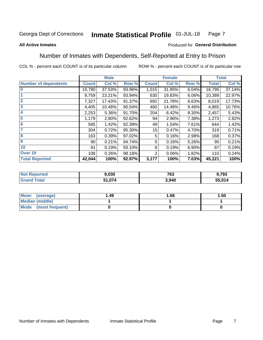#### Inmate Statistical Profile 01-JUL-18 Page 7

#### **All Active Inmates**

#### Produced for General Distribution

## Number of Inmates with Dependents, Self-Reported at Entry to Prison

COL % - percent each COUNT is of its particular column

|                             | <b>Male</b>     |        |        | <b>Female</b> |        | <b>Total</b> |              |        |
|-----------------------------|-----------------|--------|--------|---------------|--------|--------------|--------------|--------|
| <b>Number of dependents</b> | <b>Count</b>    | Col %  | Row %  | <b>Count</b>  | Col %  | Row %        | <b>Total</b> | Col %  |
| l 0                         | 15,780          | 37.53% | 93.96% | 1,015         | 31.95% | 6.04%        | 16,795       | 37.14% |
|                             | 9,759           | 23.21% | 93.94% | 630           | 19.83% | 6.06%        | 10,389       | 22.97% |
| $\overline{2}$              | 7,327           | 17.43% | 91.37% | 692           | 21.78% | 8.63%        | 8,019        | 17.73% |
| $\overline{\mathbf{3}}$     | 4,405           | 10.48% | 90.54% | 460           | 14.48% | 9.46%        | 4,865        | 10.76% |
| 4                           | 2,253           | 5.36%  | 91.70% | 204           | 6.42%  | 8.30%        | 2,457        | 5.43%  |
| 5                           | 1,179           | 2.80%  | 92.62% | 94            | 2.96%  | 7.38%        | 1,273        | 2.82%  |
| 6                           | 595             | 1.42%  | 92.39% | 49            | 1.54%  | 7.61%        | 644          | 1.42%  |
| 7                           | 304             | 0.72%  | 95.30% | 15            | 0.47%  | 4.70%        | 319          | 0.71%  |
| $\overline{\mathbf{8}}$     | 163             | 0.39%  | 97.02% | 5             | 0.16%  | 2.98%        | 168          | 0.37%  |
| 9                           | 90 <sub>1</sub> | 0.21%  | 94.74% | 5             | 0.16%  | 5.26%        | 95           | 0.21%  |
| 10                          | 81              | 0.19%  | 93.10% | 6             | 0.19%  | $6.90\%$     | 87           | 0.19%  |
| Over 10                     | 108             | 0.26%  | 98.18% | 2             | 0.06%  | 1.82%        | 110          | 0.24%  |
| <b>Total Reported</b>       | 42,044          | 100%   | 92.97% | 3,177         | 100%   | 7.03%        | 45,221       | 100%   |

| τeα | 9,030                  | 763  | 9,793      |
|-----|------------------------|------|------------|
|     | <b>FA 674</b><br>1,074 | .940 | .014<br>55 |

| Mean (average)          | 1.49 | 1.66 | 1.50 |
|-------------------------|------|------|------|
| <b>Median (middle)</b>  |      |      |      |
| Mode<br>(most frequent) |      |      |      |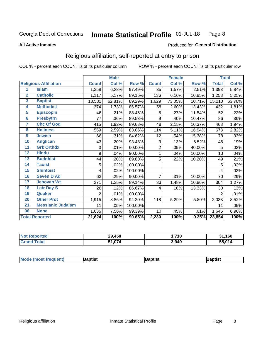#### Inmate Statistical Profile 01-JUL-18 Page 8

#### **All Active Inmates**

#### Produced for General Distribution

## Religious affiliation, self-reported at entry to prison

COL % - percent each COUNT is of its particular column

|                |                              |              | <b>Male</b> |         |                | <b>Female</b> |        |              | <b>Total</b> |
|----------------|------------------------------|--------------|-------------|---------|----------------|---------------|--------|--------------|--------------|
|                | <b>Religious Affiliation</b> | <b>Count</b> | Col %       | Row %   | <b>Count</b>   | Col %         | Row %  | <b>Total</b> | Col %        |
| 1              | <b>Islam</b>                 | 1,358        | 6.28%       | 97.49%  | 35             | 1.57%         | 2.51%  | 1,393        | 5.84%        |
| $\overline{2}$ | <b>Catholic</b>              | 1,117        | 5.17%       | 89.15%  | 136            | 6.10%         | 10.85% | 1,253        | 5.25%        |
| 3              | <b>Baptist</b>               | 13,581       | 62.81%      | 89.29%  | 1,629          | 73.05%        | 10.71% | 15,210       | 63.76%       |
| 4              | <b>Methodist</b>             | 374          | 1.73%       | 86.57%  | 58             | 2.60%         | 13.43% | 432          | 1.81%        |
| 5              | <b>EpiscopIn</b>             | 46           | .21%        | 88.46%  | 6              | .27%          | 11.54% | 52           | .22%         |
| 6              | <b>Presbytrn</b>             | 77           | .36%        | 89.53%  | 9              | .40%          | 10.47% | 86           | .36%         |
| 7              | <b>Chc Of God</b>            | 415          | 1.92%       | 89.63%  | 48             | 2.15%         | 10.37% | 463          | 1.94%        |
| 8              | <b>Holiness</b>              | 559          | 2.59%       | 83.06%  | 114            | 5.11%         | 16.94% | 673          | 2.82%        |
| 9              | <b>Jewish</b>                | 66           | .31%        | 84.62%  | 12             | .54%          | 15.38% | 78           | .33%         |
| 10             | <b>Anglican</b>              | 43           | .20%        | 93.48%  | 3              | .13%          | 6.52%  | 46           | .19%         |
| 11             | <b>Grk Orthdx</b>            | 3            | .01%        | 60.00%  | $\overline{2}$ | .09%          | 40.00% | 5            | .02%         |
| 12             | <b>Hindu</b>                 | 9            | .04%        | 90.00%  | 1              | .04%          | 10.00% | 10           | .04%         |
| 13             | <b>Buddhist</b>              | 44           | .20%        | 89.80%  | 5              | .22%          | 10.20% | 49           | .21%         |
| 14             | <b>Taoist</b>                | 5            | .02%        | 100.00% |                |               |        | 5            | .02%         |
| 15             | <b>Shintoist</b>             | 4            | .02%        | 100.00% |                |               |        | 4            | .02%         |
| 16             | <b>Seven D Ad</b>            | 63           | .29%        | 90.00%  | 7              | .31%          | 10.00% | 70           | .29%         |
| 17             | <b>Jehovah Wt</b>            | 271          | 1.25%       | 89.14%  | 33             | 1.48%         | 10.86% | 304          | 1.27%        |
| 18             | <b>Latr Day S</b>            | 26           | .12%        | 86.67%  | 4              | .18%          | 13.33% | 30           | .13%         |
| 19             | Quaker                       | 2            | .01%        | 100.00% |                |               |        | 2            | .01%         |
| 20             | <b>Other Prot</b>            | 1,915        | 8.86%       | 94.20%  | 118            | 5.29%         | 5.80%  | 2,033        | 8.52%        |
| 21             | <b>Messianic Judaism</b>     | 11           | .05%        | 100.00% |                |               |        | 11           | .05%         |
| 96             | <b>None</b>                  | 1,635        | 7.56%       | 99.39%  | 10             | .45%          | .61%   | 1,645        | 6.90%        |
|                | <b>Total Reported</b>        | 21,624       | 100%        | 90.65%  | 2,230          | 100%          | 9.35%  | 23,854       | 100%         |

| orted<br>NO.           | 29,450        | ,710  | ,160<br>-94 |
|------------------------|---------------|-------|-------------|
| <b>Total</b><br>'Grand | 1.074د<br>E4. | 3,940 | 55,014      |

| Mode (most frequent) | Baptist | aptist | Baptist |
|----------------------|---------|--------|---------|
|----------------------|---------|--------|---------|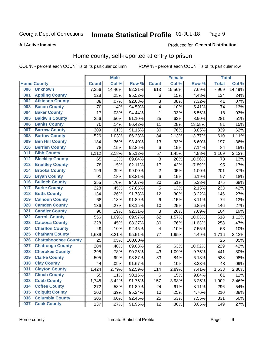#### Inmate Statistical Profile 01-JUL-18 Page 9

#### **All Active Inmates**

#### Produced for General Distribution

## Home county, self-reported at entry to prison

COL % - percent each COUNT is of its particular column

|     |                             |              | <b>Male</b> |         |                | <b>Female</b> |        | <b>Total</b> |        |
|-----|-----------------------------|--------------|-------------|---------|----------------|---------------|--------|--------------|--------|
|     | <b>Home County</b>          | <b>Count</b> | Col %       | Row %   | <b>Count</b>   | Col %         | Row %  | <b>Total</b> | Col %  |
| 000 | <b>Unknown</b>              | 7,356        | 14.40%      | 92.31%  | 613            | 15.56%        | 7.69%  | 7,969        | 14.49% |
| 001 | <b>Appling County</b>       | 128          | .25%        | 95.52%  | 6              | .15%          | 4.48%  | 134          | .24%   |
| 002 | <b>Atkinson County</b>      | 38           | .07%        | 92.68%  | 3              | .08%          | 7.32%  | 41           | .07%   |
| 003 | <b>Bacon County</b>         | 70           | .14%        | 94.59%  | 4              | .10%          | 5.41%  | 74           | .13%   |
| 004 | <b>Baker County</b>         | 17           | .03%        | 94.44%  | $\mathbf{1}$   | .03%          | 5.56%  | 18           | .03%   |
| 005 | <b>Baldwin County</b>       | 256          | .50%        | 91.10%  | 25             | .63%          | 8.90%  | 281          | .51%   |
| 006 | <b>Banks County</b>         | 70           | .14%        | 86.42%  | 11             | .28%          | 13.58% | 81           | .15%   |
| 007 | <b>Barrow County</b>        | 309          | .61%        | 91.15%  | 30             | .76%          | 8.85%  | 339          | .62%   |
| 008 | <b>Bartow County</b>        | 526          | 1.03%       | 86.23%  | 84             | 2.13%         | 13.77% | 610          | 1.11%  |
| 009 | <b>Ben Hill County</b>      | 184          | .36%        | 93.40%  | 13             | .33%          | 6.60%  | 197          | .36%   |
| 010 | <b>Berrien County</b>       | 78           | .15%        | 92.86%  | $\,6$          | .15%          | 7.14%  | 84           | .15%   |
| 011 | <b>Bibb County</b>          | 1,112        | 2.18%       | 95.12%  | 57             | 1.45%         | 4.88%  | 1,169        | 2.12%  |
| 012 | <b>Bleckley County</b>      | 65           | .13%        | 89.04%  | 8              | .20%          | 10.96% | 73           | .13%   |
| 013 | <b>Brantley County</b>      | 78           | .15%        | 82.11%  | 17             | .43%          | 17.89% | 95           | .17%   |
| 014 | <b>Brooks County</b>        | 199          | .39%        | 99.00%  | $\overline{c}$ | .05%          | 1.00%  | 201          | .37%   |
| 015 | <b>Bryan County</b>         | 91           | .18%        | 93.81%  | 6              | .15%          | 6.19%  | 97           | .18%   |
| 016 | <b>Bulloch County</b>       | 355          | .70%        | 94.67%  | 20             | .51%          | 5.33%  | 375          | .68%   |
| 017 | <b>Burke County</b>         | 228          | .45%        | 97.85%  | 5              | .13%          | 2.15%  | 233          | .42%   |
| 018 | <b>Butts County</b>         | 134          | .26%        | 91.78%  | 12             | .30%          | 8.22%  | 146          | .27%   |
| 019 | <b>Calhoun County</b>       | 68           | .13%        | 91.89%  | 6              | .15%          | 8.11%  | 74           | .13%   |
| 020 | <b>Camden County</b>        | 136          | .27%        | 93.15%  | 10             | .25%          | 6.85%  | 146          | .27%   |
| 021 | <b>Candler County</b>       | 96           | .19%        | 92.31%  | 8              | .20%          | 7.69%  | 104          | .19%   |
| 022 | <b>Carroll County</b>       | 556          | 1.09%       | 89.97%  | 62             | 1.57%         | 10.03% | 618          | 1.12%  |
| 023 | <b>Catoosa County</b>       | 228          | .45%        | 88.37%  | 30             | .76%          | 11.63% | 258          | .47%   |
| 024 | <b>Charlton County</b>      | 49           | .10%        | 92.45%  | 4              | .10%          | 7.55%  | 53           | .10%   |
| 025 | <b>Chatham County</b>       | 1,639        | 3.21%       | 95.51%  | 77             | 1.95%         | 4.49%  | 1,716        | 3.12%  |
| 026 | <b>Chattahoochee County</b> | 25           | .05%        | 100.00% |                |               |        | 25           | .05%   |
| 027 | <b>Chattooga County</b>     | 204          | .40%        | 89.08%  | 25             | .63%          | 10.92% | 229          | .42%   |
| 028 | <b>Cherokee County</b>      | 398          | .78%        | 90.25%  | 43             | 1.09%         | 9.75%  | 441          | .80%   |
| 029 | <b>Clarke County</b>        | 505          | .99%        | 93.87%  | 33             | .84%          | 6.13%  | 538          | .98%   |
| 030 | <b>Clay County</b>          | 44           | .09%        | 91.67%  | 4              | .10%          | 8.33%  | 48           | .09%   |
| 031 | <b>Clayton County</b>       | 1,424        | 2.79%       | 92.59%  | 114            | 2.89%         | 7.41%  | 1,538        | 2.80%  |
| 032 | <b>Clinch County</b>        | 55           | .11%        | 90.16%  | 6              | .15%          | 9.84%  | 61           | .11%   |
| 033 | <b>Cobb County</b>          | 1,745        | 3.42%       | 91.75%  | 157            | 3.98%         | 8.25%  | 1,902        | 3.46%  |
| 034 | <b>Coffee County</b>        | 272          | .53%        | 91.89%  | 24             | .61%          | 8.11%  | 296          | .54%   |
| 035 | <b>Colquitt County</b>      | 200          | .39%        | 95.24%  | 10             | .25%          | 4.76%  | 210          | .38%   |
| 036 | <b>Columbia County</b>      | 306          | .60%        | 92.45%  | 25             | .63%          | 7.55%  | 331          | .60%   |
| 037 | <b>Cook County</b>          | 137          | .27%        | 91.95%  | 12             | .30%          | 8.05%  | 149          | .27%   |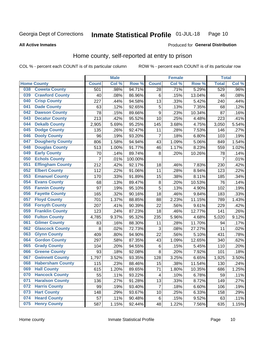#### Inmate Statistical Profile 01-JUL-18 Page 10

#### **All Active Inmates**

#### Produced for General Distribution

## Home county, self-reported at entry to prison

COL % - percent each COUNT is of its particular column

|     |                         |                | <b>Male</b> |         |                 | <b>Female</b> |        | <b>Total</b>   |       |
|-----|-------------------------|----------------|-------------|---------|-----------------|---------------|--------|----------------|-------|
|     | <b>Home County</b>      | <b>Count</b>   | Col %       | Row %   | <b>Count</b>    | Col %         | Row %  | <b>Total</b>   | Col%  |
| 038 | <b>Coweta County</b>    | 501            | .98%        | 94.71%  | $\overline{28}$ | .71%          | 5.29%  | 529            | .96%  |
| 039 | <b>Crawford County</b>  | 40             | .08%        | 86.96%  | 6               | .15%          | 13.04% | 46             | .08%  |
| 040 | <b>Crisp County</b>     | 227            | .44%        | 94.58%  | 13              | .33%          | 5.42%  | 240            | .44%  |
| 041 | <b>Dade County</b>      | 63             | .12%        | 92.65%  | 5               | .13%          | 7.35%  | 68             | .12%  |
| 042 | <b>Dawson County</b>    | 78             | .15%        | 89.66%  | 9               | .23%          | 10.34% | 87             | .16%  |
| 043 | <b>Decatur County</b>   | 213            | .42%        | 95.52%  | 10              | .25%          | 4.48%  | 223            | .41%  |
| 044 | <b>Dekalb County</b>    | 2,905          | 5.69%       | 95.25%  | 145             | 3.68%         | 4.75%  | 3,050          | 5.54% |
| 045 | <b>Dodge County</b>     | 135            | .26%        | 92.47%  | 11              | .28%          | 7.53%  | 146            | .27%  |
| 046 | <b>Dooly County</b>     | 96             | .19%        | 93.20%  | 7               | .18%          | 6.80%  | 103            | .19%  |
| 047 | <b>Dougherty County</b> | 806            | 1.58%       | 94.94%  | 43              | 1.09%         | 5.06%  | 849            | 1.54% |
| 048 | <b>Douglas County</b>   | 513            | 1.00%       | 91.77%  | 46              | 1.17%         | 8.23%  | 559            | 1.02% |
| 049 | <b>Early County</b>     | 70             | .14%        | 89.74%  | 8               | .20%          | 10.26% | 78             | .14%  |
| 050 | <b>Echols County</b>    | $\overline{7}$ | .01%        | 100.00% |                 |               |        | $\overline{7}$ | .01%  |
| 051 | <b>Effingham County</b> | 212            | .42%        | 92.17%  | 18              | .46%          | 7.83%  | 230            | .42%  |
| 052 | <b>Elbert County</b>    | 112            | .22%        | 91.06%  | 11              | .28%          | 8.94%  | 123            | .22%  |
| 053 | <b>Emanuel County</b>   | 170            | .33%        | 91.89%  | 15              | .38%          | 8.11%  | 185            | .34%  |
| 054 | <b>Evans County</b>     | 68             | .13%        | 89.47%  | 8               | .20%          | 10.53% | 76             | .14%  |
| 055 | <b>Fannin County</b>    | 97             | .19%        | 95.10%  | 5               | .13%          | 4.90%  | 102            | .19%  |
| 056 | <b>Fayette County</b>   | 165            | .32%        | 90.16%  | 18              | .46%          | 9.84%  | 183            | .33%  |
| 057 | <b>Floyd County</b>     | 701            | 1.37%       | 88.85%  | 88              | 2.23%         | 11.15% | 789            | 1.43% |
| 058 | <b>Forsyth County</b>   | 207            | .41%        | 90.39%  | 22              | .56%          | 9.61%  | 229            | .42%  |
| 059 | <b>Franklin County</b>  | 123            | .24%        | 87.23%  | 18              | .46%          | 12.77% | 141            | .26%  |
| 060 | <b>Fulton County</b>    | 4,785          | 9.37%       | 95.32%  | 235             | 5.96%         | 4.68%  | 5,020          | 9.12% |
| 061 | <b>Gilmer County</b>    | 83             | .16%        | 88.30%  | 11              | .28%          | 11.70% | 94             | .17%  |
| 062 | <b>Glascock County</b>  | 8              | .02%        | 72.73%  | 3               | .08%          | 27.27% | 11             | .02%  |
| 063 | <b>Glynn County</b>     | 409            | .80%        | 94.90%  | 22              | .56%          | 5.10%  | 431            | .78%  |
| 064 | <b>Gordon County</b>    | 297            | .58%        | 87.35%  | 43              | 1.09%         | 12.65% | 340            | .62%  |
| 065 | <b>Grady County</b>     | 104            | .20%        | 94.55%  | 6               | .15%          | 5.45%  | 110            | .20%  |
| 066 | <b>Greene County</b>    | 93             | .18%        | 92.08%  | 8               | .20%          | 7.92%  | 101            | .18%  |
| 067 | <b>Gwinnett County</b>  | 1,797          | 3.52%       | 93.35%  | 128             | 3.25%         | 6.65%  | 1,925          | 3.50% |
| 068 | <b>Habersham County</b> | 115            | .23%        | 88.46%  | 15              | .38%          | 11.54% | 130            | .24%  |
| 069 | <b>Hall County</b>      | 615            | 1.20%       | 89.65%  | 71              | 1.80%         | 10.35% | 686            | 1.25% |
| 070 | <b>Hancock County</b>   | 55             | .11%        | 93.22%  | 4               | .10%          | 6.78%  | 59             | .11%  |
| 071 | <b>Haralson County</b>  | 136            | .27%        | 91.28%  | 13              | .33%          | 8.72%  | 149            | .27%  |
| 072 | <b>Harris County</b>    | 99             | .19%        | 93.40%  | $\overline{7}$  | .18%          | 6.60%  | 106            | .19%  |
| 073 | <b>Hart County</b>      | 148            | .29%        | 93.67%  | 10              | .25%          | 6.33%  | 158            | .29%  |
| 074 | <b>Heard County</b>     | 57             | .11%        | 90.48%  | 6               | .15%          | 9.52%  | 63             | .11%  |
| 075 | <b>Henry County</b>     | 587            | 1.15%       | 92.44%  | 48              | 1.22%         | 7.56%  | 635            | 1.15% |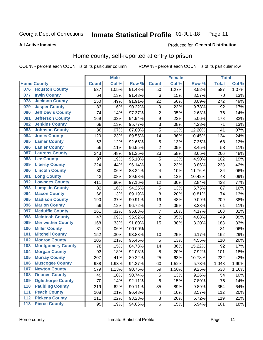#### **Inmate Statistical Profile 01-JUL-18** Page 11

**All Active Inmates** 

#### Produced for General Distribution

## Home county, self-reported at entry to prison

COL % - percent each COUNT is of its particular column

|                  |                          |              | <b>Male</b> |         |                | <b>Female</b> |                  | <b>Total</b> |       |
|------------------|--------------------------|--------------|-------------|---------|----------------|---------------|------------------|--------------|-------|
|                  | <b>Home County</b>       | <b>Count</b> | Col %       | Row %   | <b>Count</b>   | Col %         | Row <sup>%</sup> | <b>Total</b> | Col % |
| 076              | <b>Houston County</b>    | 537          | 1.05%       | 91.48%  | 50             | 1.27%         | 8.52%            | 587          | 1.07% |
| 077              | <b>Irwin County</b>      | 64           | .13%        | 91.43%  | 6              | .15%          | 8.57%            | 70           | .13%  |
| 078              | <b>Jackson County</b>    | 250          | .49%        | 91.91%  | 22             | .56%          | 8.09%            | 272          | .49%  |
| 079              | <b>Jasper County</b>     | 83           | .16%        | 90.22%  | 9              | .23%          | 9.78%            | 92           | .17%  |
| 080              | <b>Jeff Davis County</b> | 74           | .14%        | 97.37%  | $\overline{2}$ | .05%          | 2.63%            | 76           | .14%  |
| 081              | <b>Jefferson County</b>  | 169          | .33%        | 94.94%  | $\overline{9}$ | .23%          | 5.06%            | 178          | .32%  |
| 082              | <b>Jenkins County</b>    | 68           | .13%        | 95.77%  | $\overline{3}$ | .08%          | 4.23%            | 71           | .13%  |
| 083              | <b>Johnson County</b>    | 36           | .07%        | 87.80%  | 5              | .13%          | 12.20%           | 41           | .07%  |
| 084              | <b>Jones County</b>      | 120          | .23%        | 89.55%  | 14             | .36%          | 10.45%           | 134          | .24%  |
| 085              | <b>Lamar County</b>      | 63           | .12%        | 92.65%  | 5              | .13%          | 7.35%            | 68           | .12%  |
| 086              | <b>Lanier County</b>     | 56           | .11%        | 96.55%  | $\overline{2}$ | .05%          | 3.45%            | 58           | .11%  |
| 087              | <b>Laurens County</b>    | 243          | .48%        | 91.35%  | 23             | .58%          | 8.65%            | 266          | .48%  |
| 088              | <b>Lee County</b>        | 97           | .19%        | 95.10%  | 5              | .13%          | 4.90%            | 102          | .19%  |
| 089              | <b>Liberty County</b>    | 224          | .44%        | 96.14%  | 9              | .23%          | 3.86%            | 233          | .42%  |
| 090              | <b>Lincoln County</b>    | 30           | .06%        | 88.24%  | 4              | .10%          | 11.76%           | 34           | .06%  |
| 091              | <b>Long County</b>       | 43           | .08%        | 89.58%  | 5              | .13%          | 10.42%           | 48           | .09%  |
| 092              | <b>Lowndes County</b>    | 411          | .80%        | 97.16%  | 12             | .30%          | 2.84%            | 423          | .77%  |
| 093              | <b>Lumpkin County</b>    | 82           | .16%        | 94.25%  | 5              | .13%          | 5.75%            | 87           | .16%  |
| 094              | <b>Macon County</b>      | 66           | .13%        | 89.19%  | 8              | .20%          | 10.81%           | 74           | .13%  |
| 095              | <b>Madison County</b>    | 190          | .37%        | 90.91%  | 19             | .48%          | 9.09%            | 209          | .38%  |
| 096              | <b>Marion County</b>     | 59           | .12%        | 96.72%  | $\overline{c}$ | .05%          | 3.28%            | 61           | .11%  |
| 097              | <b>Mcduffie County</b>   | 161          | .32%        | 95.83%  | $\overline{7}$ | .18%          | 4.17%            | 168          | .31%  |
| 098              | <b>Mcintosh County</b>   | 47           | .09%        | 95.92%  | $\overline{2}$ | .05%          | 4.08%            | 49           | .09%  |
| 099              | <b>Meriwether County</b> | 168          | .33%        | 91.80%  | 15             | .38%          | 8.20%            | 183          | .33%  |
| 100              | <b>Miller County</b>     | 31           | .06%        | 100.00% |                |               |                  | 31           | .06%  |
| 101              | <b>Mitchell County</b>   | 152          | .30%        | 93.83%  | 10             | .25%          | 6.17%            | 162          | .29%  |
| 102              | <b>Monroe County</b>     | 105          | .21%        | 95.45%  | 5              | .13%          | 4.55%            | 110          | .20%  |
| 103              | <b>Montgomery County</b> | 78           | .15%        | 84.78%  | 14             | .36%          | 15.22%           | 92           | .17%  |
| 104              | <b>Morgan County</b>     | 93           | .18%        | 92.08%  | 8              | .20%          | 7.92%            | 101          | .18%  |
| 105              | <b>Murray County</b>     | 207          | .41%        | 89.22%  | 25             | .63%          | 10.78%           | 232          | .42%  |
| 106              | <b>Muscogee County</b>   | 988          | 1.93%       | 94.27%  | 60             | 1.52%         | 5.73%            | 1,048        | 1.90% |
| 107              | <b>Newton County</b>     | 579          | 1.13%       | 90.75%  | 59             | 1.50%         | 9.25%            | 638          | 1.16% |
| 108              | <b>Oconee County</b>     | 49           | .10%        | 90.74%  | 5              | .13%          | 9.26%            | 54           | .10%  |
| 109              | <b>Oglethorpe County</b> | 70           | .14%        | 92.11%  | $\,6$          | .15%          | 7.89%            | 76           | .14%  |
| 110              | <b>Paulding County</b>   | 319          | .62%        | 90.11%  | 35             | .89%          | 9.89%            | 354          | .64%  |
| 111              | <b>Peach County</b>      | 108          | .21%        | 96.43%  | 4              | .10%          | 3.57%            | 112          | .20%  |
| $\overline{112}$ | <b>Pickens County</b>    | 111          | .22%        | 93.28%  | 8              | .20%          | 6.72%            | 119          | .22%  |
| 113              | <b>Pierce County</b>     | 95           | .19%        | 94.06%  | $\,6$          | .15%          | 5.94%            | 101          | .18%  |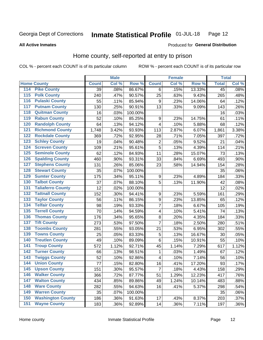#### **Inmate Statistical Profile 01-JUL-18** Page 12

#### **All Active Inmates**

## Produced for General Distribution

## Home county, self-reported at entry to prison

COL % - percent each COUNT is of its particular column

|                    |                          |              | <b>Male</b> |         |                  | <b>Female</b> |        | <b>Total</b>    |         |
|--------------------|--------------------------|--------------|-------------|---------|------------------|---------------|--------|-----------------|---------|
| <b>Home County</b> |                          | <b>Count</b> | Col %       | Row %   | <b>Count</b>     | Col %         | Row %  | <b>Total</b>    | Col %   |
| 114                | <b>Pike County</b>       | 39           | .08%        | 86.67%  | 6                | .15%          | 13.33% | $\overline{45}$ | .08%    |
| 115                | <b>Polk County</b>       | 240          | .47%        | 90.57%  | 25               | .63%          | 9.43%  | 265             | .48%    |
| 116                | <b>Pulaski County</b>    | 55           | .11%        | 85.94%  | 9                | .23%          | 14.06% | 64              | .12%    |
| 117                | <b>Putnam County</b>     | 130          | .25%        | 90.91%  | 13               | .33%          | 9.09%  | 143             | .26%    |
| 118                | <b>Quitman County</b>    | 16           | .03%        | 100.00% |                  |               |        | 16              | .03%    |
| 119                | <b>Rabun County</b>      | 52           | .10%        | 85.25%  | 9                | .23%          | 14.75% | 61              | .11%    |
| 120                | <b>Randolph County</b>   | 64           | .13%        | 94.12%  | 4                | .10%          | 5.88%  | 68              | .12%    |
| 121                | <b>Richmond County</b>   | 1,748        | 3.42%       | 93.93%  | 113              | 2.87%         | 6.07%  | 1,861           | 3.38%   |
| 122                | <b>Rockdale County</b>   | 369          | .72%        | 92.95%  | 28               | .71%          | 7.05%  | 397             | .72%    |
| 123                | <b>Schley County</b>     | 19           | .04%        | 90.48%  | $\overline{2}$   | .05%          | 9.52%  | 21              | .04%    |
| 124                | <b>Screven County</b>    | 109          | .21%        | 95.61%  | $\overline{5}$   | .13%          | 4.39%  | 114             | .21%    |
| 125                | <b>Seminole County</b>   | 62           | .12%        | 84.93%  | 11               | .28%          | 15.07% | 73              | .13%    |
| 126                | <b>Spalding County</b>   | 460          | .90%        | 93.31%  | 33               | .84%          | 6.69%  | 493             | .90%    |
| 127                | <b>Stephens County</b>   | 131          | .26%        | 85.06%  | 23               | .58%          | 14.94% | 154             | .28%    |
| 128                | <b>Stewart County</b>    | 35           | .07%        | 100.00% |                  |               |        | 35              | .06%    |
| 129                | <b>Sumter County</b>     | 175          | .34%        | 95.11%  | 9                | .23%          | 4.89%  | 184             | .33%    |
| 130                | <b>Talbot County</b>     | 37           | .07%        | 88.10%  | 5                | .13%          | 11.90% | 42              | .08%    |
| 131                | <b>Taliaferro County</b> | 12           | .02%        | 100.00% |                  |               |        | 12              | .02%    |
| 132                | <b>Tattnall County</b>   | 152          | .30%        | 94.41%  | $\boldsymbol{9}$ | .23%          | 5.59%  | 161             | .29%    |
| 133                | <b>Taylor County</b>     | 56           | .11%        | 86.15%  | 9                | .23%          | 13.85% | 65              | .12%    |
| 134                | <b>Telfair County</b>    | 98           | .19%        | 93.33%  | $\overline{7}$   | .18%          | 6.67%  | 105             | .19%    |
| 135                | <b>Terrell County</b>    | 70           | .14%        | 94.59%  | 4                | .10%          | 5.41%  | 74              | .13%    |
| 136                | <b>Thomas County</b>     | 176          | .34%        | 95.65%  | 8                | .20%          | 4.35%  | 184             | .33%    |
| 137                | <b>Tift County</b>       | 273          | .53%        | 97.50%  | $\overline{7}$   | .18%          | 2.50%  | 280             | .51%    |
| 138                | <b>Toombs County</b>     | 281          | .55%        | 93.05%  | 21               | .53%          | 6.95%  | 302             | .55%    |
| 139                | <b>Towns County</b>      | 25           | .05%        | 83.33%  | 5                | .13%          | 16.67% | 30              | .05%    |
| 140                | <b>Treutlen County</b>   | 49           | .10%        | 89.09%  | $\,6$            | .15%          | 10.91% | 55              | .10%    |
| 141                | <b>Troup County</b>      | 572          | 1.12%       | 92.71%  | 45               | 1.14%         | 7.29%  | 617             | 1.12%   |
| $\overline{142}$   | <b>Turner County</b>     | 66           | .13%        | 98.51%  | 1                | .03%          | 1.49%  | 67              | .12%    |
| 143                | <b>Twiggs County</b>     | 52           | .10%        | 92.86%  | 4                | .10%          | 7.14%  | 56              | .10%    |
| 144                | <b>Union County</b>      | 77           | .15%        | 82.80%  | 16               | .41%          | 17.20% | 93              | .17%    |
| 145                | <b>Upson County</b>      | 151          | .30%        | 95.57%  | $\overline{7}$   | .18%          | 4.43%  | 158             | .29%    |
| 146                | <b>Walker County</b>     | 366          | .72%        | 87.77%  | 51               | 1.29%         | 12.23% | 417             | .76%    |
| 147                | <b>Walton County</b>     | 434          | .85%        | 89.86%  | 49               | 1.24%         | 10.14% | 483             | .88%    |
| 148                | <b>Ware County</b>       | 282          | .55%        | 94.63%  | 16               | .41%          | 5.37%  | 298             | .54%    |
| 149                | <b>Warren County</b>     | 35           | .07%        | 100.00% |                  |               |        | 35              | .06%    |
| 150                | <b>Washington County</b> | 186          | .36%        | 91.63%  | 17               | .43%          | 8.37%  | 203             | .37%    |
| 151                | <b>Wayne County</b>      | 183          | .36%        | 92.89%  | 14               | .36%          | 7.11%  | 197             | $.36\%$ |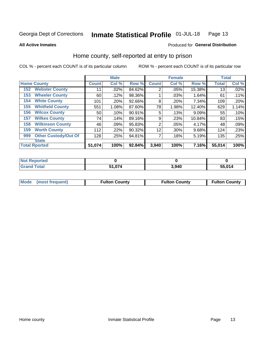#### Inmate Statistical Profile 01-JUL-18 Page 13

Produced for General Distribution

#### **All Active Inmates**

## Home county, self-reported at entry to prison

COL % - percent each COUNT is of its particular column

|     |                             |              | <b>Male</b> |        |                | <b>Female</b> |        | <b>Total</b> |       |
|-----|-----------------------------|--------------|-------------|--------|----------------|---------------|--------|--------------|-------|
|     | <b>Home County</b>          | <b>Count</b> | Col %       | Row %  | <b>Count</b>   | Col %         | Row %  | <b>Total</b> | Col % |
| 152 | <b>Webster County</b>       | 11           | .02%        | 84.62% | $\overline{2}$ | .05%          | 15.38% | 13           | .02%  |
| 153 | <b>Wheeler County</b>       | 60           | .12%        | 98.36% |                | .03%          | 1.64%  | 61           | .11%  |
| 154 | <b>White County</b>         | 101          | .20%        | 92.66% | 8              | .20%          | 7.34%  | 109          | .20%  |
| 155 | <b>Whitfield County</b>     | 551          | 1.08%       | 87.60% | 78             | 1.98%         | 12.40% | 629          | 1.14% |
| 156 | <b>Wilcox County</b>        | 50           | .10%        | 90.91% | 5              | .13%          | 9.09%  | 55           | .10%  |
| 157 | <b>Wilkes County</b>        | 74           | .14%        | 89.16% | 9              | .23%          | 10.84% | 83           | .15%  |
| 158 | <b>Wilkinson County</b>     | 46           | .09%        | 95.83% | $\overline{2}$ | .05%          | 4.17%  | 48           | .09%  |
| 159 | <b>Worth County</b>         | 112          | $.22\%$     | 90.32% | 12             | .30%          | 9.68%  | 124          | .23%  |
| 999 | <b>Other Custody/Out Of</b> | 128          | .25%        | 94.81% | 7              | .18%          | 5.19%  | 135          | .25%  |
|     | <b>State</b>                |              |             |        |                |               |        |              |       |
|     | <b>Total Rported</b>        | 51,074       | 100%        | 92.84% | 3,940          | 100%          | 7.16%  | 55,014       | 100%  |

| <b>Not</b><br><b>Reported</b> |            |       |        |
|-------------------------------|------------|-------|--------|
| `otal                         | በ74<br>- 4 | 3,940 | 55,014 |

|  | Mode (most frequent) | <b>Fulton County</b> | <b>Fulton County</b> | <b>Fulton County</b> |
|--|----------------------|----------------------|----------------------|----------------------|
|--|----------------------|----------------------|----------------------|----------------------|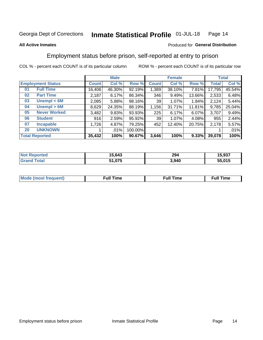#### Inmate Statistical Profile 01-JUL-18 Page 14

#### **All Active Inmates**

#### Produced for General Distribution

## Employment status before prison, self-reported at entry to prison

COL % - percent each COUNT is of its particular column

|                           | <b>Male</b> |         |         |              | <b>Female</b> | <b>Total</b> |        |        |
|---------------------------|-------------|---------|---------|--------------|---------------|--------------|--------|--------|
| <b>Employment Status</b>  | Count l     | Col %   | Row %   | <b>Count</b> | Col %         | Row %        | Total  | Col %  |
| <b>Full Time</b><br>01    | 16,406      | 46.30%  | 92.19%  | 1,389        | 38.10%        | 7.81%        | 17,795 | 45.54% |
| <b>Part Time</b><br>02    | 2,187       | 6.17%   | 86.34%  | 346          | 9.49%         | 13.66%       | 2,533  | 6.48%  |
| Unempl $<$ 6M<br>03       | 2,085       | 5.88%   | 98.16%  | 39           | 1.07%         | 1.84%        | 2,124  | 5.44%  |
| Unempl > 6M<br>04         | 8,629       | 24.35%  | 88.19%  | 1,156        | 31.71%        | 11.81%       | 9,785  | 25.04% |
| <b>Never Worked</b><br>05 | 3,482       | 9.83%   | 93.93%  | 225          | 6.17%         | 6.07%        | 3,707  | 9.49%  |
| <b>Student</b><br>06      | 916         | 2.59%   | 95.92%  | 39           | 1.07%         | 4.08%        | 955    | 2.44%  |
| <b>Incapable</b><br>07    | 1,726       | 4.87%   | 79.25%  | 452          | 12.40%        | 20.75%       | 2,178  | 5.57%  |
| <b>UNKNOWN</b><br>20      |             | $.01\%$ | 100.00% |              |               |              |        | .01%   |
| <b>Total Reported</b>     | 35,432      | 100%    | 90.67%  | 3,646        | 100%          | 9.33%        | 39,078 | 100%   |

| <b>Not Reported</b>     | 15,643 | 294   | 15,937 |
|-------------------------|--------|-------|--------|
| <b>Total</b><br>' Grand | 51,075 | 3,940 | 55,015 |

| <b>Mode</b> | Full Time | <b>Full Time</b> | Time |
|-------------|-----------|------------------|------|
| eouenu      |           |                  |      |
|             |           |                  |      |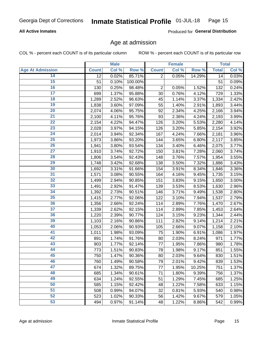#### **All Active Inmates**

Produced for General Distribution

### Age at admission

COL % - percent each COUNT is of its particular column

|                         |              | <b>Male</b> |         |                | <b>Female</b> |        |              | <b>Total</b> |
|-------------------------|--------------|-------------|---------|----------------|---------------|--------|--------------|--------------|
| <b>Age At Admission</b> | <b>Count</b> | Col %       | Row %   | <b>Count</b>   | Col %         | Row %  | <b>Total</b> | Col %        |
| 14                      | 12           | 0.02%       | 85.71%  | $\overline{2}$ | 0.05%         | 14.29% | 14           | 0.03%        |
| 15                      | 51           | 0.10%       | 100.00% |                |               |        | 51           | 0.09%        |
| 16                      | 130          | 0.25%       | 98.48%  | $\overline{2}$ | 0.05%         | 1.52%  | 132          | 0.24%        |
| $\overline{17}$         | 699          | 1.37%       | 95.88%  | 30             | 0.76%         | 4.12%  | 729          | 1.33%        |
| $\overline{18}$         | 1,289        | 2.52%       | 96.63%  | 45             | 1.14%         | 3.37%  | 1,334        | 2.42%        |
| 19                      | 1,838        | 3.60%       | 97.09%  | 55             | 1.40%         | 2.91%  | 1,893        | 3.44%        |
| 20                      | 2,074        | 4.06%       | 95.75%  | 92             | 2.34%         | 4.25%  | 2,166        | 3.94%        |
| $\overline{21}$         | 2,100        | 4.11%       | 95.76%  | 93             | 2.36%         | 4.24%  | 2,193        | 3.99%        |
| $\overline{22}$         | 2,154        | 4.22%       | 94.47%  | 126            | 3.20%         | 5.53%  | 2,280        | 4.14%        |
| $\overline{23}$         | 2,028        | 3.97%       | 94.15%  | 126            | 3.20%         | 5.85%  | 2,154        | 3.92%        |
| 24                      | 2,014        | 3.94%       | 92.34%  | 167            | 4.24%         | 7.66%  | 2,181        | 3.96%        |
| $\overline{25}$         | 1,973        | 3.86%       | 93.20%  | 144            | 3.65%         | 6.80%  | 2,117        | 3.85%        |
| $\overline{26}$         | 1,941        | 3.80%       | 93.54%  | 134            | 3.40%         | 6.46%  | 2,075        | 3.77%        |
| $\overline{27}$         | 1,910        | 3.74%       | 92.72%  | 150            | 3.81%         | 7.28%  | 2,060        | 3.74%        |
| 28                      | 1,806        | 3.54%       | 92.43%  | 148            | 3.76%         | 7.57%  | 1,954        | 3.55%        |
| 29                      | 1,748        | 3.42%       | 92.68%  | 138            | 3.50%         | 7.32%  | 1,886        | 3.43%        |
| 30                      | 1,692        | 3.31%       | 91.66%  | 154            | 3.91%         | 8.34%  | 1,846        | 3.36%        |
| 31                      | 1,571        | 3.08%       | 90.55%  | 164            | 4.16%         | 9.45%  | 1,735        | 3.15%        |
| 32                      | 1,499        | 2.94%       | 90.85%  | 151            | 3.83%         | 9.15%  | 1,650        | 3.00%        |
| 33                      | 1,491        | 2.92%       | 91.47%  | 139            | 3.53%         | 8.53%  | 1,630        | 2.96%        |
| 34                      | 1,392        | 2.73%       | 90.51%  | 146            | 3.71%         | 9.49%  | 1,538        | 2.80%        |
| 35                      | 1,415        | 2.77%       | 92.06%  | 122            | 3.10%         | 7.94%  | 1,537        | 2.79%        |
| 36                      | 1,356        | 2.66%       | 92.24%  | 114            | 2.89%         | 7.76%  | 1,470        | 2.67%        |
| $\overline{37}$         | 1,339        | 2.62%       | 92.15%  | 114            | 2.89%         | 7.85%  | 1,453        | 2.64%        |
| 38                      | 1,220        | 2.39%       | 90.77%  | 124            | 3.15%         | 9.23%  | 1,344        | 2.44%        |
| 39                      | 1,103        | 2.16%       | 90.86%  | 111            | 2.82%         | 9.14%  | 1,214        | 2.21%        |
| 40                      | 1,053        | 2.06%       | 90.93%  | 105            | 2.66%         | 9.07%  | 1,158        | 2.10%        |
| 41                      | 1,011        | 1.98%       | 93.09%  | 75             | 1.90%         | 6.91%  | 1,086        | 1.97%        |
| 42                      | 891          | 1.74%       | 91.76%  | 80             | 2.03%         | 8.24%  | 971          | 1.77%        |
| 43                      | 903          | 1.77%       | 92.14%  | 77             | 1.95%         | 7.86%  | 980          | 1.78%        |
| 44                      | 773          | 1.51%       | 90.83%  | 78             | 1.98%         | 9.17%  | 851          | 1.55%        |
| 45                      | 750          | 1.47%       | 90.36%  | 80             | 2.03%         | 9.64%  | 830          | 1.51%        |
| 46                      | 760          | 1.49%       | 90.58%  | 79             | 2.01%         | 9.42%  | 839          | 1.53%        |
| 47                      | 674          | 1.32%       | 89.75%  | 77             | 1.95%         | 10.25% | 751          | 1.37%        |
| 48                      | 685          | 1.34%       | 90.61%  | 71             | 1.80%         | 9.39%  | 756          | 1.37%        |
| 49                      | 634          | 1.24%       | 92.55%  | 51             | 1.29%         | 7.45%  | 685          | 1.25%        |
| 50                      | 585          | 1.15%       | 92.42%  | 48             | 1.22%         | 7.58%  | 633          | 1.15%        |
| 51                      | 508          | 0.99%       | 94.07%  | 32             | 0.81%         | 5.93%  | 540          | 0.98%        |
| 52                      | 523          | 1.02%       | 90.33%  | 56             | 1.42%         | 9.67%  | 579          | 1.05%        |
| 53                      | 494          | 0.97%       | 91.14%  | 48             | 1.22%         | 8.86%  | 542          | 0.99%        |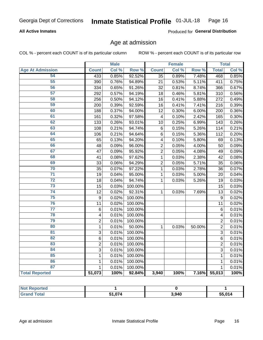#### **All Active Inmates**

Produced for General Distribution

### Age at admission

COL % - percent each COUNT is of its particular column

|                         |                         | <b>Male</b> |         |                 | <b>Female</b> |        |                | <b>Total</b> |
|-------------------------|-------------------------|-------------|---------|-----------------|---------------|--------|----------------|--------------|
| <b>Age At Admission</b> | <b>Count</b>            | Col %       | Row %   | <b>Count</b>    | Col %         | Row %  | <b>Total</b>   | Col %        |
| 54                      | 433                     | 0.85%       | 92.52%  | $\overline{35}$ | 0.89%         | 7.48%  | 468            | 0.85%        |
| 55                      | 390                     | 0.76%       | 94.89%  | 21              | 0.53%         | 5.11%  | 411            | 0.75%        |
| 56                      | 334                     | 0.65%       | 91.26%  | 32              | 0.81%         | 8.74%  | 366            | 0.67%        |
| 57                      | 292                     | 0.57%       | 94.19%  | 18              | 0.46%         | 5.81%  | 310            | 0.56%        |
| 58                      | 256                     | 0.50%       | 94.12%  | 16              | 0.41%         | 5.88%  | 272            | 0.49%        |
| 59                      | 200                     | 0.39%       | 92.59%  | 16              | 0.41%         | 7.41%  | 216            | 0.39%        |
| 60                      | 188                     | 0.37%       | 94.00%  | 12              | 0.30%         | 6.00%  | 200            | 0.36%        |
| 61                      | 161                     | 0.32%       | 97.58%  | 4               | 0.10%         | 2.42%  | 165            | 0.30%        |
| 62                      | 133                     | 0.26%       | 93.01%  | 10              | 0.25%         | 6.99%  | 143            | 0.26%        |
| 63                      | 108                     | 0.21%       | 94.74%  | $\,6$           | 0.15%         | 5.26%  | 114            | 0.21%        |
| 64                      | 106                     | 0.21%       | 94.64%  | $6\phantom{1}6$ | 0.15%         | 5.36%  | 112            | 0.20%        |
| 65                      | 65                      | 0.13%       | 94.20%  | 4               | 0.10%         | 5.80%  | 69             | 0.13%        |
| 66                      | 48                      | 0.09%       | 96.00%  | $\overline{2}$  | 0.05%         | 4.00%  | 50             | 0.09%        |
| 67                      | 47                      | 0.09%       | 95.92%  | $\overline{2}$  | 0.05%         | 4.08%  | 49             | 0.09%        |
| 68                      | 41                      | 0.08%       | 97.62%  | 1               | 0.03%         | 2.38%  | 42             | 0.08%        |
| 69                      | 33                      | 0.06%       | 94.29%  | $\overline{c}$  | 0.05%         | 5.71%  | 35             | 0.06%        |
| 70                      | 35                      | 0.07%       | 97.22%  | 1               | 0.03%         | 2.78%  | 36             | 0.07%        |
| $\overline{71}$         | 19                      | 0.04%       | 95.00%  | 1               | 0.03%         | 5.00%  | 20             | 0.04%        |
| $\overline{72}$         | 18                      | 0.04%       | 94.74%  | $\mathbf{1}$    | 0.03%         | 5.26%  | 19             | 0.03%        |
| $\overline{73}$         | 15                      | 0.03%       | 100.00% |                 |               |        | 15             | 0.03%        |
| $\overline{74}$         | 12                      | 0.02%       | 92.31%  | $\mathbf{1}$    | 0.03%         | 7.69%  | 13             | 0.02%        |
| 75                      | 9                       | 0.02%       | 100.00% |                 |               |        | 9              | 0.02%        |
| 76                      | 11                      | 0.02%       | 100.00% |                 |               |        | 11             | 0.02%        |
| $\overline{77}$         | 6                       | 0.01%       | 100.00% |                 |               |        | 6              | 0.01%        |
| 78                      | $\overline{\mathbf{4}}$ | 0.01%       | 100.00% |                 |               |        | 4              | 0.01%        |
| 79                      | $\overline{2}$          | 0.01%       | 100.00% |                 |               |        | 2              | 0.01%        |
| 80                      | $\mathbf{1}$            | 0.01%       | 50.00%  | $\mathbf{1}$    | 0.03%         | 50.00% | $\overline{2}$ | 0.01%        |
| $\overline{81}$         | 3                       | 0.01%       | 100.00% |                 |               |        | 3              | 0.01%        |
| $\overline{82}$         | 6                       | 0.01%       | 100.00% |                 |               |        | 6              | 0.01%        |
| 83                      | $\overline{2}$          | 0.01%       | 100.00% |                 |               |        | $\overline{2}$ | 0.01%        |
| 84                      | 3                       | 0.01%       | 100.00% |                 |               |        | 3              | 0.01%        |
| 85                      | $\mathbf{1}$            | 0.01%       | 100.00% |                 |               |        | $\mathbf{1}$   | 0.01%        |
| 86                      | $\mathbf 1$             | 0.01%       | 100.00% |                 |               |        | 1              | 0.01%        |
| 87                      | 1                       | 0.01%       | 100.00% |                 |               |        | $\mathbf{1}$   | 0.01%        |
| <b>Total Reported</b>   | 51,073                  | 100%        | 92.84%  | 3,940           | 100%          | 7.16%  | 55,013         | 100%         |

| <b>Not Reported</b> |              |       |        |
|---------------------|--------------|-------|--------|
| Total<br>Gra        | 074. ا<br>E4 | 3,940 | 55,014 |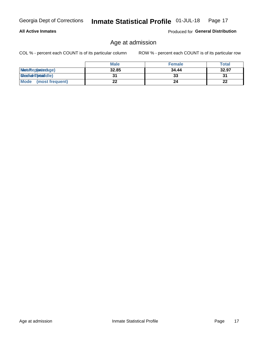#### **All Active Inmates**

Produced for General Distribution

## Age at admission

COL % - percent each COUNT is of its particular column

|                         | <b>Male</b> | <b>Female</b> | <b>Total</b> |
|-------------------------|-------------|---------------|--------------|
| MetaRep(anterage)       | 32.85       | 34.44         | 32.97        |
| <b>MeatianTotaddle)</b> |             | 33            | 31           |
| Mode<br>(most frequent) | 22          | 24            | 22           |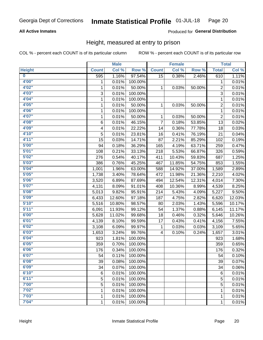#### **All Active Inmates**

#### Produced for General Distribution

### Height, measured at entry to prison

COL % - percent each COUNT is of its particular column

|                         |              | <b>Male</b> |         |                | <b>Female</b> |        |                | <b>Total</b>        |
|-------------------------|--------------|-------------|---------|----------------|---------------|--------|----------------|---------------------|
| <b>Height</b>           | <b>Count</b> | Col %       | Row %   | <b>Count</b>   | Col %         | Row %  | <b>Total</b>   | Col %               |
| $\overline{\mathbf{0}}$ | 595          | 1.16%       | 97.54%  | 15             | 0.38%         | 2.46%  | 610            | 1.11%               |
| 4'00"                   | 1            | 0.01%       | 100.00% |                |               |        | 1              | 0.01%               |
| 4'02"                   | $\mathbf{1}$ | 0.01%       | 50.00%  | 1              | 0.03%         | 50.00% | $\overline{c}$ | 0.01%               |
| 4'03''                  | 3            | 0.01%       | 100.00% |                |               |        | $\overline{3}$ | 0.01%               |
| 4'04"                   | 1            | 0.01%       | 100.00% |                |               |        | 1              | 0.01%               |
| 4'05"                   | $\mathbf{1}$ | 0.01%       | 50.00%  | 1              | 0.03%         | 50.00% | $\overline{2}$ | 0.01%               |
| 4'06"                   | $\mathbf{1}$ | 0.01%       | 100.00% |                |               |        | $\mathbf{1}$   | 0.01%               |
| 4'07"                   | 1            | 0.01%       | 50.00%  | 1              | 0.03%         | 50.00% | $\overline{c}$ | 0.01%               |
| 4'08"                   | 6            | 0.01%       | 46.15%  | $\overline{7}$ | 0.18%         | 53.85% | 13             | 0.02%               |
| 4'09"                   | 4            | 0.01%       | 22.22%  | 14             | 0.36%         | 77.78% | 18             | 0.03%               |
| 4'10"                   | 5            | 0.01%       | 23.81%  | 16             | 0.41%         | 76.19% | 21             | 0.04%               |
| 4'11''                  | 15           | 0.03%       | 14.71%  | 87             | 2.21%         | 85.29% | 102            | 0.19%               |
| 5'00''                  | 94           | 0.18%       | 36.29%  | 165            | 4.19%         | 63.71% | 259            | 0.47%               |
| 5'01"                   | 108          | 0.21%       | 33.13%  | 218            | 5.53%         | 66.87% | 326            | 0.59%               |
| 5'02"                   | 276          | 0.54%       | 40.17%  | 411            | 10.43%        | 59.83% | 687            | 1.25%               |
| 5'03"                   | 386          | 0.76%       | 45.25%  | 467            | 11.85%        | 54.75% | 853            | 1.55%               |
| 5'04"                   | 1,001        | 1.96%       | 63.00%  | 588            | 14.92%        | 37.00% | 1,589          | 2.89%               |
| 5'05"                   | 1,738        | 3.40%       | 78.64%  | 472            | 11.98%        | 21.36% | 2,210          | 4.02%               |
| 5'06''                  | 3,520        | 6.89%       | 87.69%  | 494            | 12.54%        | 12.31% | 4,014          | 7.30%               |
| 5'07''                  | 4,131        | 8.09%       | 91.01%  | 408            | 10.36%        | 8.99%  | 4,539          | 8.25%               |
| 5'08''                  | 5,013        | 9.82%       | 95.91%  | 214            | 5.43%         | 4.09%  | 5,227          | 9.50%               |
| 5'09''                  | 6,433        | 12.60%      | 97.18%  | 187            | 4.75%         | 2.82%  | 6,620          | 12.03%              |
| 5'10''                  | 5,516        | 10.80%      | 98.57%  | 80             | 2.03%         | 1.43%  | 5,596          | 10.17%              |
| 5'11"                   | 6,091        | 11.93%      | 99.12%  | 54             | 1.37%         | 0.88%  | 6,145          | 11.17%              |
| 6'00''                  | 5,628        | 11.02%      | 99.68%  | 18             | 0.46%         | 0.32%  | 5,646          | 10.26%              |
| 6'01''                  | 4,139        | 8.10%       | 99.59%  | 17             | 0.43%         | 0.41%  | 4,156          | 7.55%               |
| 6'02"                   | 3,108        | 6.09%       | 99.97%  | 1              | 0.03%         | 0.03%  | 3,109          | 5.65%               |
| 6'03''                  | 1,653        | 3.24%       | 99.76%  | 4              | 0.10%         | 0.24%  | 1,657          | 3.01%               |
| 6'04"                   | 923          | 1.81%       | 100.00% |                |               |        | 923            | 1.68%               |
| 6'05"                   | 359          | 0.70%       | 100.00% |                |               |        | 359            | 0.65%               |
| 6'06"                   | 176          | 0.34%       | 100.00% |                |               |        | 176            | 0.32%               |
| 6'07"                   | 54           | 0.11%       | 100.00% |                |               |        | 54             | 0.10%               |
| 6'08''                  | 39           | 0.08%       | 100.00% |                |               |        | 39             | 0.07%               |
| 6'09''                  | 34           | 0.07%       | 100.00% |                |               |        | 34             | 0.06%               |
| 6'10''                  | 6            | 0.01%       | 100.00% |                |               |        | $\,6$          | 0.01%               |
| 6'11''                  | 5            | 0.01%       | 100.00% |                |               |        | 5              | $\overline{0.01\%}$ |
| 7'00"                   | 5            | 0.01%       | 100.00% |                |               |        | 5              | 0.01%               |
| 7'02"                   | 1            | 0.01%       | 100.00% |                |               |        | 1              | 0.01%               |
| 7'03''                  | 1            | 0.01%       | 100.00% |                |               |        | $\mathbf{1}$   | 0.01%               |
| 7'04"                   | 1            | 0.01%       | 100.00% |                |               |        | $\mathbf{1}$   | $\overline{0.01\%}$ |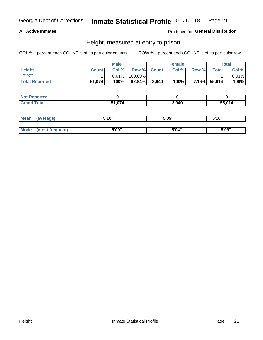#### **All Active Inmates**

#### Produced for General Distribution

### Height, measured at entry to prison

COL % - percent each COUNT is of its particular column

|                       | <b>Male</b>  |          | <b>Female</b> |             |       | Total |              |       |
|-----------------------|--------------|----------|---------------|-------------|-------|-------|--------------|-------|
| <b>Height</b>         | <b>Count</b> | Col %    |               | Row % Count | Col % | Row % | <b>Total</b> | Col % |
| 7'07"                 |              | $0.01\%$ | 100.00%       |             |       |       |              | 0.01% |
| <b>Total Reported</b> | 51,074       | 100%     | $92.84\%$     | 3,940       | 100%  |       | 7.16% 55,014 | 100%  |

| <b>Not Reported</b> |        |       |        |
|---------------------|--------|-------|--------|
| <b>Grand Total</b>  | 51,074 | 3,940 | 55,014 |

| <b>Mean</b> | (average)       | 5'10" | 5'05" | 5'10" |
|-------------|-----------------|-------|-------|-------|
|             |                 |       |       |       |
| Mode        | (most frequent) | 5'09" | 5'04" | 5'09" |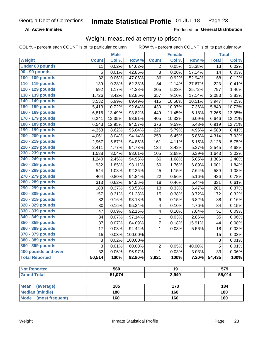**All Active Inmates** 

Produced for General Distribution

## Weight, measured at entry to prison

COL % - percent each COUNT is of its particular column

ROW % - percent each COUNT is of its particular row

|                                |              | <b>Male</b> |         |                | <b>Female</b>   |        |                 | <b>Total</b> |
|--------------------------------|--------------|-------------|---------|----------------|-----------------|--------|-----------------|--------------|
| <b>Weight</b>                  | <b>Count</b> | Col %       | Row %   | <b>Count</b>   | Col %           | Row %  | <b>Total</b>    | Col %        |
| <b>Under 80 pounds</b>         | 11           | 0.02%       | 84.62%  | $\overline{c}$ | 0.05%           | 15.38% | $\overline{13}$ | 0.02%        |
| 90 - 99 pounds                 | 6            | 0.01%       | 42.86%  | 8              | 0.20%           | 57.14% | 14              | 0.03%        |
| 100 - 109 pounds               | 32           | 0.06%       | 47.06%  | 36             | 0.92%           | 52.94% | 68              | 0.12%        |
| 110 - 119 pounds               | 139          | 0.28%       | 62.33%  | 84             | 2.14%           | 37.67% | 223             | 0.41%        |
| 120 - 129 pounds               | 592          | 1.17%       | 74.28%  | 205            | 5.23%           | 25.72% | 797             | 1.46%        |
| 130 - 139 pounds               | 1,726        | 3.42%       | 82.86%  | 357            | 9.10%           | 17.14% | 2,083           | 3.83%        |
| 140 - 149 pounds               | 3,532        | 6.99%       | 89.49%  | 415            | 10.58%          | 10.51% | 3,947           | 7.25%        |
| 150 - 159 pounds               | 5,413        | 10.72%      | 92.64%  | 430            | 10.97%          | 7.36%  | 5,843           | 10.73%       |
| 160 - 169 pounds               | 6,816        | 13.49%      | 93.82%  | 449            | 11.45%          | 6.18%  | 7,265           | 13.35%       |
| 170 - 179 pounds               | 6,241        | 12.35%      | 93.91%  | 405            | 10.33%          | 6.09%  | 6,646           | 12.21%       |
| 180 - 189 pounds               | 6,543        | 12.95%      | 94.57%  | 376            | 9.59%           | 5.43%  | 6,919           | 12.71%       |
| 190 - 199 pounds               | 4,353        | 8.62%       | 95.04%  | 227            | 5.79%           | 4.96%  | 4,580           | 8.41%        |
| 200 - 209 pounds               | 4,061        | 8.04%       | 94.14%  | 253            | 6.45%           | 5.86%  | 4,314           | 7.93%        |
| 210 - 219 pounds               | 2,967        | 5.87%       | 94.85%  | 161            | 4.11%           | 5.15%  | 3,128           | 5.75%        |
| 220 - 229 pounds               | 2,411        | 4.77%       | 94.73%  | 134            | 3.42%           | 5.27%  | 2,545           | 4.68%        |
| 230 - 239 pounds               | 1,538        | 3.04%       | 93.61%  | 105            | 2.68%           | 6.39%  | 1,643           | 3.02%        |
| 240 - 249 pounds               | 1,240        | 2.45%       | 94.95%  | 66             | 1.68%           | 5.05%  | 1,306           | 2.40%        |
| 250 - 259 pounds               | 932          | 1.85%       | 93.11%  | 69             | 1.76%           | 6.89%  | 1,001           | 1.84%        |
| 260 - 269 pounds               | 544          | 1.08%       | 92.36%  | 45             | 1.15%           | 7.64%  | 589             | 1.08%        |
| 270 - 279 pounds               | 404          | 0.80%       | 94.84%  | 22             | 0.56%           | 5.16%  | 426             | 0.78%        |
| 280 - 289 pounds               | 313          | 0.62%       | 94.56%  | 18             | 0.46%           | 5.44%  | 331             | 0.61%        |
| 290 - 299 pounds               | 188          | 0.37%       | 93.53%  | 13             | 0.33%           | 6.47%  | 201             | 0.37%        |
| 300 - 309 pounds               | 157          | 0.31%       | 91.28%  | 15             | 0.38%           | 8.72%  | 172             | 0.32%        |
| 310 - 319 pounds               | 82           | 0.16%       | 93.18%  | $\,6$          | 0.15%           | 6.82%  | 88              | 0.16%        |
| 320 - 329 pounds               | 80           | 0.16%       | 95.24%  | 4              | 0.10%           | 4.76%  | 84              | 0.15%        |
| 330 - 339 pounds               | 47           | 0.09%       | 92.16%  | 4              | 0.10%           | 7.84%  | 51              | 0.09%        |
| 340 - 349 pounds               | 34           | 0.07%       | 97.14%  | $\mathbf 1$    | 0.03%           | 2.86%  | 35              | 0.06%        |
| 350 - 359 pounds               | 37           | 0.07%       | 84.09%  | $\overline{7}$ | 0.18%           | 15.91% | 44              | 0.08%        |
| 360 - 369 pounds               | 17           | 0.03%       | 94.44%  | $\mathbf{1}$   | 0.03%           | 5.56%  | 18              | 0.03%        |
| 370 - 379 pounds               | 15           | 0.03%       | 100.00% |                |                 |        | 15              | 0.03%        |
| 380 - 389 pounds               | 8            | 0.02%       | 100.00% |                |                 |        | $\bf 8$         | 0.01%        |
| 390 - 399 pounds               | 3            | 0.01%       | 60.00%  | 2              | 0.05%           | 40.00% | 5               | 0.01%        |
| 400 pounds and over            | 32           | 0.06%       | 96.97%  | $\mathbf{1}$   | 0.03%           | 3.03%  | 33              | 0.06%        |
| <b>Total Reported</b>          | 50,514       | 100%        | 92.80%  | 3,921          | 100%            | 7.20%  | 54,435          | 100%         |
|                                |              |             |         |                |                 |        |                 |              |
| <b>Not Reported</b>            |              | 560         |         |                | $\overline{19}$ |        |                 | 579          |
| <b>Grand Total</b>             |              | 51,074      |         |                | 3,940           |        |                 | 55,014       |
|                                |              |             |         |                |                 |        |                 |              |
| <b>Mean</b><br>(average)       |              | 185         |         |                | 173             |        |                 | 184          |
| <b>Median (middle)</b>         |              | 180         |         |                | 168             |        |                 | 180          |
| <b>Mode</b><br>(most frequent) |              | 160         |         |                | 160             |        |                 | 160          |

Weight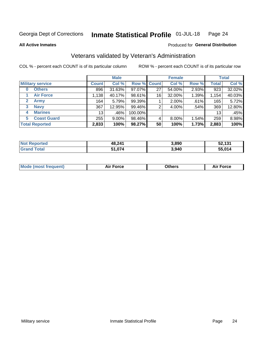#### Inmate Statistical Profile 01-JUL-18 Page 24

**All Active Inmates** 

#### Produced for General Distribution

## Veterans validated by Veteran's Administration

COL % - percent each COUNT is of its particular column

|                             |                 | <b>Male</b> |             |    | <b>Female</b> |          |              | <b>Total</b> |
|-----------------------------|-----------------|-------------|-------------|----|---------------|----------|--------------|--------------|
| <b>Military service</b>     | <b>Count</b>    | Col %       | Row % Count |    | Col %         | Row %    | <b>Total</b> | Col %        |
| <b>Others</b><br>0          | 896             | 31.63%      | 97.07%      | 27 | 54.00%        | 2.93%    | 923          | 32.02%       |
| <b>Air Force</b>            | 1,138           | 40.17%      | 98.61%      | 16 | 32.00%        | 1.39%    | 1,154        | 40.03%       |
| <b>Army</b><br>$\mathbf{2}$ | 164             | 5.79%       | 99.39%      |    | 2.00%         | .61%     | 165          | 5.72%        |
| <b>Navy</b><br>3            | 367             | 12.95%      | 99.46%      | 2  | 4.00%         | .54%     | 369          | 12.80%       |
| <b>Marines</b><br>4         | 13 <sub>1</sub> | $.46\%$     | 100.00%     |    |               |          | 13           | .45%         |
| <b>Coast Guard</b><br>5.    | 255             | $9.00\%$    | 98.46%      | 4  | 8.00%         | $1.54\%$ | 259          | 8.98%        |
| <b>Total Reported</b>       | 2,833           | 100%        | 98.27%      | 50 | 100%          | 1.73%    | 2,883        | 100%         |

| <b>Not</b><br>Reported | 48,241 | 3,890 | 52,131 |
|------------------------|--------|-------|--------|
| `otal                  | 1,074  | 3,940 | 55,014 |

|  |  | <b>Mode (most frequent)</b> | <b>Force</b><br>Aır | วthers | orce |
|--|--|-----------------------------|---------------------|--------|------|
|--|--|-----------------------------|---------------------|--------|------|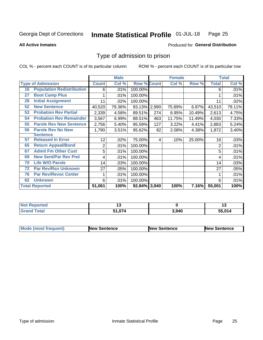#### Inmate Statistical Profile 01-JUL-18 Page 25

**All Active Inmates** 

#### Produced for General Distribution

## Type of admission to prison

COL % - percent each COUNT is of its particular column

|    |                                  |                | <b>Male</b> |                    |       | <b>Female</b> |        |              | <b>Total</b> |
|----|----------------------------------|----------------|-------------|--------------------|-------|---------------|--------|--------------|--------------|
|    | <b>Type of Admission</b>         | <b>Count</b>   | Col %       | <b>Row % Count</b> |       | Col %         | Row %  | <b>Total</b> | Col %        |
| 16 | <b>Population Redistribution</b> | 6              | .01%        | 100.00%            |       |               |        | 6            | .01%         |
| 27 | <b>Boot Camp Plus</b>            |                | .01%        | 100.00%            |       |               |        |              | .01%         |
| 28 | <b>Initial Assignment</b>        | 11             | .02%        | 100.00%            |       |               |        | 11           | .02%         |
| 52 | <b>New Sentence</b>              | 40,520         | 79.36%      | 93.13%             | 2,990 | 75.89%        | 6.87%  | 43,510       | 79.11%       |
| 53 | <b>Probation Rev Partial</b>     | 2,339          | 4.58%       | 89.51%             | 274   | 6.95%         | 10.49% | 2,613        | 4.75%        |
| 54 | <b>Probation Rev Remainder</b>   | 3,567          | 6.99%       | 88.51%             | 463   | 11.75%        | 11.49% | 4,030        | 7.33%        |
| 55 | <b>Parole Rev New Sentence</b>   | 2,756          | 5.40%       | 95.59%             | 127   | 3.22%         | 4.41%  | 2,883        | 5.24%        |
| 56 | <b>Parole Rev No New</b>         | 1,790          | 3.51%       | 95.62%             | 82    | 2.08%         | 4.38%  | 1,872        | 3.40%        |
|    | <b>Sentence</b>                  |                |             |                    |       |               |        |              |              |
| 57 | <b>Released In Error</b>         | 12             | .02%        | 75.00%             | 4     | .10%          | 25.00% | 16           | .03%         |
| 65 | <b>Return Appeal/Bond</b>        | $\overline{2}$ | .01%        | 100.00%            |       |               |        | 2            | .01%         |
| 67 | <b>Admit Fm Other Cust</b>       | 5              | .01%        | 100.00%            |       |               |        | 5            | .01%         |
| 69 | <b>New Sent/Par Rev Pnd</b>      | 4              | .01%        | 100.00%            |       |               |        | 4            | .01%         |
| 70 | <b>Life W/O Parole</b>           | 14             | .03%        | 100.00%            |       |               |        | 14           | .03%         |
| 72 | <b>Par Rev/Rsn Unknown</b>       | 27             | .05%        | 100.00%            |       |               |        | 27           | .05%         |
| 76 | <b>Par Rev/Revoc Center</b>      |                | .01%        | 100.00%            |       |               |        |              | .01%         |
| 82 | <b>Unknown</b>                   | 6              | .01%        | 100.00%            |       |               |        | 6            | .01%         |
|    | <b>Total Reported</b>            | 51,061         | 100%        | 92.84%             | 3,940 | 100%          | 7.16%  | 55,001       | 100%         |

| <b>Not Reported</b> |        |       | . .    |
|---------------------|--------|-------|--------|
| Total<br>Grang      | 51,074 | 3,940 | 55.014 |

| <b>Mode (most frequent)</b> | <b>New Sentence</b> | <b>New Sentence</b> | <b>New Sentence</b> |
|-----------------------------|---------------------|---------------------|---------------------|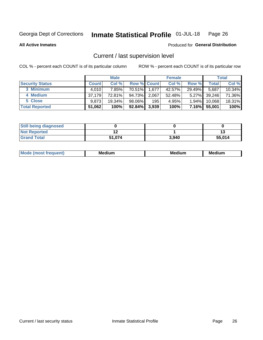#### Inmate Statistical Profile 01-JUL-18 Page 26

**All Active Inmates** 

#### Produced for General Distribution

## Current / last supervision level

COL % - percent each COUNT is of its particular column

|                        |              | <b>Male</b> |                    |       | <b>Female</b> |          |        | <b>Total</b> |
|------------------------|--------------|-------------|--------------------|-------|---------------|----------|--------|--------------|
| <b>Security Status</b> | <b>Count</b> | Col %       | <b>Row % Count</b> |       | Col %         | Row %    | Total  | Col %        |
| 3 Minimum              | 4.010        | 7.85%       | 70.51%             | 1,677 | 42.57%        | 29.49%   | 5,687  | $10.34\%$    |
| 4 Medium               | 37.179       | 72.81%      | 94.73%             | 2,067 | 52.48%        | $5.27\%$ | 39,246 | 71.36%       |
| 5 Close                | 9.873        | 19.34%      | 98.06%             | 195   | 4.95%         | $1.94\%$ | 10,068 | 18.31%       |
| <b>Total Reported</b>  | 51,062       | 100%        | $92.84\%$          | 3,939 | 100%          | $7.16\%$ | 55,001 | 100%         |

| <b>Still being diagnosed</b> |        |       |        |
|------------------------------|--------|-------|--------|
| <b>Not Reported</b>          |        |       |        |
| <b>Grand Total</b>           | 51,074 | 3,940 | 55,014 |

| w | --- | ---<br>M | - - - -<br>M |
|---|-----|----------|--------------|
|   |     |          |              |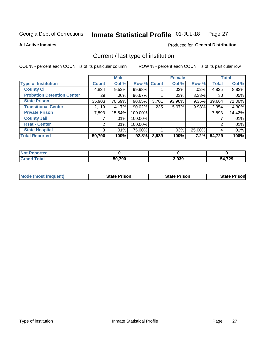#### Inmate Statistical Profile 01-JUL-18 Page 27

**All Active Inmates** 

#### Produced for General Distribution

## Current / last type of institution

COL % - percent each COUNT is of its particular column

|                                   |                 | <b>Male</b> |             |       | <b>Female</b> |        |              | <b>Total</b> |
|-----------------------------------|-----------------|-------------|-------------|-------|---------------|--------|--------------|--------------|
| <b>Type of Institution</b>        | <b>Count</b>    | Col %       | Row % Count |       | Col %         | Row %  | <b>Total</b> | Col %        |
| <b>County Ci</b>                  | 4,834           | 9.52%       | 99.98%      |       | $.03\%$       | .02%   | 4,835        | 8.83%        |
| <b>Probation Detention Center</b> | 29 <sub>1</sub> | $.06\%$     | 96.67%      |       | .03%          | 3.33%  | 30           | .05%         |
| <b>State Prison</b>               | 35,903          | 70.69%      | $90.65\%$   | 3,701 | 93.96%        | 9.35%  | 39,604       | 72.36%       |
| <b>Transitional Center</b>        | 2,119           | 4.17%       | $90.02\%$   | 235   | 5.97%         | 9.98%  | 2,354        | 4.30%        |
| <b>Private Prison</b>             | 7,893           | 15.54%      | 100.00%     |       |               |        | 7,893        | 14.42%       |
| <b>County Jail</b>                |                 | .01%        | 100.00%     |       |               |        |              | .01%         |
| <b>Rsat - Center</b>              | 2 <sub>1</sub>  | $.01\%$     | 100.00%     |       |               |        | 2            | .01%         |
| <b>State Hospital</b>             | 3 <sub>l</sub>  | $.01\%$     | 75.00%      |       | .03%          | 25.00% | 4            | .01%         |
| <b>Total Reported</b>             | 50,790          | 100%        | 92.8%       | 3,939 | 100%          | 7.2%   | 54,729       | 100%         |

| oorted<br><b>NOT</b> |        |       |        |
|----------------------|--------|-------|--------|
| `otal<br>. Gret      | 50,790 | 3,939 | 54,729 |

| Mode (most frequent) | <b>State Prison</b> | <b>State Prison</b> | <b>State Prisonl</b> |
|----------------------|---------------------|---------------------|----------------------|
|                      |                     |                     |                      |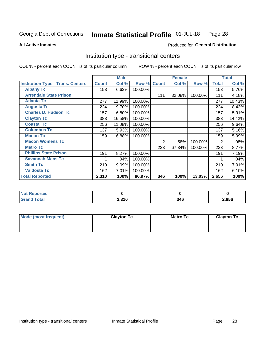#### Inmate Statistical Profile 01-JUL-18 Page 28

**All Active Inmates** 

#### Produced for General Distribution

## Institution type - transitional centers

COL % - percent each COUNT is of its particular column

|                                          |              | <b>Male</b> |         |              | <b>Female</b> |         |              | <b>Total</b> |
|------------------------------------------|--------------|-------------|---------|--------------|---------------|---------|--------------|--------------|
| <b>Institution Type - Trans. Centers</b> | <b>Count</b> | Col %       | Row %   | <b>Count</b> | Col %         | Row %   | <b>Total</b> | Col %        |
| <b>Albany Tc</b>                         | 153          | 6.62%       | 100.00% |              |               |         | 153          | 5.76%        |
| <b>Arrendale State Prison</b>            |              |             |         | 111          | 32.08%        | 100.00% | 111          | 4.18%        |
| <b>Atlanta Tc</b>                        | 277          | 11.99%      | 100.00% |              |               |         | 277          | 10.43%       |
| <b>Augusta Tc</b>                        | 224          | 9.70%       | 100.00% |              |               |         | 224          | 8.43%        |
| <b>Charles D. Hudson Tc</b>              | 157          | 6.80%       | 100.00% |              |               |         | 157          | 5.91%        |
| <b>Clayton Tc</b>                        | 383          | 16.58%      | 100.00% |              |               |         | 383          | 14.42%       |
| <b>Coastal Tc</b>                        | 256          | 11.08%      | 100.00% |              |               |         | 256          | 9.64%        |
| <b>Columbus Tc</b>                       | 137          | 5.93%       | 100.00% |              |               |         | 137          | 5.16%        |
| <b>Macon Tc</b>                          | 159          | 6.88%       | 100.00% |              |               |         | 159          | 5.99%        |
| <b>Macon Womens Tc</b>                   |              |             |         | 2            | .58%          | 100.00% | 2            | .08%         |
| <b>Metro Tc</b>                          |              |             |         | 233          | 67.34%        | 100.00% | 233          | 8.77%        |
| <b>Phillips State Prison</b>             | 191          | 8.27%       | 100.00% |              |               |         | 191          | 7.19%        |
| <b>Savannah Mens Tc</b>                  | 1            | .04%        | 100.00% |              |               |         |              | .04%         |
| <b>Smith Tc</b>                          | 210          | 9.09%       | 100.00% |              |               |         | 210          | 7.91%        |
| <b>Valdosta Tc</b>                       | 162          | 7.01%       | 100.00% |              |               |         | 162          | 6.10%        |
| <b>Total Reported</b>                    | 2,310        | 100%        | 86.97%  | 346          | 100%          | 13.03%  | 2,656        | 100%         |

| тес.            |       |     |      |
|-----------------|-------|-----|------|
| $\sim$ - $\sim$ | 2,310 | 34G | ,656 |

| Mode (most frequent) | <b>Clayton Tc</b> | <b>Metro Tc</b> | <b>Clayton Tc</b> |
|----------------------|-------------------|-----------------|-------------------|
|                      |                   |                 |                   |
|                      |                   |                 |                   |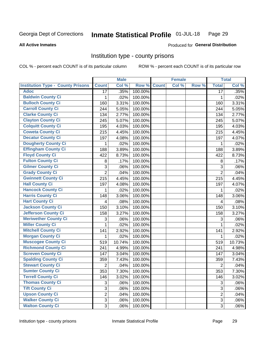#### Inmate Statistical Profile 01-JUL-18 Page 29

#### **All Active Inmates**

#### Produced for General Distribution

#### Institution type - county prisons

COL % - percent each COUNT is of its particular column

|                                          |                           | <b>Male</b> |         |              | <b>Female</b> |       |                 | <b>Total</b> |
|------------------------------------------|---------------------------|-------------|---------|--------------|---------------|-------|-----------------|--------------|
| <b>Institution Type - County Prisons</b> | <b>Count</b>              | Col %       | Row %   | <b>Count</b> | Col %         | Row % | <b>Total</b>    | Col %        |
| <b>Adoc</b>                              | 17                        | .35%        | 100.00% |              |               |       | $\overline{17}$ | .35%         |
| <b>Baldwin County Ci</b>                 | 1                         | .02%        | 100.00% |              |               |       | 1               | .02%         |
| <b>Bulloch County Ci</b>                 | 160                       | 3.31%       | 100.00% |              |               |       | 160             | 3.31%        |
| <b>Carroll County Ci</b>                 | 244                       | 5.05%       | 100.00% |              |               |       | 244             | 5.05%        |
| <b>Clarke County Ci</b>                  | 134                       | 2.77%       | 100.00% |              |               |       | 134             | 2.77%        |
| <b>Clayton County Ci</b>                 | 245                       | 5.07%       | 100.00% |              |               |       | 245             | 5.07%        |
| <b>Colquitt County Ci</b>                | 195                       | 4.03%       | 100.00% |              |               |       | 195             | 4.03%        |
| <b>Coweta County Ci</b>                  | 215                       | 4.45%       | 100.00% |              |               |       | 215             | 4.45%        |
| <b>Decatur County Ci</b>                 | 197                       | 4.08%       | 100.00% |              |               |       | 197             | 4.07%        |
| <b>Dougherty County Ci</b>               | 1                         | .02%        | 100.00% |              |               |       | 1               | .02%         |
| <b>Effingham County Ci</b>               | 188                       | 3.89%       | 100.00% |              |               |       | 188             | 3.89%        |
| <b>Floyd County Ci</b>                   | 422                       | 8.73%       | 100.00% |              |               |       | 422             | 8.73%        |
| <b>Fulton County Ci</b>                  | 8                         | .17%        | 100.00% |              |               |       | 8               | .17%         |
| <b>Gilmer County Ci</b>                  | 3                         | .06%        | 100.00% |              |               |       | 3               | .06%         |
| <b>Grady County Ci</b>                   | $\overline{2}$            | .04%        | 100.00% |              |               |       | $\overline{2}$  | .04%         |
| <b>Gwinnett County Ci</b>                | 215                       | 4.45%       | 100.00% |              |               |       | 215             | 4.45%        |
| <b>Hall County Ci</b>                    | 197                       | 4.08%       | 100.00% |              |               |       | 197             | 4.07%        |
| <b>Hancock County Ci</b>                 | 1                         | .02%        | 100.00% |              |               |       | 1               | .02%         |
| <b>Harris County Ci</b>                  | 148                       | 3.06%       | 100.00% |              |               |       | 148             | 3.06%        |
| <b>Hart County Ci</b>                    | 4                         | .08%        | 100.00% |              |               |       | 4               | .08%         |
| <b>Jackson County Ci</b>                 | 150                       | 3.10%       | 100.00% |              |               |       | 150             | 3.10%        |
| <b>Jefferson County Ci</b>               | 158                       | 3.27%       | 100.00% |              |               |       | 158             | 3.27%        |
| <b>Meriwether County Ci</b>              | $\ensuremath{\mathsf{3}}$ | .06%        | 100.00% |              |               |       | 3               | .06%         |
| <b>Miller County Ci</b>                  | $\mathbf 1$               | .02%        | 100.00% |              |               |       | $\mathbf 1$     | .02%         |
| <b>Mitchell County Ci</b>                | 141                       | 2.92%       | 100.00% |              |               |       | 141             | 2.92%        |
| <b>Morgan County Ci</b>                  | 1                         | .02%        | 100.00% |              |               |       | 1               | .02%         |
| <b>Muscogee County Ci</b>                | 519                       | 10.74%      | 100.00% |              |               |       | 519             | 10.73%       |
| <b>Richmond County Ci</b>                | 241                       | 4.99%       | 100.00% |              |               |       | 241             | 4.98%        |
| <b>Screven County Ci</b>                 | 147                       | 3.04%       | 100.00% |              |               |       | 147             | 3.04%        |
| <b>Spalding County Ci</b>                | 359                       | 7.43%       | 100.00% |              |               |       | 359             | 7.43%        |
| <b>Stewart County Ci</b>                 | $\overline{2}$            | .04%        | 100.00% |              |               |       | $\overline{2}$  | .04%         |
| <b>Sumter County Ci</b>                  | 353                       | 7.30%       | 100.00% |              |               |       | 353             | 7.30%        |
| <b>Terrell County Ci</b>                 | 146                       | 3.02%       | 100.00% |              |               |       | 146             | 3.02%        |
| <b>Thomas County Ci</b>                  | 3                         | .06%        | 100.00% |              |               |       | 3               | .06%         |
| <b>Tift County Ci</b>                    | $\mathfrak{S}$            | .06%        | 100.00% |              |               |       | 3               | .06%         |
| <b>Upson County Ci</b>                   | $\overline{2}$            | .04%        | 100.00% |              |               |       | $\overline{2}$  | .04%         |
| <b>Walker County Ci</b>                  | 3                         | .06%        | 100.00% |              |               |       | 3               | .06%         |
| <b>Walton County Ci</b>                  | 3                         | .06%        | 100.00% |              |               |       | 3               | .06%         |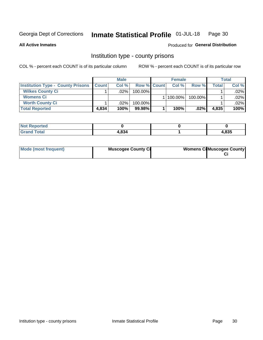#### Inmate Statistical Profile 01-JUL-18 Page 30

**All Active Inmates** 

#### Produced for General Distribution

#### Institution type - county prisons

COL % - percent each COUNT is of its particular column

|                                          |              | <b>Male</b> |                    | <b>Female</b> |         |         | <b>Total</b> |
|------------------------------------------|--------------|-------------|--------------------|---------------|---------|---------|--------------|
| <b>Institution Type - County Prisons</b> | <b>Count</b> | Col%        | <b>Row % Count</b> | Col%          | Row %   | Total i | Col %        |
| <b>Wilkes County Ci</b>                  |              | .02%        | $100.00\%$         |               |         |         | $.02\%$      |
| <b>Womens Ci</b>                         |              |             |                    | 100.00%       | 100.00% |         | $.02\%$      |
| <b>Worth County Ci</b>                   |              | $.02\%$     | 100.00%            |               |         |         | $.02\%$      |
| <b>Total Reported</b>                    | 4,834        | $100\%$     | 99.98%             | 100%          | $.02\%$ | 4,835   | 100%         |

| <u>ica</u><br>. |                   |                 |
|-----------------|-------------------|-----------------|
| _____           | $\sim$<br>- 1.345 | $\theta$<br>າວວ |

| Mode (most frequent) | <b>Muscogee County Ci</b> | <b>Womens Ci</b> Muscogee County |
|----------------------|---------------------------|----------------------------------|
|----------------------|---------------------------|----------------------------------|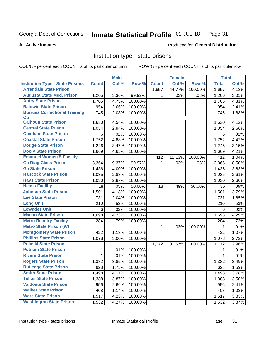#### Inmate Statistical Profile 01-JUL-18 Page 31

#### **All Active Inmates**

#### **Produced for General Distribution**

#### Institution type - state prisons

COL % - percent each COUNT is of its particular column

|                                         |              | <b>Male</b> |         |                    | <b>Female</b> |         | <b>Total</b> |       |
|-----------------------------------------|--------------|-------------|---------|--------------------|---------------|---------|--------------|-------|
| <b>Institution Type - State Prisons</b> | <b>Count</b> | Col %       | Row %   | <b>Count</b>       | Col %         | Row %   | <b>Total</b> | Col % |
| <b>Arrendale State Prison</b>           |              |             |         | $\overline{1,657}$ | 44.77%        | 100.00% | 1,657        | 4.18% |
| <b>Augusta State Med. Prison</b>        | 1,205        | 3.36%       | 99.92%  | 1                  | .03%          | .08%    | 1,206        | 3.05% |
| <b>Autry State Prison</b>               | 1,705        | 4.75%       | 100.00% |                    |               |         | 1,705        | 4.31% |
| <b>Baldwin State Prison</b>             | 954          | 2.66%       | 100.00% |                    |               |         | 954          | 2.41% |
| <b>Burruss Correctional Training</b>    | 745          | 2.08%       | 100.00% |                    |               |         | 745          | 1.88% |
| <b>Ctr</b>                              |              |             |         |                    |               |         |              |       |
| <b>Calhoun State Prison</b>             | 1,630        | 4.54%       | 100.00% |                    |               |         | 1,630        | 4.12% |
| <b>Central State Prison</b>             | 1,054        | 2.94%       | 100.00% |                    |               |         | 1,054        | 2.66% |
| <b>Chatham State Prison</b>             | 6            | .02%        | 100.00% |                    |               |         | 6            | .02%  |
| <b>Coastal State Prison</b>             | 1,752        | 4.88%       | 100.00% |                    |               |         | 1,752        | 4.42% |
| <b>Dodge State Prison</b>               | 1,246        | 3.47%       | 100.00% |                    |               |         | 1,246        | 3.15% |
| <b>Dooly State Prison</b>               | 1,669        | 4.65%       | 100.00% |                    |               |         | 1,669        | 4.21% |
| <b>Emanuel Women'S Facility</b>         |              |             |         | 412                | 11.13%        | 100.00% | 412          | 1.04% |
| <b>Ga Diag Class Prison</b>             | 3,364        | 9.37%       | 99.97%  | $\mathbf 1$        | .03%          | .03%    | 3,365        | 8.50% |
| <b>Ga State Prison</b>                  | 1,436        | 4.00%       | 100.00% |                    |               |         | 1,436        | 3.63% |
| <b>Hancock State Prison</b>             | 1,035        | 2.88%       | 100.00% |                    |               |         | 1,035        | 2.61% |
| <b>Hays State Prison</b>                | 1,030        | 2.87%       | 100.00% |                    |               |         | 1,030        | 2.60% |
| <b>Helms Facility</b>                   | 18           | .05%        | 50.00%  | 18                 | .49%          | 50.00%  | 36           | .09%  |
| <b>Johnson State Prison</b>             | 1,501        | 4.18%       | 100.00% |                    |               |         | 1,501        | 3.79% |
| <b>Lee State Prison</b>                 | 731          | 2.04%       | 100.00% |                    |               |         | 731          | 1.85% |
| <b>Long Unit</b>                        | 210          | .58%        | 100.00% |                    |               |         | 210          | .53%  |
| <b>Lowndes Unit</b>                     | 6            | .02%        | 100.00% |                    |               |         | 6            | .02%  |
| <b>Macon State Prison</b>               | 1,698        | 4.73%       | 100.00% |                    |               |         | 1,698        | 4.29% |
| <b>Metro Reentry Facility</b>           | 284          | .79%        | 100.00% |                    |               |         | 284          | .72%  |
| <b>Metro State Prison (W)</b>           |              |             |         | 1                  | .03%          | 100.00% | 1            | .01%  |
| <b>Montgomery State Prison</b>          | 422          | 1.18%       | 100.00% |                    |               |         | 422          | 1.07% |
| <b>Phillips State Prison</b>            | 1,078        | 3.00%       | 100.00% |                    |               |         | 1,078        | 2.72% |
| <b>Pulaski State Prison</b>             |              |             |         | 1,172              | 31.67%        | 100.00% | 1,172        | 2.96% |
| <b>Putnam State Prison</b>              | 1            | .01%        | 100.00% |                    |               |         | 1            | .01%  |
| <b>Rivers State Prison</b>              | 1            | .01%        | 100.00% |                    |               |         | 1            | .01%  |
| <b>Rogers State Prison</b>              | 1,382        | 3.85%       | 100.00% |                    |               |         | 1,382        | 3.49% |
| <b>Rutledge State Prison</b>            | 628          | 1.75%       | 100.00% |                    |               |         | 628          | 1.59% |
| <b>Smith State Prison</b>               | 1,498        | 4.17%       | 100.00% |                    |               |         | 1,498        | 3.78% |
| <b>Telfair State Prison</b>             | 1,388        | 3.87%       | 100.00% |                    |               |         | 1,388        | 3.50% |
| <b>Valdosta State Prison</b>            | 956          | 2.66%       | 100.00% |                    |               |         | 956          | 2.41% |
| <b>Walker State Prison</b>              | 408          | 1.14%       | 100.00% |                    |               |         | 408          | 1.03% |
| <b>Ware State Prison</b>                | 1,517        | 4.23%       | 100.00% |                    |               |         | 1,517        | 3.83% |
| <b>Washington State Prison</b>          | 1,532        | 4.27%       | 100.00% |                    |               |         | 1,532        | 3.87% |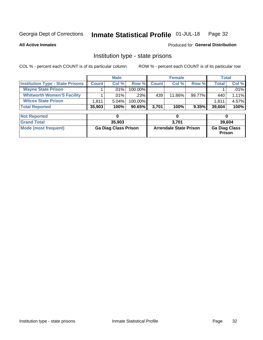#### Inmate Statistical Profile 01-JUL-18 Page 32

#### **All Active Inmates**

#### Produced for General Distribution

## Institution type - state prisons

COL % - percent each COUNT is of its particular column

|                                         |              | <b>Male</b> |            |              | <b>Female</b> |          |        | Total    |
|-----------------------------------------|--------------|-------------|------------|--------------|---------------|----------|--------|----------|
| <b>Institution Type - State Prisons</b> | <b>Count</b> | Col %       | Row %      | <b>Count</b> | Col %         | Row %    | Total. | Col %    |
| <b>Wayne State Prison</b>               |              | $.01\%$     | $100.00\%$ |              |               |          |        | .01%     |
| <b>Whitworth Women'S Facility</b>       |              | $.01\%$     | $.23\%$    | 439          | 11.86%        | 99.77%   | 440    | $1.11\%$ |
| <b>Wilcox State Prison</b>              | 1,811        | $5.04\%$    | 100.00%    |              |               |          | 1.811  | 4.57%    |
| <b>Total Reported</b>                   | 35,903       | 100%        | $90.65\%$  | 3.701        | 100%          | $9.35\%$ | 39,604 | 100%     |

| <b>Not Reported</b>  |                             |                               |                                       |
|----------------------|-----------------------------|-------------------------------|---------------------------------------|
| <b>Grand Total</b>   | 35,903                      | 3.701                         | 39,604                                |
| Mode (most frequent) | <b>Ga Diag Class Prison</b> | <b>Arrendale State Prison</b> | <b>Ga Diag Class</b><br><b>Prison</b> |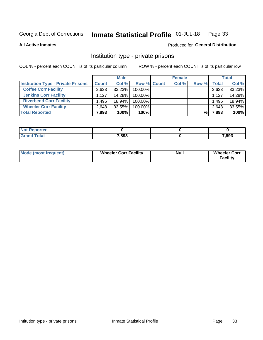#### Inmate Statistical Profile 01-JUL-18 Page 33

#### **All Active Inmates**

## Produced for General Distribution

## Institution type - private prisons

COL % - percent each COUNT is of its particular column

|                                           |              | <b>Male</b> |                    | <b>Female</b> |       |       | <b>Total</b> |
|-------------------------------------------|--------------|-------------|--------------------|---------------|-------|-------|--------------|
| <b>Institution Type - Private Prisons</b> | <b>Count</b> | Col %       | <b>Row % Count</b> | Col %         | Row % | Total | Col %        |
| <b>Coffee Corr Facility</b>               | 2.623        | 33.23%      | 100.00%            |               |       | 2,623 | 33.23%       |
| <b>Jenkins Corr Facility</b>              | 1.127        | 14.28%      | $100.00\%$         |               |       | 1,127 | 14.28%       |
| <b>Riverbend Corr Facility</b>            | .495         | 18.94%      | 100.00%            |               |       | 1,495 | 18.94%       |
| <b>Wheeler Corr Facility</b>              | 2,648        | 33.55%      | 100.00%            |               |       | 2,648 | 33.55%       |
| <b>Total Reported</b>                     | 7,893        | 100%        | 100%               |               | %     | 7,893 | 100%         |

| <b>Reported</b><br>' NOI |       |       |
|--------------------------|-------|-------|
| <b>Total</b>             | 7,893 | 7,893 |

| <b>Mode (most frequent)</b> | <b>Wheeler Corr Facility</b> | <b>Null</b> | <b>Wheeler Corr</b><br><b>Facility</b> |
|-----------------------------|------------------------------|-------------|----------------------------------------|
|-----------------------------|------------------------------|-------------|----------------------------------------|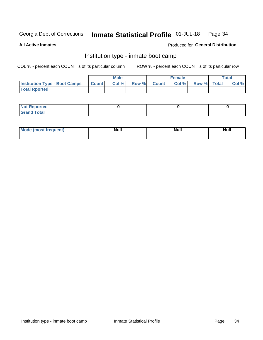#### Inmate Statistical Profile 01-JUL-18 Page 34

**All Active Inmates** 

#### Produced for General Distribution

## Institution type - inmate boot camp

COL % - percent each COUNT is of its particular column

|                                      |                  | <b>Male</b> |              |              | <b>Female</b> |             | <b>Total</b> |
|--------------------------------------|------------------|-------------|--------------|--------------|---------------|-------------|--------------|
| <b>Institution Type - Boot Camps</b> | <b>I</b> Count I | Col %       | <b>Row %</b> | <b>Count</b> | Col %         | Row % Total | Col %        |
| <b>Total Rported</b>                 |                  |             |              |              |               |             |              |

| <b>Not Reported</b>            |  |  |
|--------------------------------|--|--|
| <b>Total</b><br>C <sub>r</sub> |  |  |

| Mod<br>uamo | Nul.<br>$- - - - - -$ | <b>Null</b> | . .<br>uu.<br>------ |
|-------------|-----------------------|-------------|----------------------|
|             |                       |             |                      |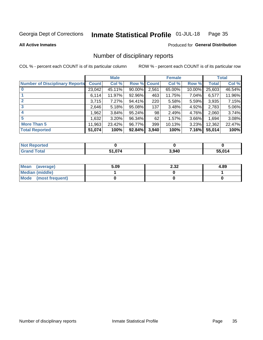#### Inmate Statistical Profile 01-JUL-18 Page 35

**All Active Inmates** 

#### Produced for General Distribution

## Number of disciplinary reports

COL % - percent each COUNT is of its particular column

|                                       |              | <b>Male</b> |             |       | <b>Female</b> |        |        | <b>Total</b> |
|---------------------------------------|--------------|-------------|-------------|-------|---------------|--------|--------|--------------|
| <b>Number of Disciplinary Reports</b> | <b>Count</b> | Col %       | Row % Count |       | Col %         | Row %  | Total  | Col %        |
| $\bf{0}$                              | 23,042       | 45.11%      | $90.00\%$   | 2,561 | 65.00%        | 10.00% | 25,603 | 46.54%       |
|                                       | 6,114        | 11.97%      | 92.96%      | 463   | 11.75%        | 7.04%  | 6,577  | 11.96%       |
| $\mathbf{2}$                          | 3,715        | 7.27%       | 94.41%      | 220   | 5.58%         | 5.59%  | 3,935  | 7.15%        |
| 3                                     | 2,646        | 5.18%       | 95.08%      | 137   | 3.48%         | 4.92%  | 2,783  | 5.06%        |
|                                       | .962         | 3.84%       | 95.24%      | 98    | 2.49%         | 4.76%  | 2,060  | 3.74%        |
| 5                                     | 1,632        | 3.20%       | 96.34%      | 62    | 1.57%         | 3.66%  | 1,694  | 3.08%        |
| <b>More Than 5</b>                    | 11,963       | 23.42%      | 96.77%      | 399   | 10.13%        | 3.23%  | 12,362 | 22.47%       |
| <b>Total Reported</b>                 | 51,074       | 100%        | 92.84%      | 3,940 | 100%          | 7.16%  | 55,014 | 100%         |

| <b>Reported</b><br>Not F |        |       |        |
|--------------------------|--------|-------|--------|
| Total                    | 51,074 | 3,940 | 55.014 |

| Mean (average)         | 5.09 | 2.32 | 4.89 |
|------------------------|------|------|------|
| <b>Median (middle)</b> |      |      |      |
| Mode (most frequent)   |      |      |      |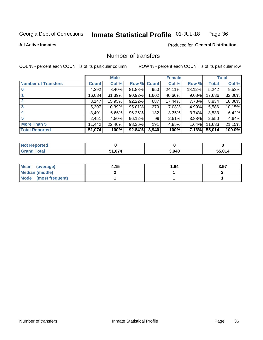#### Inmate Statistical Profile 01-JUL-18 Page 36

**All Active Inmates** 

#### **Produced for General Distribution**

## Number of transfers

COL % - percent each COUNT is of its particular column

|                            |              | <b>Male</b> |             |       | <b>Female</b> |              |        | <b>Total</b> |
|----------------------------|--------------|-------------|-------------|-------|---------------|--------------|--------|--------------|
| <b>Number of Transfers</b> | <b>Count</b> | Col %       | Row % Count |       | Col %         | Row %        | Total  | Col %        |
| $\bf{0}$                   | 4,292        | 8.40%       | 81.88%      | 950   | 24.11%        | 18.12%       | 5,242  | 9.53%        |
|                            | 16,034       | 31.39%      | 90.92%      | 1,602 | 40.66%        | 9.08%        | 17,636 | 32.06%       |
| $\mathbf{2}$               | 8,147        | 15.95%      | 92.22%      | 687   | 17.44%        | 7.78%        | 8,834  | 16.06%       |
| 3                          | 5,307        | 10.39%      | 95.01%      | 279   | 7.08%         | 4.99%        | 5,586  | 10.15%       |
|                            | 3.401        | 6.66%       | 96.26%      | 132   | 3.35%         | 3.74%        | 3,533  | 6.42%        |
| 5                          | 2,451        | 4.80%       | 96.12%      | 99    | 2.51%         | 3.88%        | 2,550  | 4.64%        |
| <b>More Than 5</b>         | 11,442       | 22.40%      | 98.36%      | 191   | 4.85%         | 1.64%        | 11,633 | 21.15%       |
| <b>Total Reported</b>      | 51,074       | 100%        | 92.84%      | 3,940 | 100%          | <b>7.16%</b> | 55,014 | 100.0%       |

| Reported<br>Not F |      |       |        |
|-------------------|------|-------|--------|
| <b>Total</b>      | .074 | 3,940 | 55.014 |

| Mean (average)         | 4.15 | 1.64 | 3.97 |
|------------------------|------|------|------|
| <b>Median (middle)</b> |      |      |      |
| Mode (most frequent)   |      |      |      |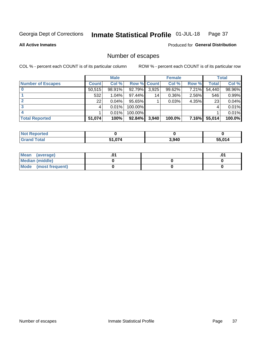#### Inmate Statistical Profile 01-JUL-18 Page 37

**All Active Inmates** 

**Produced for General Distribution** 

## Number of escapes

COL % - percent each COUNT is of its particular column

|                          |              | <b>Male</b> |                    |       | <b>Female</b> |       |        | <b>Total</b> |
|--------------------------|--------------|-------------|--------------------|-------|---------------|-------|--------|--------------|
| <b>Number of Escapes</b> | <b>Count</b> | Col %       | <b>Row % Count</b> |       | Col %         | Row % | Total  | Col %        |
|                          | 50,515       | 98.91%      | 92.79%             | 3,925 | 99.62%        | 7.21% | 54,440 | 98.96%       |
|                          | 532          | 1.04%       | 97.44%             | 14    | 0.36%         | 2.56% | 546    | 0.99%        |
|                          | 22           | 0.04%       | 95.65%             |       | 0.03%         | 4.35% | 23     | 0.04%        |
|                          |              | 0.01%       | 100.00%            |       |               |       | 4      | 0.01%        |
|                          |              | 0.01%       | 100.00%            |       |               |       |        | 0.01%        |
| <b>Total Reported</b>    | 51,074       | 100%        | 92.84%             | 3,940 | 100.0%        | 7.16% | 55,014 | 100.0%       |

| Teo |        |       |        |
|-----|--------|-------|--------|
|     | 51,074 | 3,940 | 55.014 |

| Mean (average)         |  | .0 <sup>4</sup> |
|------------------------|--|-----------------|
| <b>Median (middle)</b> |  |                 |
| Mode (most frequent)   |  |                 |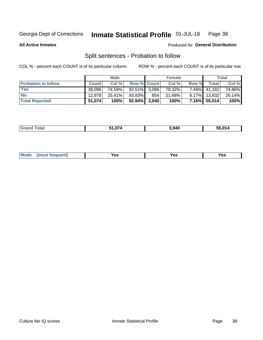#### Inmate Statistical Profile 01-JUL-18 Page 38

**All Active Inmates** 

#### Produced for General Distribution

## Split sentences - Probation to follow

COL % - percent each COUNT is of its particular column

|                            |              | <b>Male</b> |                 |     | <b>Female</b> |          |              | <b>Total</b> |
|----------------------------|--------------|-------------|-----------------|-----|---------------|----------|--------------|--------------|
| <b>Probation to follow</b> | <b>Count</b> | Col%        | Row % Count     |     | Col %         | Row %    | Totall       | Col %        |
| <b>Yes</b>                 | 38.096       | 74.59%      | $92.51\%$ 3.086 |     | 78.32%        |          | 7.49% 41,182 | 74.86%       |
| <b>No</b>                  | 12.978       | $25.41\%$   | 93.83%          | 854 | 21.68%        |          | 6.17% 13,832 | 25.14%       |
| <b>Total Reported</b>      | 51,074       | 100%        | $92.84\%$ 3,940 |     | 100%          | $7.16\%$ | 55,014       | 100%         |

| 3,940<br>otal<br>$\sim$ |
|-------------------------|
|-------------------------|

| <b>Mode</b><br>reauent)<br>Yes<br>v.c<br>0٥<br>.<br>. .<br>$\sim$ |
|-------------------------------------------------------------------|
|-------------------------------------------------------------------|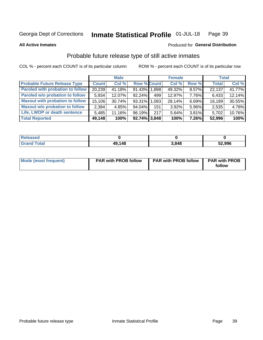#### Inmate Statistical Profile 01-JUL-18 Page 39

**All Active Inmates** 

#### Produced for General Distribution

## Probable future release type of still active inmates

COL % - percent each COUNT is of its particular column

|                                         |              | <b>Male</b> |                 |     | <b>Female</b> |          | <b>Total</b> |        |
|-----------------------------------------|--------------|-------------|-----------------|-----|---------------|----------|--------------|--------|
| <b>Probable Future Release Type</b>     | <b>Count</b> | Col %       | Row % Count     |     | Col %         | Row %    | <b>Total</b> | Col %  |
| <b>Paroled with probation to follow</b> | 20,239       | 41.18%      | 91.43% 1.898    |     | 49.32%        | 8.57%    | 22,137       | 41.77% |
| Paroled w/o probation to follow         | 5,934        | 12.07%      | 92.24%          | 499 | 12.97%        | 7.76%    | 6,433        | 12.14% |
| <b>Maxout with probation to follow</b>  | 15,106       | $30.74\%$   | 93.31% 1.083    |     | 28.14%        | 6.69%    | 16,189       | 30.55% |
| <b>Maxout w/o probation to follow</b>   | 2,384        | 4.85%       | 94.04%          | 151 | 3.92%         | 5.96%    | 2,535        | 4.78%  |
| Life, LWOP or death sentence            | 5,485        | 11.16%      | 96.19%          | 217 | 5.64%         | 3.81%    | 5,702        | 10.76% |
| <b>Total Reported</b>                   | 49,148       | 100%        | $92.74\%$ 3,848 |     | 100%          | $7.26\%$ | 52,996       | 100%   |

| eleased       |        |       |        |  |
|---------------|--------|-------|--------|--|
| <b>i</b> otal | 49,148 | 3.848 | 52,996 |  |

| Mode (most frequent) | <b>PAR with PROB follow</b> | <b>PAR with PROB follow</b> | <b>PAR with PROB</b> |
|----------------------|-----------------------------|-----------------------------|----------------------|
|                      |                             |                             | follow               |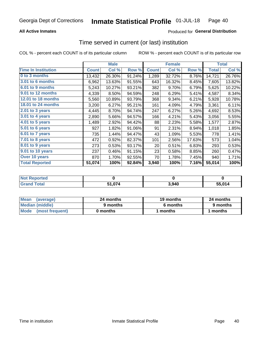## **All Active Inmates**

## Produced for General Distribution

# Time served in current (or last) institution

COL % - percent each COUNT is of its particular column

|                            |              | <b>Male</b> |        | <b>Female</b> |        |        | <b>Total</b> |        |
|----------------------------|--------------|-------------|--------|---------------|--------|--------|--------------|--------|
| <b>Time In Institution</b> | <b>Count</b> | Col %       | Row %  | <b>Count</b>  | Col %  | Row %  | <b>Total</b> | Col %  |
| 0 to 3 months              | 13,432       | 26.30%      | 91.24% | 1,289         | 32.72% | 8.76%  | 14,721       | 26.76% |
| 3.01 to 6 months           | 6,962        | 13.63%      | 91.55% | 643           | 16.32% | 8.45%  | 7,605        | 13.82% |
| 6.01 to 9 months           | 5,243        | 10.27%      | 93.21% | 382           | 9.70%  | 6.79%  | 5,625        | 10.22% |
| 9.01 to 12 months          | 4,339        | 8.50%       | 94.59% | 248           | 6.29%  | 5.41%  | 4,587        | 8.34%  |
| <b>12.01 to 18 months</b>  | 5,560        | 10.89%      | 93.79% | 368           | 9.34%  | 6.21%  | 5,928        | 10.78% |
| 18.01 to 24 months         | 3,200        | 6.27%       | 95.21% | 161           | 4.09%  | 4.79%  | 3,361        | 6.11%  |
| $2.01$ to 3 years          | 4,445        | 8.70%       | 94.74% | 247           | 6.27%  | 5.26%  | 4,692        | 8.53%  |
| 3.01 to 4 years            | 2,890        | 5.66%       | 94.57% | 166           | 4.21%  | 5.43%  | 3,056        | 5.55%  |
| 4.01 to 5 years            | 1,489        | 2.92%       | 94.42% | 88            | 2.23%  | 5.58%  | 1,577        | 2.87%  |
| 5.01 to 6 years            | 927          | 1.82%       | 91.06% | 91            | 2.31%  | 8.94%  | 1,018        | 1.85%  |
| 6.01 to 7 years            | 735          | 1.44%       | 94.47% | 43            | 1.09%  | 5.53%  | 778          | 1.41%  |
| 7.01 to 8 years            | 472          | 0.92%       | 82.37% | 101           | 2.56%  | 17.63% | 573          | 1.04%  |
| 8.01 to 9 years            | 273          | 0.53%       | 93.17% | 20            | 0.51%  | 6.83%  | 293          | 0.53%  |
| 9.01 to 10 years           | 237          | 0.46%       | 91.15% | 23            | 0.58%  | 8.85%  | 260          | 0.47%  |
| Over 10 years              | 870          | 1.70%       | 92.55% | 70            | 1.78%  | 7.45%  | 940          | 1.71%  |
| <b>Total Reported</b>      | 51,074       | 100%        | 92.84% | 3,940         | 100%   | 7.16%  | 55,014       | 100%   |

| Not R<br>Reported |        |       |        |
|-------------------|--------|-------|--------|
| d Total           | 51.074 | 3,940 | 55.014 |

| <b>Mean</b><br>(average) | 24 months | 19 months | 24 months |
|--------------------------|-----------|-----------|-----------|
| Median (middle)          | 9 months  | 6 months  | 9 months  |
| Mode (most frequent)     | 0 months  | months    | 1 months  |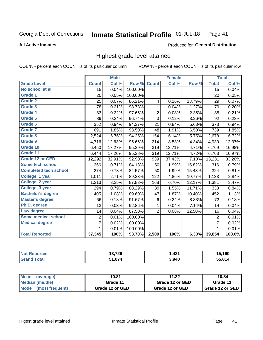**All Active Inmates** 

### Produced for General Distribution

# Highest grade level attained

COL % - percent each COUNT is of its particular column

|                              |                 | <b>Male</b> |         |                | <b>Female</b> |        |                 | <b>Total</b> |
|------------------------------|-----------------|-------------|---------|----------------|---------------|--------|-----------------|--------------|
| <b>Grade Level</b>           | <b>Count</b>    | Col %       | Row %   | <b>Count</b>   | Col %         | Row %  | <b>Total</b>    | Col %        |
| No school at all             | $\overline{15}$ | 0.04%       | 100.00% |                |               |        | $\overline{15}$ | 0.04%        |
| <b>Grade 1</b>               | 20              | 0.05%       | 100.00% |                |               |        | 20              | 0.05%        |
| <b>Grade 2</b>               | 25              | 0.07%       | 86.21%  | 4              | 0.16%         | 13.79% | 29              | 0.07%        |
| Grade 3                      | 78              | 0.21%       | 98.73%  | $\mathbf{1}$   | 0.04%         | 1.27%  | 79              | 0.20%        |
| <b>Grade 4</b>               | 83              | 0.22%       | 97.65%  | $\overline{2}$ | 0.08%         | 2.35%  | 85              | 0.21%        |
| Grade 5                      | 89              | 0.24%       | 96.74%  | 3              | 0.12%         | 3.26%  | 92              | 0.23%        |
| Grade 6                      | 352             | 0.94%       | 94.37%  | 21             | 0.84%         | 5.63%  | 373             | 0.94%        |
| <b>Grade 7</b>               | 691             | 1.85%       | 93.50%  | 48             | 1.91%         | 6.50%  | 739             | 1.85%        |
| Grade 8                      | 2,524           | 6.76%       | 94.25%  | 154            | 6.14%         | 5.75%  | 2,678           | 6.72%        |
| Grade 9                      | 4,716           | 12.63%      | 95.66%  | 214            | 8.53%         | 4.34%  | 4,930           | 12.37%       |
| Grade 10                     | 6,450           | 17.27%      | 95.29%  | 319            | 12.71%        | 4.71%  | 6,769           | 16.98%       |
| Grade 11                     | 6,444           | 17.26%      | 95.28%  | 319            | 12.71%        | 4.72%  | 6,763           | 16.97%       |
| <b>Grade 12 or GED</b>       | 12,292          | 32.91%      | 92.90%  | 939            | 37.43%        | 7.10%  | 13,231          | 33.20%       |
| <b>Some tech school</b>      | 266             | 0.71%       | 84.18%  | 50             | 1.99%         | 15.82% | 316             | 0.79%        |
| <b>Completed tech school</b> | 274             | 0.73%       | 84.57%  | 50             | 1.99%         | 15.43% | 324             | 0.81%        |
| College, 1 year              | 1,011           | 2.71%       | 89.23%  | 122            | 4.86%         | 10.77% | 1,133           | 2.84%        |
| College, 2 year              | 1,213           | 3.25%       | 87.83%  | 168            | 6.70%         | 12.17% | 1,381           | 3.47%        |
| College, 3 year              | 294             | 0.79%       | 88.29%  | 39             | 1.55%         | 11.71% | 333             | 0.84%        |
| <b>Bachelor's degree</b>     | 405             | 1.08%       | 89.60%  | 47             | 1.87%         | 10.40% | 452             | 1.13%        |
| <b>Master's degree</b>       | 66              | 0.18%       | 91.67%  | $\,6$          | 0.24%         | 8.33%  | 72              | 0.18%        |
| Ph.D. degree                 | 13              | 0.03%       | 92.86%  | 1              | 0.04%         | 7.14%  | 14              | 0.04%        |
| Law degree                   | 14              | 0.04%       | 87.50%  | $\overline{2}$ | 0.08%         | 12.50% | 16              | 0.04%        |
| <b>Some medical school</b>   | $\overline{2}$  | 0.01%       | 100.00% |                |               |        | $\overline{2}$  | 0.01%        |
| <b>Medical degree</b>        | $\overline{7}$  | 0.02%       | 100.00% |                |               |        | $\overline{7}$  | 0.02%        |
|                              | $\mathbf 1$     | 0.01%       | 100.00% |                |               |        | 1               | 0.01%        |
| <b>Total Reported</b>        | 37,345          | 100%        | 93.70%  | 2,509          | 100%          | 6.30%  | 39,854          | 100.0%       |

| 13,729                | ,431  | $-400$<br>юu |
|-----------------------|-------|--------------|
| <b>FA 674</b><br>. .v | 3,940 | EE 04 A      |

| <b>Mean</b><br>(average) | 10.81           | 11.32           | 10.84           |
|--------------------------|-----------------|-----------------|-----------------|
| Median (middle)          | Grade 11        | Grade 12 or GED | Grade 11        |
| Mode<br>(most frequent)  | Grade 12 or GED | Grade 12 or GED | Grade 12 or GED |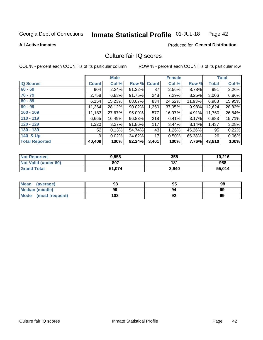### Inmate Statistical Profile 01-JUL-18 Page 42

**All Active Inmates** 

### **Produced for General Distribution**

# Culture fair IQ scores

COL % - percent each COUNT is of its particular column

|                       |              | <b>Male</b> |             |       | <b>Female</b> |        |                 | <b>Total</b> |
|-----------------------|--------------|-------------|-------------|-------|---------------|--------|-----------------|--------------|
| <b>IQ Scores</b>      | <b>Count</b> | Col %       | Row % Count |       | Col %         | Row %  | <b>Total</b>    | Col %        |
| $60 - 69$             | 904          | 2.24%       | 91.22%      | 87    | 2.56%         | 8.78%  | 991             | 2.26%        |
| $70 - 79$             | 2,758        | 6.83%       | 91.75%      | 248   | 7.29%         | 8.25%  | 3,006           | 6.86%        |
| $80 - 89$             | 6,154        | 15.23%      | 88.07%      | 834   | 24.52%        | 11.93% | 6,988           | 15.95%       |
| $90 - 99$             | 11,364       | 28.12%      | 90.02%      | 1,260 | 37.05%        | 9.98%  | 12,624          | 28.82%       |
| $100 - 109$           | 11,183       | 27.67%      | 95.09%      | 577   | 16.97%        | 4.91%  | 11,760          | 26.84%       |
| $110 - 119$           | 6,665        | 16.49%      | 96.83%      | 218   | 6.41%         | 3.17%  | 6,883           | 15.71%       |
| $120 - 129$           | 1,320        | 3.27%       | 91.86%      | 117   | 3.44%         | 8.14%  | 1,437           | 3.28%        |
| $130 - 139$           | 52           | 0.13%       | 54.74%      | 43    | 1.26%         | 45.26% | 95              | 0.22%        |
| 140 & Up              | 9            | 0.02%       | 34.62%      | 17    | 0.50%         | 65.38% | 26 <sup>1</sup> | 0.06%        |
| <b>Total Reported</b> | 40,409       | 100%        | 92.24%      | 3,401 | 100%          | 7.76%  | 43,810          | 100%         |

| <b>Not Reported</b>         | 9,858  | 358   | 10,216 |
|-----------------------------|--------|-------|--------|
| <b>Not Valid (under 60)</b> | 807    | 181   | 988    |
| <b>Grand Total</b>          | 51,074 | 3,940 | 55,014 |

| <b>Mean</b><br>(average)       | 98  | 95 | 98 |
|--------------------------------|-----|----|----|
| Median (middle)                | 99  | 94 | 99 |
| <b>Mode</b><br>(most frequent) | 103 | 92 | 99 |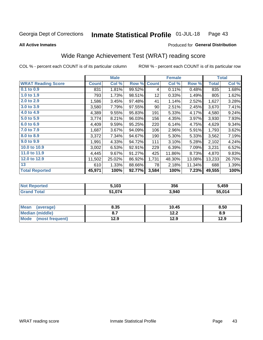### Inmate Statistical Profile 01-JUL-18 Page 43

**All Active Inmates** 

### Produced for General Distribution

# Wide Range Achievement Test (WRAT) reading score

COL % - percent each COUNT is of its particular column

|                           |              | <b>Male</b> |        |              | <b>Female</b> |        |              | <b>Total</b> |
|---------------------------|--------------|-------------|--------|--------------|---------------|--------|--------------|--------------|
| <b>WRAT Reading Score</b> | <b>Count</b> | Col %       | Row %  | <b>Count</b> | Col %         | Row %  | <b>Total</b> | Col %        |
| $0.1$ to $0.9$            | 831          | 1.81%       | 99.52% | 4            | 0.11%         | 0.48%  | 835          | 1.68%        |
| 1.0 to 1.9                | 793          | 1.73%       | 98.51% | 12           | 0.33%         | 1.49%  | 805          | 1.62%        |
| 2.0 to 2.9                | 1,586        | 3.45%       | 97.48% | 41           | 1.14%         | 2.52%  | 1,627        | 3.28%        |
| 3.0 to 3.9                | 3,580        | 7.79%       | 97.55% | 90           | 2.51%         | 2.45%  | 3,670        | 7.41%        |
| 4.0 to 4.9                | 4,389        | 9.55%       | 95.83% | 191          | 5.33%         | 4.17%  | 4,580        | 9.24%        |
| 5.0 to 5.9                | 3,774        | 8.21%       | 96.03% | 156          | 4.35%         | 3.97%  | 3,930        | 7.93%        |
| 6.0 to 6.9                | 4,409        | 9.59%       | 95.25% | 220          | 6.14%         | 4.75%  | 4,629        | 9.34%        |
| 7.0 to 7.9                | 1,687        | 3.67%       | 94.09% | 106          | 2.96%         | 5.91%  | 1,793        | 3.62%        |
| 8.0 to 8.9                | 3,372        | 7.34%       | 94.67% | 190          | 5.30%         | 5.33%  | 3,562        | 7.19%        |
| 9.0 to 9.9                | 1,991        | 4.33%       | 94.72% | 111          | 3.10%         | 5.28%  | 2,102        | 4.24%        |
| 10.0 to 10.9              | 3,002        | 6.53%       | 92.91% | 229          | 6.39%         | 7.09%  | 3,231        | 6.52%        |
| 11.0 to 11.9              | 4,445        | 9.67%       | 91.27% | 425          | 11.86%        | 8.73%  | 4,870        | 9.83%        |
| 12.0 to 12.9              | 11,502       | 25.02%      | 86.92% | 1,731        | 48.30%        | 13.08% | 13,233       | 26.70%       |
| 13                        | 610          | 1.33%       | 88.66% | 78           | 2.18%         | 11.34% | 688          | 1.39%        |
| <b>Total Reported</b>     | 45,971       | 100%        | 92.77% | 3,584        | 100%          | 7.23%  | 49,555       | 100%         |

| <b>Not Reported</b> | 5,103  | 356   | 5,459  |
|---------------------|--------|-------|--------|
| <b>Grand Total</b>  | 51,074 | 3,940 | 55,014 |

| <b>Mean</b><br>(average) | 8.35 | 10.45 | 8.50 |
|--------------------------|------|-------|------|
| Median (middle)          |      | 12.2  | 8.9  |
| Mode<br>(most frequent)  | 12.9 | 12.9  | 12.9 |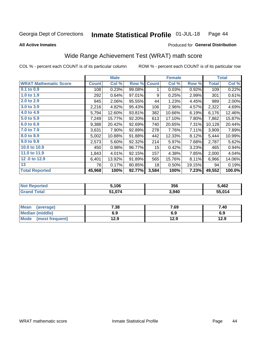### Inmate Statistical Profile 01-JUL-18 Page 44

### **All Active Inmates**

## Produced for General Distribution

# Wide Range Achievement Test (WRAT) math score

COL % - percent each COUNT is of its particular column

|                              |              | <b>Male</b> |        |                  | <b>Female</b> |        |              | <b>Total</b> |
|------------------------------|--------------|-------------|--------|------------------|---------------|--------|--------------|--------------|
| <b>WRAT Mathematic Score</b> | <b>Count</b> | Col %       | Row %  | <b>Count</b>     | Col %         | Row %  | <b>Total</b> | Col %        |
| 0.1 to 0.9                   | 108          | 0.23%       | 99.08% | 1                | 0.03%         | 0.92%  | 109          | 0.22%        |
| 1.0 to 1.9                   | 292          | 0.64%       | 97.01% | 9                | 0.25%         | 2.99%  | 301          | 0.61%        |
| 2.0 to 2.9                   | 945          | 2.06%       | 95.55% | 44               | 1.23%         | 4.45%  | 989          | 2.00%        |
| 3.0 to 3.9                   | 2,216        | 4.82%       | 95.43% | 106              | 2.96%         | 4.57%  | 2,322        | 4.69%        |
| 4.0 to 4.9                   | 5,794        | 12.60%      | 93.81% | 382              | 10.66%        | 6.19%  | 6,176        | 12.46%       |
| 5.0 to 5.9                   | 7,249        | 15.77%      | 92.20% | 613              | 17.10%        | 7.80%  | 7,862        | 15.87%       |
| 6.0 to 6.9                   | 9,388        | 20.42%      | 92.69% | 740              | 20.65%        | 7.31%  | 10,128       | 20.44%       |
| 7.0 to 7.9                   | 3,631        | 7.90%       | 92.89% | 278              | 7.76%         | 7.11%  | 3,909        | 7.89%        |
| 8.0 to 8.9                   | 5,002        | 10.88%      | 91.88% | 442              | 12.33%        | 8.12%  | 5,444        | 10.99%       |
| 9.0 to 9.9                   | 2,573        | 5.60%       | 92.32% | 214              | 5.97%         | 7.68%  | 2,787        | 5.62%        |
| 10.0 to 10.9                 | 450          | 0.98%       | 96.77% | 15 <sub>15</sub> | 0.42%         | 3.23%  | 465          | 0.94%        |
| 11.0 to 11.9                 | 1,843        | 4.01%       | 92.15% | 157              | 4.38%         | 7.85%  | 2,000        | 4.04%        |
| 12.0 to 12.9                 | 6,401        | 13.92%      | 91.89% | 565              | 15.76%        | 8.11%  | 6,966        | 14.06%       |
| 13                           | 76           | 0.17%       | 80.85% | 18               | 0.50%         | 19.15% | 94           | 0.19%        |
| <b>Total Reported</b>        | 45,968       | 100%        | 92.77% | 3,584            | 100%          | 7.23%  | 49,552       | 100.0%       |

| <b>Not Reported</b>           | ,106   | 356   | 5,462  |
|-------------------------------|--------|-------|--------|
| <b>Total</b><br><b>⊍Grand</b> | 51,074 | 3,940 | 55,014 |

| <b>Mean</b><br>(average) | 7.38 | 7.69 | 7.40 |
|--------------------------|------|------|------|
| Median (middle)          | 6.9  | 6.9  | 6.9  |
| Mode<br>(most frequent)  | 12.9 | 12.9 | 12.9 |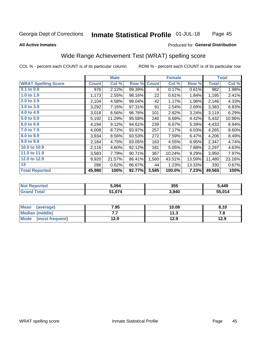### **Inmate Statistical Profile 01-JUL-18** Page 45

### **All Active Inmates**

### Produced for General Distribution

# Wide Range Achievement Test (WRAT) spelling score

COL % - percent each COUNT is of its particular column

|                            |              | <b>Male</b> |        |              | <b>Female</b> |        |              | <b>Total</b> |
|----------------------------|--------------|-------------|--------|--------------|---------------|--------|--------------|--------------|
| <b>WRAT Spelling Score</b> | <b>Count</b> | Col %       | Row %  | <b>Count</b> | Col %         | Row %  | <b>Total</b> | Col %        |
| 0.1 to 0.9                 | 976          | 2.12%       | 99.39% | 6            | 0.17%         | 0.61%  | 982          | 1.98%        |
| 1.0 to 1.9                 | 1,173        | 2.55%       | 98.16% | 22           | 0.61%         | 1.84%  | 1,195        | 2.41%        |
| 2.0 to 2.9                 | 2,104        | 4.58%       | 98.04% | 42           | 1.17%         | 1.96%  | 2,146        | 4.33%        |
| 3.0 to 3.9                 | 3,292        | 7.16%       | 97.31% | 91           | 2.54%         | 2.69%  | 3,383        | 6.83%        |
| 4.0 to 4.9                 | 3,018        | 6.56%       | 96.76% | 101          | 2.82%         | 3.24%  | 3,119        | 6.29%        |
| 5.0 to 5.9                 | 5,192        | 11.29%      | 95.58% | 240          | 6.69%         | 4.42%  | 5,432        | 10.96%       |
| 6.0 to 6.9                 | 4,194        | 9.12%       | 94.61% | 239          | 6.67%         | 5.39%  | 4,433        | 8.94%        |
| 7.0 to 7.9                 | 4,008        | 8.72%       | 93.97% | 257          | 7.17%         | 6.03%  | 4,265        | 8.60%        |
| 8.0 to 8.9                 | 3,934        | 8.56%       | 93.53% | 272          | 7.59%         | 6.47%  | 4,206        | 8.49%        |
| 9.0 to 9.9                 | 2,184        | 4.75%       | 93.05% | 163          | 4.55%         | 6.95%  | 2,347        | 4.74%        |
| 10.0 to 10.9               | 2,116        | 4.60%       | 92.12% | 181          | 5.05%         | 7.88%  | 2,297        | 4.63%        |
| 11.0 to 11.9               | 3,583        | 7.79%       | 90.71% | 367          | 10.24%        | 9.29%  | 3,950        | 7.97%        |
| 12.0 to 12.9               | 9,920        | 21.57%      | 86.41% | 1,560        | 43.51%        | 13.59% | 11,480       | 23.16%       |
| 13                         | 286          | 0.62%       | 86.67% | 44           | 1.23%         | 13.33% | 330          | 0.67%        |
| <b>Total Reported</b>      | 45,980       | 100%        | 92.77% | 3,585        | 100.0%        | 7.23%  | 49,565       | 100%         |

| <b>ortea</b><br>NO | 5.094  | 355   | 5,449  |
|--------------------|--------|-------|--------|
| $T$ ntol $T$       | 51,074 | 3,940 | 55 014 |

| <b>Mean</b><br>(average)       | 7.95 | 10.08 | 8.10 |
|--------------------------------|------|-------|------|
| Median (middle)                | .    | 11.3  | 7. O |
| <b>Mode</b><br>(most frequent) | 12.9 | 12.9  | 12.9 |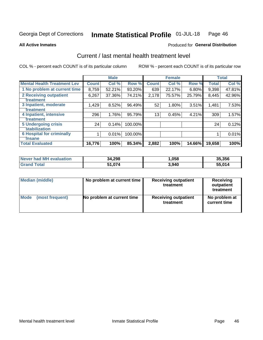### Inmate Statistical Profile 01-JUL-18 Page 46

**All Active Inmates** 

## **Produced for General Distribution**

# Current / last mental health treatment level

COL % - percent each COUNT is of its particular column

|                                    |              | <b>Male</b> |         |              | <b>Female</b> |           |        | <b>Total</b> |
|------------------------------------|--------------|-------------|---------|--------------|---------------|-----------|--------|--------------|
| <b>Mental Health Treatment Lev</b> | <b>Count</b> | Col %       | Row %   | <b>Count</b> | Col %         | Row %     | Total  | Col %        |
| 1 No problem at current time       | 8,759        | 52.21%      | 93.20%  | 639          | 22.17%        | 6.80%     | 9,398  | 47.81%       |
| 2 Receiving outpatient             | 6,267        | 37.36%      | 74.21%  | 2,178        | 75.57%        | 25.79%    | 8,445  | 42.96%       |
| <b>Treatment</b>                   |              |             |         |              |               |           |        |              |
| 3 Inpatient, moderate              | 1,429        | 8.52%       | 96.49%  | 52           | 1.80%         | 3.51%     | 1,481  | 7.53%        |
| <b>Treatment</b>                   |              |             |         |              |               |           |        |              |
| 4 Inpatient, intensive             | 296          | 1.76%       | 95.79%  | 13           | 0.45%         | 4.21%     | 309    | 1.57%        |
| <b>Treatment</b>                   |              |             |         |              |               |           |        |              |
| 5 Undergoing crisis                | 24           | 0.14%       | 100.00% |              |               |           | 24     | 0.12%        |
| <b>stabilization</b>               |              |             |         |              |               |           |        |              |
| <b>6 Hospital for criminally</b>   |              | 0.01%       | 100.00% |              |               |           |        | 0.01%        |
| Tnsane                             |              |             |         |              |               |           |        |              |
| <b>Total Evaluated</b>             | 16,776       | 100%        | 85.34%  | 2,882        | 100%          | $14.66\%$ | 19,658 | 100%         |

| <b>Never had MH evaluation</b> | 34,298 | ,058  | 35,356 |
|--------------------------------|--------|-------|--------|
| Total<br>'Grand .              | 51,074 | 3,940 | 55,014 |

| Median (middle) | No problem at current time | <b>Receiving outpatient</b><br>treatment | <b>Receiving</b><br>outpatient<br>treatment |
|-----------------|----------------------------|------------------------------------------|---------------------------------------------|
| <b>Mode</b>     | No problem at current time | <b>Receiving outpatient</b>              | No problem at                               |
| (most frequent) |                            | treatment                                | current time                                |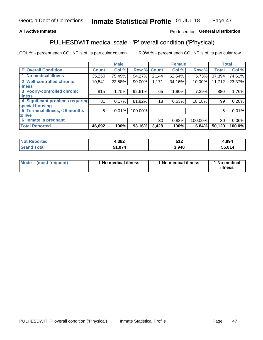## **All Active Inmates**

## Produced for General Distribution

# PULHESDWIT medical scale - 'P' overall condition ('P'hysical)

COL % - percent each COUNT is of its particular column

|                                  |              | <b>Male</b> |         |              | <b>Female</b> |         |                 | <b>Total</b> |
|----------------------------------|--------------|-------------|---------|--------------|---------------|---------|-----------------|--------------|
| 'P' Overall Condition            | <b>Count</b> | Col %       | Row %   | <b>Count</b> | Col %         | Row %   | <b>Total</b>    | Col %        |
| 1 No medical illness             | 35,250       | 75.49%      | 94.27%  | 2,144        | 62.54%        | 5.73%   | 37,394          | 74.61%       |
| 2 Well-controlled chronic        | 10,541       | 22.58%      | 90.00%  | 1,171        | 34.16%        | 10.00%  | 11,712          | 23.37%       |
| <b>illness</b>                   |              |             |         |              |               |         |                 |              |
| 3 Poorly-controlled chronic      | 815          | 1.75%       | 92.61%  | 65           | 1.90%         | 7.39%   | 880             | 1.76%        |
| <b>illness</b>                   |              |             |         |              |               |         |                 |              |
| 4 Significant problems requiring | 81           | 0.17%       | 81.82%  | 18           | 0.53%         | 18.18%  | 99              | 0.20%        |
| special housing                  |              |             |         |              |               |         |                 |              |
| 5 Terminal illness, < 6 months   | 5            | 0.01%       | 100.00% |              |               |         | 5               | 0.01%        |
| to live                          |              |             |         |              |               |         |                 |              |
| 6 Inmate is pregnant             |              |             |         | 30           | 0.88%         | 100.00% | 30 <sup>1</sup> | $0.06\%$     |
| <b>Total Reported</b>            | 46,692       | 100%        | 93.16%  | 3,428        | 100%          | 6.84%   | 50,120          | 100.0%       |

| rer<br>'N | ,382   | 74 O.<br>$\sim$ . $\sim$ | .894   |  |  |
|-----------|--------|--------------------------|--------|--|--|
|           | $\sim$ | 3,940                    | 55.014 |  |  |

| Mode | (most frequent) | 1 No medical illness | 1 No medical illness | 1 No medical<br>illness |
|------|-----------------|----------------------|----------------------|-------------------------|
|------|-----------------|----------------------|----------------------|-------------------------|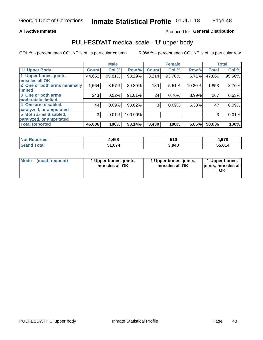### **All Active Inmates**

## Produced for General Distribution

# PULHESDWIT medical scale - 'U' upper body

COL % - percent each COUNT is of its particular column

|                              |              | <b>Male</b> |         |              | <b>Female</b> |        |              | <b>Total</b> |
|------------------------------|--------------|-------------|---------|--------------|---------------|--------|--------------|--------------|
| <b>U' Upper Body</b>         | <b>Count</b> | Col %       | Row %   | <b>Count</b> | Col %         | Row %  | <b>Total</b> | Col %        |
| 1 Upper bones, joints,       | 44,652       | 95.81%      | 93.29%  | 3,214        | 93.70%        | 6.71%  | 47,866       | 95.66%       |
| muscles all OK               |              |             |         |              |               |        |              |              |
| 2 One or both arms minimally | 1,664        | 3.57%       | 89.80%  | 189          | 5.51%         | 10.20% | 1,853        | 3.70%        |
| limited                      |              |             |         |              |               |        |              |              |
| 3 One or both arms           | 243          | 0.52%       | 91.01%  | 24           | 0.70%         | 8.99%  | 267          | 0.53%        |
| <b>moderately limited</b>    |              |             |         |              |               |        |              |              |
| 4 One arm disabled,          | 44           | 0.09%       | 93.62%  | 3            | 0.09%         | 6.38%  | 47           | 0.09%        |
| paralyzed, or amputated      |              |             |         |              |               |        |              |              |
| 5 Both arms disabled,        | 3            | 0.01%       | 100.00% |              |               |        | 3            | 0.01%        |
| paralyzed, or amputated      |              |             |         |              |               |        |              |              |
| <b>Total Reported</b>        | 46,606       | 100%        | 93.14%  | 3,430        | 100%          | 6.86%  | 50,036       | 100%         |

| <b>Not Reported</b> | 4,468   | 510   | 4,978  |
|---------------------|---------|-------|--------|
| <b>Grand Total</b>  | 074.074 | 3,940 | 55,014 |

| Mode (most frequent) | 1 Upper bones, joints,<br>muscles all OK | 1 Upper bones, joints,<br>muscles all OK | 1 Upper bones,<br>joints, muscles all<br>ΟK |
|----------------------|------------------------------------------|------------------------------------------|---------------------------------------------|
|----------------------|------------------------------------------|------------------------------------------|---------------------------------------------|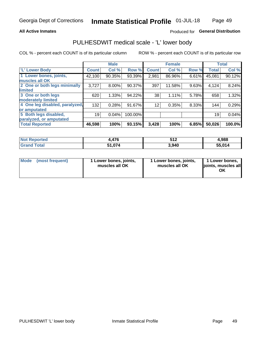### **All Active Inmates**

## Produced for General Distribution

# PULHESDWIT medical scale - 'L' lower body

COL % - percent each COUNT is of its particular column

|                                |              | <b>Male</b> |         |                 | <b>Female</b> |       |              | <b>Total</b> |
|--------------------------------|--------------|-------------|---------|-----------------|---------------|-------|--------------|--------------|
| 'L' Lower Body                 | <b>Count</b> | Col %       | Row %   | <b>Count</b>    | Col %         | Row % | <b>Total</b> | Col %        |
| 1 Lower bones, joints,         | 42,100       | 90.35%      | 93.39%  | 2,981           | 86.96%        | 6.61% | 45,081       | 90.12%       |
| muscles all OK                 |              |             |         |                 |               |       |              |              |
| 2 One or both legs minimally   | 3,727        | 8.00%       | 90.37%  | 397             | 11.58%        | 9.63% | 4,124        | 8.24%        |
| limited                        |              |             |         |                 |               |       |              |              |
| 3 One or both legs             | 620          | 1.33%       | 94.22%  | 38              | 1.11%         | 5.78% | 658          | 1.32%        |
| moderately limited             |              |             |         |                 |               |       |              |              |
| 4 One leg disabled, paralyzed, | 132          | 0.28%       | 91.67%  | 12 <sub>1</sub> | 0.35%         | 8.33% | 144          | 0.29%        |
| or amputated                   |              |             |         |                 |               |       |              |              |
| 5 Both legs disabled,          | 19           | 0.04%       | 100.00% |                 |               |       | 19           | 0.04%        |
| paralyzed, or amputated        |              |             |         |                 |               |       |              |              |
| <b>Total Reported</b>          | 46,598       | 100%        | 93.15%  | 3,428           | 100%          | 6.85% | 50,026       | 100.0%       |

| <b>Not Reported</b> | 476    | ヒィク<br>ـ∡ا ⊂ | 4,988  |
|---------------------|--------|--------------|--------|
| <b>Total</b>        | 1,074د | 3,940        | 55,014 |

| Mode (most frequent) | 1 Lower bones, joints,<br>muscles all OK | 1 Lower bones, joints,<br>muscles all OK | 1 Lower bones,<br>joints, muscles all<br>ΟK |
|----------------------|------------------------------------------|------------------------------------------|---------------------------------------------|
|----------------------|------------------------------------------|------------------------------------------|---------------------------------------------|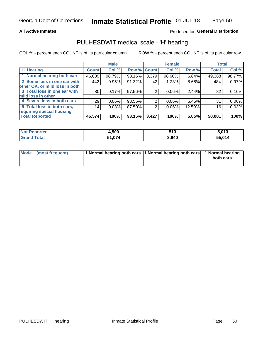### **All Active Inmates**

## Produced for General Distribution

## PULHESDWIT medical scale - 'H' hearing

COL % - percent each COUNT is of its particular column

|                                |              | <b>Male</b> |                    |       | <b>Female</b> |        | <b>Total</b> |          |
|--------------------------------|--------------|-------------|--------------------|-------|---------------|--------|--------------|----------|
| <b>'H' Hearing</b>             | <b>Count</b> | Col %       | <b>Row % Count</b> |       | Col %         | Row %  | <b>Total</b> | Col %    |
| 1 Normal hearing both ears     | 46,009       | 98.79%      | 93.16%             | 3,379 | 98.60%        | 6.84%  | 49,388       | 98.77%   |
| 2 Some loss in one ear with    | 442          | 0.95%       | 91.32%             | 42    | 1.23%         | 8.68%  | 484          | 0.97%    |
| other OK, or mild loss in both |              |             |                    |       |               |        |              |          |
| 3 Total loss in one ear with   | 80           | 0.17%       | 97.56%             | 2     | $0.06\%$      | 2.44%  | 82           | 0.16%    |
| mild loss in other             |              |             |                    |       |               |        |              |          |
| 4 Severe loss in both ears     | 29           | 0.06%       | 93.55%             | 2     | $0.06\%$      | 6.45%  | 31           | $0.06\%$ |
| 5 Total loss in both ears,     | 14           | 0.03%       | 87.50%             | 2     | $0.06\%$      | 12.50% | 16           | 0.03%    |
| requiring special housing      |              |             |                    |       |               |        |              |          |
| <b>Total Reported</b>          | 46,574       | 100%        | 93.15%             | 3,427 | 100%          | 6.85%  | 50,001       | 100%     |

| <b>Not Reported</b> | 1,500  | JIJ   | 5.013  |
|---------------------|--------|-------|--------|
| Total<br>Grand      | 51,074 | 3,940 | 55,014 |

| Mode (most frequent) | 1 Normal hearing both ears 11 Normal hearing both ears 1 Normal hearing | both ears |
|----------------------|-------------------------------------------------------------------------|-----------|
|                      |                                                                         |           |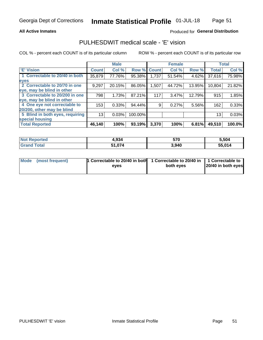### **All Active Inmates**

## Produced for General Distribution

# PULHESDWIT medical scale - 'E' vision

COL % - percent each COUNT is of its particular column

|                                 |              | <b>Male</b> |         |              | <b>Female</b> |        |              | <b>Total</b> |
|---------------------------------|--------------|-------------|---------|--------------|---------------|--------|--------------|--------------|
| <b>E' Vision</b>                | <b>Count</b> | Col %       | Row %   | <b>Count</b> | Col %         | Row %  | <b>Total</b> | Col %        |
| 1 Correctable to 20/40 in both  | 35,879       | 77.76%      | 95.38%  | 1,737        | 51.54%        | 4.62%  | 37,616       | 75.98%       |
| eyes                            |              |             |         |              |               |        |              |              |
| 2 Correctable to 20/70 in one   | 9,297        | 20.15%      | 86.05%  | 1,507        | 44.72%        | 13.95% | 10,804       | 21.82%       |
| eye, may be blind in other      |              |             |         |              |               |        |              |              |
| 3 Correctable to 20/200 in one  | 798          | 1.73%       | 87.21%  | 117          | 3.47%         | 12.79% | 915          | 1.85%        |
| eye, may be blind in other      |              |             |         |              |               |        |              |              |
| 4 One eye not correctable to    | 153          | 0.33%       | 94.44%  | 9.           | 0.27%         | 5.56%  | 162          | 0.33%        |
| 20/200, other may be blind      |              |             |         |              |               |        |              |              |
| 5 Blind in both eyes, requiring | 13           | 0.03%       | 100.00% |              |               |        | 13           | 0.03%        |
| special housing                 |              |             |         |              |               |        |              |              |
| <b>Total Reported</b>           | 46,140       | 100%        | 93.19%  | 3,370        | 100%          | 6.81%  | 49,510       | 100.0%       |

| <b>Not Reported</b> | 4,934  | 570   | 5.504  |
|---------------------|--------|-------|--------|
| Total               | 51.074 | 3,940 | 55.014 |

| Mode (most frequent) | 1 Correctable to 20/40 in both | 1 Correctable to 20/40 in   1 Correctable to | 20/40 in both eyes |
|----------------------|--------------------------------|----------------------------------------------|--------------------|
|                      | eves                           | both eves                                    |                    |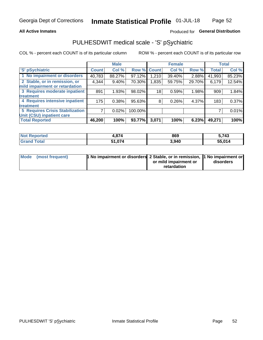## **All Active Inmates**

## Produced for General Distribution

# PULHESDWIT medical scale - 'S' pSychiatric

COL % - percent each COUNT is of its particular column

|                                        |              | <b>Male</b> |         |              | <b>Female</b> |        |              | <b>Total</b> |
|----------------------------------------|--------------|-------------|---------|--------------|---------------|--------|--------------|--------------|
| 'S' pSychiatric                        | <b>Count</b> | Col %       | Row %   | <b>Count</b> | Col %         | Row %  | <b>Total</b> | Col %        |
| 1 No impairment or disorders           | 40,783       | 88.27%      | 97.12%  | 210.         | 39.40%        | 2.88%  | 41,993       | 85.23%       |
| 2 Stable, or in remission, or          | 4,344        | $9.40\%$    | 70.30%  | 1,835        | 59.75%        | 29.70% | 6,179        | 12.54%       |
| mild impairment or retardation         |              |             |         |              |               |        |              |              |
| 3 Requires moderate inpatient          | 891          | 1.93%       | 98.02%  | 18           | 0.59%         | 1.98%  | 909          | 1.84%        |
| treatment                              |              |             |         |              |               |        |              |              |
| 4 Requires intensive inpatient         | 175          | 0.38%       | 95.63%  | 8            | 0.26%         | 4.37%  | 183          | 0.37%        |
| treatment                              |              |             |         |              |               |        |              |              |
| <b>5 Requires Crisis Stabilization</b> |              | 0.02%       | 100.00% |              |               |        |              | 0.01%        |
| Unit (CSU) inpatient care              |              |             |         |              |               |        |              |              |
| <b>Total Reported</b>                  | 46,200       | 100%        | 93.77%  | 3,071        | 100%          | 6.23%  | 49,271       | 100%         |

| <b>Not Reported</b>     | 1,874       | 869   | 5,743  |
|-------------------------|-------------|-------|--------|
| <b>Total</b><br>l Grand | 1,074<br>54 | 3,940 | 55,014 |

| Mode (most frequent) | <b>t No impairment or disorders 2 Stable, or in remission, 1 No impairment or</b> |                       |           |
|----------------------|-----------------------------------------------------------------------------------|-----------------------|-----------|
|                      |                                                                                   | or mild impairment or | disorders |
|                      |                                                                                   | retardation           |           |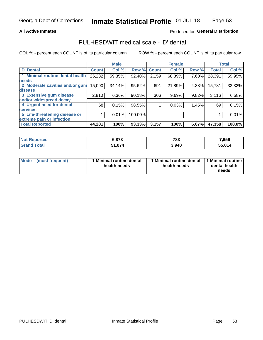### **All Active Inmates**

## Produced for General Distribution

# PULHESDWIT medical scale - 'D' dental

COL % - percent each COUNT is of its particular column

|                                 |              | <b>Male</b> |         |              | <b>Female</b> |       |              | <b>Total</b> |
|---------------------------------|--------------|-------------|---------|--------------|---------------|-------|--------------|--------------|
| <b>D'</b> Dental                | <b>Count</b> | Col %       | Row %   | <b>Count</b> | Col %         | Row % | <b>Total</b> | Col %        |
| 1 Minimal routine dental health | 26,232       | 59.35%      | 92.40%  | 2,159        | 68.39%        | 7.60% | 28,391       | 59.95%       |
| <b>needs</b>                    |              |             |         |              |               |       |              |              |
| 2 Moderate cavities and/or gum  | 15,090       | 34.14%      | 95.62%  | 691          | 21.89%        | 4.38% | 15,781       | 33.32%       |
| disease                         |              |             |         |              |               |       |              |              |
| 3 Extensive gum disease         | 2,810        | 6.36%       | 90.18%  | 306          | 9.69%         | 9.82% | 3,116        | 6.58%        |
| and/or widespread decay         |              |             |         |              |               |       |              |              |
| 4 Urgent need for dental        | 68           | 0.15%       | 98.55%  |              | 0.03%         | 1.45% | 69           | 0.15%        |
| <b>services</b>                 |              |             |         |              |               |       |              |              |
| 5 Life-threatening disease or   |              | 0.01%       | 100.00% |              |               |       |              | 0.01%        |
| extreme pain or infection       |              |             |         |              |               |       |              |              |
| <b>Total Reported</b>           | 44,201       | 100%        | 93.33%  | 3,157        | 100%          | 6.67% | 47,358       | 100.0%       |

| <b>Not Reported</b>   | 6,873  | 783   | 7,656  |
|-----------------------|--------|-------|--------|
| <b>Total</b><br>Granc | 51,074 | 3,940 | 55.014 |

| 1 Minimal routine dental<br>Mode<br>(most frequent)<br>health needs | 1 Minimal routine dental 1 Minimal routine<br>health needs | dental health<br>needs |
|---------------------------------------------------------------------|------------------------------------------------------------|------------------------|
|---------------------------------------------------------------------|------------------------------------------------------------|------------------------|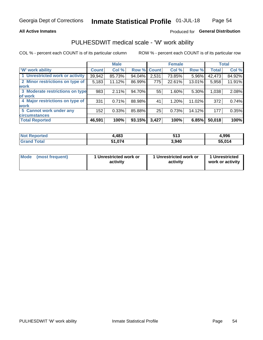## **All Active Inmates**

## Produced for General Distribution

# PULHESDWIT medical scale - 'W' work ability

COL % - percent each COUNT is of its particular column

|                                 |              | <b>Male</b> |        |             | <b>Female</b> |        |              | <b>Total</b> |
|---------------------------------|--------------|-------------|--------|-------------|---------------|--------|--------------|--------------|
| <b>W' work ability</b>          | <b>Count</b> | Col %       |        | Row % Count | Col %         | Row %  | <b>Total</b> | Col %        |
| 1 Unrestricted work or activity | 39,942       | 85.73%      | 94.04% | 2,531       | 73.85%        | 5.96%  | 42,473       | 84.92%       |
| 2 Minor restrictions on type of | 5,183        | 11.12%      | 86.99% | 775         | 22.61%        | 13.01% | 5,958        | 11.91%       |
| <b>work</b>                     |              |             |        |             |               |        |              |              |
| 3 Moderate restrictions on type | 983          | 2.11%       | 94.70% | 55          | 1.60%         | 5.30%  | 1,038        | 2.08%        |
| lof work                        |              |             |        |             |               |        |              |              |
| 4 Major restrictions on type of | 331          | 0.71%       | 88.98% | 41          | 1.20%         | 11.02% | 372          | 0.74%        |
| <b>work</b>                     |              |             |        |             |               |        |              |              |
| 5 Cannot work under any         | 152          | 0.33%       | 85.88% | 25          | 0.73%         | 14.12% | 177          | 0.35%        |
| <b>circumstances</b>            |              |             |        |             |               |        |              |              |
| <b>Total Reported</b>           | 46,591       | 100%        | 93.15% | 3,427       | 100%          | 6.85%  | 50,018       | 100%         |

| NotR<br>™orted | ,483      | EA 2<br>JIJ | 1,996  |
|----------------|-----------|-------------|--------|
| Total<br>Grand | 074<br>-4 | 3,940       | 55,014 |

| Mode            | 1 Unrestricted work or | 1 Unrestricted work or | 1 Unrestricted   |
|-----------------|------------------------|------------------------|------------------|
| (most frequent) | activity               | activity               | work or activity |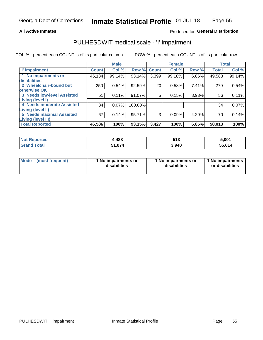### **All Active Inmates**

## Produced for General Distribution

# PULHESDWIT medical scale - 'I' impairment

COL % - percent each COUNT is of its particular column

|                                   |              | <b>Male</b> |             |       | <b>Female</b> |       |              | <b>Total</b> |
|-----------------------------------|--------------|-------------|-------------|-------|---------------|-------|--------------|--------------|
| <b>T' Impairment</b>              | <b>Count</b> | Col %       | Row % Count |       | Col %         | Row % | <b>Total</b> | Col %        |
| 1 No impairments or               | 46,184       | 99.14%      | 93.14%      | 3,399 | 99.18%        | 6.86% | 49,583       | 99.14%       |
| <b>disabilities</b>               |              |             |             |       |               |       |              |              |
| 2 Wheelchair-bound but            | 250          | 0.54%       | 92.59%      | 20    | 0.58%         | 7.41% | 270          | 0.54%        |
| otherwise OK                      |              |             |             |       |               |       |              |              |
| <b>3 Needs low-level Assisted</b> | 51           | 0.11%       | 91.07%      | 5     | 0.15%         | 8.93% | 56           | 0.11%        |
| Living (level I)                  |              |             |             |       |               |       |              |              |
| 4 Needs moderate Assisted         | 34           | 0.07%       | 100.00%     |       |               |       | 34           | 0.07%        |
| Living (level II)                 |              |             |             |       |               |       |              |              |
| <b>5 Needs maximal Assisted</b>   | 67           | 0.14%       | 95.71%      | 3     | 0.09%         | 4.29% | 70           | 0.14%        |
| <b>Living (level III)</b>         |              |             |             |       |               |       |              |              |
| <b>Total Reported</b>             | 46,586       | 100%        | 93.15%      | 3,427 | 100%          | 6.85% | 50,013       | 100%         |

| <b>Not Reported</b> | ,488   | :49<br>่ว เ ง | 5,001  |
|---------------------|--------|---------------|--------|
| <b>Grand Total</b>  | 51,074 | 3,940         | 55,014 |

| <b>Mode</b> | (most frequent) | <b>No impairments or</b><br>disabilities | 1 No impairments or<br>disabilities | 1 No impairments<br>or disabilities |
|-------------|-----------------|------------------------------------------|-------------------------------------|-------------------------------------|
|-------------|-----------------|------------------------------------------|-------------------------------------|-------------------------------------|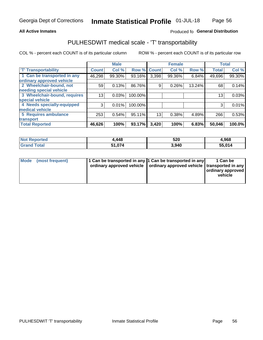## **All Active Inmates**

## Produced fo General Distribution

# PULHESDWIT medical scale - 'T' transportability

COL % - percent each COUNT is of its particular column

|                              |              | <b>Male</b> |         |                 | <b>Female</b> |        |              | <b>Total</b> |
|------------------------------|--------------|-------------|---------|-----------------|---------------|--------|--------------|--------------|
| <b>T' Transportability</b>   | <b>Count</b> | Col %       | Row %   | <b>Count</b>    | Col %         | Row %  | <b>Total</b> | Col %        |
| 1 Can be transported in any  | 46,298       | 99.30%      | 93.16%  | 3,398           | 99.36%        | 6.84%  | 49,696       | 99.30%       |
| ordinary approved vehicle    |              |             |         |                 |               |        |              |              |
| 2 Wheelchair-bound, not      | 59           | 0.13%       | 86.76%  | 9               | 0.26%         | 13.24% | 68           | 0.14%        |
| needing special vehicle      |              |             |         |                 |               |        |              |              |
| 3 Wheelchair-bound, requires | 13           | 0.03%       | 100.00% |                 |               |        | 13           | 0.03%        |
| special vehicle              |              |             |         |                 |               |        |              |              |
| 4 Needs specially-equipped   | 3            | 0.01%       | 100.00% |                 |               |        | 3            | 0.01%        |
| medical vehicle              |              |             |         |                 |               |        |              |              |
| <b>5 Requires ambulance</b>  | 253          | 0.54%       | 95.11%  | 13 <sub>1</sub> | 0.38%         | 4.89%  | 266          | 0.53%        |
| transport                    |              |             |         |                 |               |        |              |              |
| <b>Total Reported</b>        | 46,626       | 100%        | 93.17%  | 3,420           | 100%          | 6.83%  | 50,046       | 100.0%       |

| orted | ,448   | 520   | 4,968  |
|-------|--------|-------|--------|
| `otal | 51.074 | 3.940 | 55,014 |

|  | Mode (most frequent) | 1 Can be transported in any 1 Can be transported in any<br>ordinary approved vehicle   ordinary approved vehicle   transported in any |  | 1 Can be<br>  ordinary approved  <br>vehicle |
|--|----------------------|---------------------------------------------------------------------------------------------------------------------------------------|--|----------------------------------------------|
|--|----------------------|---------------------------------------------------------------------------------------------------------------------------------------|--|----------------------------------------------|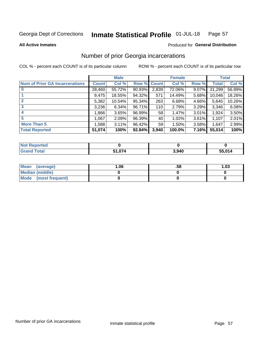#### Inmate Statistical Profile 01-JUL-18 Page 57

**All Active Inmates** 

## Produced for General Distribution

# Number of prior Georgia incarcerations

COL % - percent each COUNT is of its particular column

|                                       |              | <b>Male</b> |                    |       | <b>Female</b> |       |        | <b>Total</b> |
|---------------------------------------|--------------|-------------|--------------------|-------|---------------|-------|--------|--------------|
| <b>Num of Prior GA Incarcerations</b> | <b>Count</b> | Col %       | <b>Row % Count</b> |       | Col %         | Row % | Total  | Col %        |
| $\bf{0}$                              | 28,460       | 55.72%      | 90.93%             | 2,839 | 72.06%        | 9.07% | 31,299 | 56.89%       |
|                                       | 9,475        | 18.55%      | 94.32%             | 571   | 14.49%        | 5.68% | 10,046 | 18.26%       |
| 2                                     | 5,382        | 10.54%      | 95.34%             | 263   | 6.68%         | 4.66% | 5,645  | 10.26%       |
| 3                                     | 3,236        | 6.34%       | 96.71%             | 110   | 2.79%         | 3.29% | 3,346  | 6.08%        |
| 4                                     | 1,866        | 3.65%       | 96.99%             | 58    | 1.47%         | 3.01% | 1,924  | 3.50%        |
| 5                                     | 1,067        | 2.09%       | 96.39%             | 40    | 1.02%         | 3.61% | 1,107  | 2.01%        |
| <b>More Than 5</b>                    | 1,588        | 3.11%       | 96.42%             | 59    | 1.50%         | 3.58% | 1,647  | 2.99%        |
| <b>Total Reported</b>                 | 51,074       | 100%        | 92.84%             | 3,940 | 100.0%        | 7.16% | 55,014 | 100%         |

| <b>Not</b><br>Reported  |        |       |        |
|-------------------------|--------|-------|--------|
| Total<br><b>'</b> Gran∟ | 51,074 | 3,940 | 55,014 |

| Mean (average)         | 1.06 | .58 | 1.03 |
|------------------------|------|-----|------|
| <b>Median (middle)</b> |      |     |      |
| Mode (most frequent)   |      |     |      |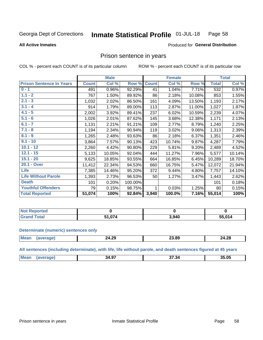#### Inmate Statistical Profile 01-JUL-18 Page 58

**All Active Inmates** 

### Produced for General Distribution

## Prison sentence in years

COL % - percent each COUNT is of its particular column

ROW % - percent each COUNT is of its particular row

|                                 |              | <b>Male</b> |         |              | <b>Female</b> |          |              | <b>Total</b> |
|---------------------------------|--------------|-------------|---------|--------------|---------------|----------|--------------|--------------|
| <b>Prison Sentence In Years</b> | <b>Count</b> | Col %       | Row %   | <b>Count</b> | Col %         | Row %    | <b>Total</b> | Col %        |
| $0 - 1$                         | 491          | 0.96%       | 92.29%  | 41           | 1.04%         | 7.71%    | 532          | 0.97%        |
| $1.1 - 2$                       | 767          | 1.50%       | 89.92%  | 86           | 2.18%         | 10.08%   | 853          | 1.55%        |
| $2.1 - 3$                       | 1,032        | 2.02%       | 86.50%  | 161          | 4.09%         | 13.50%   | 1,193        | 2.17%        |
| $3.1 - 4$                       | 914          | 1.79%       | 89.00%  | 113          | 2.87%         | 11.00%   | 1,027        | 1.87%        |
| $4.1 - 5$                       | 2,002        | 3.92%       | 89.41%  | 237          | 6.02%         | 10.59%   | 2,239        | 4.07%        |
| $5.1 - 6$                       | 1,026        | 2.01%       | 87.62%  | 145          | 3.68%         | 12.38%   | 1,171        | 2.13%        |
| $6.1 - 7$                       | 1,131        | 2.21%       | 91.21%  | 109          | 2.77%         | 8.79%    | 1,240        | 2.25%        |
| $7.1 - 8$                       | 1,194        | 2.34%       | 90.94%  | 119          | 3.02%         | $9.06\%$ | 1,313        | 2.39%        |
| $8.1 - 9$                       | 1,265        | 2.48%       | 93.63%  | 86           | 2.18%         | 6.37%    | 1,351        | 2.46%        |
| $9.1 - 10$                      | 3,864        | 7.57%       | 90.13%  | 423          | 10.74%        | 9.87%    | 4,287        | 7.79%        |
| $10.1 - 12$                     | 2,260        | 4.42%       | 90.80%  | 229          | 5.81%         | 9.20%    | 2,489        | 4.52%        |
| $12.1 - 15$                     | 5,133        | 10.05%      | 92.04%  | 444          | 11.27%        | 7.96%    | 5,577        | 10.14%       |
| $15.1 - 20$                     | 9,625        | 18.85%      | 93.55%  | 664          | 16.85%        | 6.45%    | 10,289       | 18.70%       |
| 20.1 - Over                     | 11,412       | 22.34%      | 94.53%  | 660          | 16.75%        | 5.47%    | 12,072       | 21.94%       |
| <b>Life</b>                     | 7,385        | 14.46%      | 95.20%  | 372          | 9.44%         | 4.80%    | 7,757        | 14.10%       |
| <b>Life Without Parole</b>      | 1,393        | 2.73%       | 96.53%  | 50           | 1.27%         | 3.47%    | 1,443        | 2.62%        |
| <b>Death</b>                    | 101          | 0.20%       | 100.00% |              |               |          | 101          | 0.18%        |
| <b>Youthful Offenders</b>       | 79           | 0.15%       | 98.75%  | 1            | 0.03%         | 1.25%    | 80           | 0.15%        |
| <b>Total Reported</b>           | 51,074       | 100%        | 92.84%  | 3,940        | 100.0%        | 7.16%    | 55,014       | 100%         |

| <b>Not Reported</b> |                |       |        |
|---------------------|----------------|-------|--------|
| <b>cotal</b>        | $\overline{1}$ | 3,940 | 55,014 |

### **Determinate (numeric) sentences only**

| <b>Mean</b> | 24.29 | הה הה<br>_ა.გყ | 24.28 |
|-------------|-------|----------------|-------|
|             |       |                |       |

All sentences (including determinate), with life, life without parole, and death sentences figured at 45 years

| Mea<br>35.05<br>$\sim$<br>-34.9. |  |  |  |
|----------------------------------|--|--|--|
|                                  |  |  |  |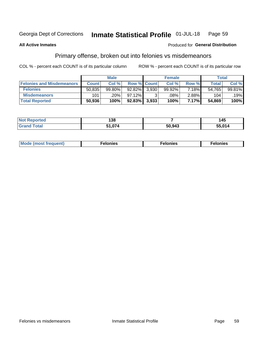#### Inmate Statistical Profile 01-JUL-18 Page 59

### **All Active Inmates**

### **Produced for General Distribution**

# Primary offense, broken out into felonies vs misdemeanors

COL % - percent each COUNT is of its particular column

|                                  |              | <b>Male</b> |             |       | <b>Female</b> |       |        | Total  |
|----------------------------------|--------------|-------------|-------------|-------|---------------|-------|--------|--------|
| <b>Felonies and Misdemeanors</b> | <b>Count</b> | Col %       | Row % Count |       | Col %         | Row % | Total  | Col%   |
| <b>Felonies</b>                  | 50,835       | $99.80\%$   | $92.82\%$   | 3.930 | 99.92%        | 7.18% | 54,765 | 99.81% |
| <b>Misdemeanors</b>              | 101          | .20%        | $97.12\%$   |       | $.08\%$       | 2.88% | 104    | .19%   |
| <b>Total Reported</b>            | 50,936       | 100%        | $92.83\%$   | 3.933 | 100%          | 7.17% | 54,869 | 100%   |

| <b>Not</b>    | 400          |        | . .    |
|---------------|--------------|--------|--------|
| rted.         | I JO         |        | 43     |
| Gran<br>⊺otaï | $\sim$<br>-4 | 50,943 | 55.014 |

| Mo | ____ | 11 C.S<br>. | onies<br>. |
|----|------|-------------|------------|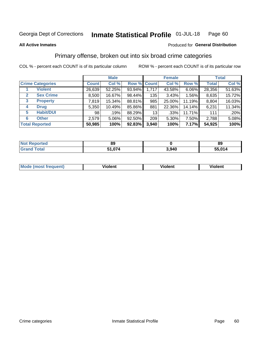### Inmate Statistical Profile 01-JUL-18 Page 60

### **All Active Inmates**

## **Produced for General Distribution**

# Primary offense, broken out into six broad crime categories

COL % - percent each COUNT is of its particular column

|                         | <b>Male</b>  |        |           |             | <b>Female</b> |        | <b>Total</b> |        |  |
|-------------------------|--------------|--------|-----------|-------------|---------------|--------|--------------|--------|--|
| <b>Crime Categories</b> | <b>Count</b> | Col %  |           | Row % Count | Col %         | Row %  | <b>Total</b> | Col %  |  |
| <b>Violent</b>          | 26,639       | 52.25% | 93.94%    | 1,717       | 43.58%        | 6.06%  | 28,356       | 51.63% |  |
| <b>Sex Crime</b><br>2   | 8,500        | 16.67% | 98.44%    | 135         | 3.43%         | 1.56%  | 8,635        | 15.72% |  |
| 3<br><b>Property</b>    | 7,819        | 15.34% | 88.81%    | 985         | 25.00%        | 11.19% | 8,804        | 16.03% |  |
| <b>Drug</b><br>4        | 5,350        | 10.49% | 85.86%    | 881         | 22.36%        | 14.14% | 6,231        | 11.34% |  |
| <b>Habit/DUI</b><br>5   | 98           | .19%   | 88.29%    | 13          | .33%          | 11.71% | 111          | .20%   |  |
| <b>Other</b><br>6       | 2,579        | 5.06%  | $92.50\%$ | 209         | 5.30%         | 7.50%  | 2,788        | 5.08%  |  |
| <b>Total Reported</b>   | 50,985       | 100%   | $92.83\%$ | 3,940       | 100%          | 7.17%  | 54,925       | 100%   |  |

| `ortea∶<br>NOT | 89    |       | 89   |
|----------------|-------|-------|------|
| Eata<br>. Gr   | . 074 | 3,940 | .014 |

| M | - --<br>100011 | .<br><b>VIOIGIIL</b> | 1.91311 |
|---|----------------|----------------------|---------|
|   |                |                      |         |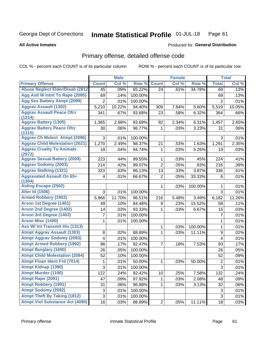### Inmate Statistical Profile 01-JUL-18 Page 61

### **All Active Inmates**

## **Produced for General Distribution**

# Primary offense, detailed offense code

COL % - percent each COUNT is of its particular column

|                                            |                | <b>Male</b> |         |                | <b>Female</b> |         |                | <b>Total</b> |
|--------------------------------------------|----------------|-------------|---------|----------------|---------------|---------|----------------|--------------|
| <b>Primary Offense</b>                     | <b>Count</b>   | Col %       | Row %   | <b>Count</b>   | Col %         | Row %   | <b>Total</b>   | Col %        |
| <b>Abuse Neglect Elder/Disab (2812)</b>    | 45             | .09%        | 65.22%  | 24             | .61%          | 34.78%  | 69             | .13%         |
| Agg Aslt W Intnt To Rape (2095)            | 69             | .14%        | 100.00% |                |               |         | 69             | .13%         |
| <b>Agg Sex Battery Atmpt (2099)</b>        | $\overline{2}$ | .01%        | 100.00% |                |               |         | $\overline{2}$ | .01%         |
| <b>Aggrav Assault (1302)</b>               | 5,210          | 10.22%      | 94.40%  | 309            | 7.84%         | 5.60%   | 5,519          | 10.05%       |
| <b>Aggrav Assault Peace Ofcr</b>           | 341            | .67%        | 93.68%  | 23             | .58%          | 6.32%   | 364            | .66%         |
| (1314)                                     |                |             |         |                |               |         |                |              |
| <b>Aggrav Battery (1305)</b>               | 1,365          | 2.68%       | 93.69%  | 92             | 2.34%         | 6.31%   | 1,457          | 2.65%        |
| <b>Aggrav Battery Peace Ofcr</b><br>(1315) | 30             | .06%        | 96.77%  | 1              | .03%          | 3.23%   | 31             | .06%         |
| <b>Aggrav Ch Molest Atmpt (2096)</b>       | 3              | .01%        | 100.00% |                |               |         | 3              | .01%         |
| <b>Aggrav Child Molestation (2021)</b>     | 1,270          | 2.49%       | 98.37%  | 21             | .53%          | 1.63%   | 1,291          | 2.35%        |
| <b>Aggrav Cruelty To Animals</b><br>(2972) | 18             | .04%        | 94.74%  | 1              | .03%          | 5.26%   | 19             | .03%         |
| <b>Aggrav Sexual Battery (2009)</b>        | 223            | .44%        | 99.55%  | 1              | .03%          | .45%    | 224            | .41%         |
| <b>Aggrav Sodomy (2003)</b>                | 214            | .42%        | 99.07%  | $\overline{2}$ | .05%          | .93%    | 216            | .39%         |
| <b>Aggrav Stalking (1321)</b>              | 323            | .63%        | 96.13%  | 13             | .33%          | 3.87%   | 336            | .61%         |
| <b>Aggravated Assault On 65+</b><br>(1304) | 4              | .01%        | 66.67%  | $\overline{2}$ | .05%          | 33.33%  | 6              | .01%         |
| <b>Aiding Escape (2502)</b>                |                |             |         | 1              | .03%          | 100.00% | 1              | .01%         |
| <b>Alter Id (1506)</b>                     | 3              | .01%        | 100.00% |                |               |         | 3              | .01%         |
| <b>Armed Robbery (1902)</b>                | 5,966          | 11.70%      | 96.51%  | 216            | 5.48%         | 3.49%   | 6,182          | 11.26%       |
| Arson 1st Degree (1401)                    | 49             | .10%        | 84.48%  | 9              | .23%          | 15.52%  | 58             | .11%         |
| <b>Arson 2nd Degree (1402)</b>             | 14             | .03%        | 93.33%  | 1              | .03%          | 6.67%   | 15             | .03%         |
| <b>Arson 3rd Degree (1403)</b>             | 7              | .01%        | 100.00% |                |               |         | $\overline{7}$ | .01%         |
| <b>Arson Misc (1400)</b>                   | 1              | .01%        | 100.00% |                |               |         | 1              | .01%         |
| Ass W/ Int Transmit Hiv (1313)             |                |             |         | 1              | .03%          | 100.00% | 1              | .01%         |
| <b>Atmpt Aggrav Assault (1303)</b>         | 8              | .02%        | 88.89%  | 1              | .03%          | 11.11%  | 9              | .02%         |
| <b>Atmpt Aggrav Sodomy (2093)</b>          | 4              | .01%        | 100.00% |                |               |         | 4              | .01%         |
| <b>Atmpt Armed Robbery (1992)</b>          | 86             | .17%        | 92.47%  | 7              | .18%          | 7.53%   | 93             | .17%         |
| <b>Atmpt Burglary (1690)</b>               | 26             | .05%        | 100.00% |                |               |         | 26             | .05%         |
| <b>Atmpt Child Molestation (2094)</b>      | 52             | .10%        | 100.00% |                |               |         | 52             | .09%         |
| <b>Atmpt Finan Ident Frd (7014)</b>        | 1              | .01%        | 50.00%  | 1              | .03%          | 50.00%  | 2              | .01%         |
| <b>Atmpt Kidnap (1390)</b>                 | $\overline{3}$ | .01%        | 100.00% |                |               |         | $\overline{3}$ | .01%         |
| <b>Atmpt Murder (1190)</b>                 | 122            | .24%        | 92.42%  | 10             | .25%          | 7.58%   | 132            | .24%         |
| Atmpt Rape (2091)                          | 47             | .09%        | 97.92%  | 1              | .03%          | 2.08%   | 48             | .09%         |
| <b>Atmpt Robbery (1991)</b>                | 31             | .06%        | 96.88%  | 1              | .03%          | 3.13%   | 32             | .06%         |
| <b>Atmpt Sodomy (2092)</b>                 | $\mathsf 3$    | .01%        | 100.00% |                |               |         | 3              | .01%         |
| <b>Atmpt Theft By Taking (1812)</b>        | $\mathbf{3}$   | .01%        | 100.00% |                |               |         | $\mathfrak{S}$ | .01%         |
| <b>Atmpt Viol Substance Act (4090)</b>     | 16             | .03%        | 88.89%  | $\overline{2}$ | .05%          | 11.11%  | 18             | .03%         |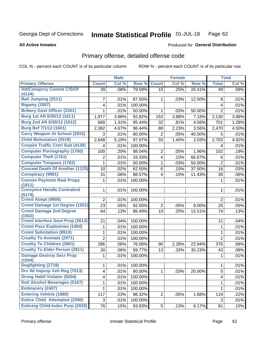### Inmate Statistical Profile 01-JUL-18 Page 62

**All Active Inmates** 

## **Produced for General Distribution**

# Primary offense, detailed offense code

COL % - percent each COUNT is of its particular column

|                                            |                | <b>Male</b> |         |                         | <b>Female</b>       |        |                | <b>Total</b> |
|--------------------------------------------|----------------|-------------|---------|-------------------------|---------------------|--------|----------------|--------------|
| <b>Primary Offense</b>                     | <b>Count</b>   | Col %       | Row %   | <b>Count</b>            | Col %               | Row %  | <b>Total</b>   | Col %        |
| <b>Att/Consprcy Commt C/S/Of</b>           | 39             | .08%        | 79.59%  | 10                      | .25%                | 20.41% | 49             | .09%         |
| (4134)                                     |                |             |         |                         |                     |        |                |              |
| <b>Bail Jumping (2511)</b>                 | 7              | .01%        | 87.50%  | 1.                      | .03%                | 12.50% | 8              | .01%         |
| <b>Bigamy (2007)</b>                       | 4              | .01%        | 100.00% |                         |                     |        | 4              | .01%         |
| <b>Bribery Govt Officer (2301)</b>         | 1              | .01%        | 50.00%  | 1                       | .03%                | 50.00% | $\overline{2}$ | .01%         |
| Burg 1st Aft 6/30/12 (1611)                | 1,977          | 3.88%       | 92.82%  | 153                     | 3.88%               | 7.18%  | 2,130          | 3.88%        |
| Burg 2nd Aft 6/30/12 (1612)                | 669            | 1.31%       | 95.44%  | 32                      | .81%                | 4.56%  | 701            | 1.28%        |
| <b>Burg Bef 7/1/12 (1601)</b>              | 2,382          | 4.67%       | 96.44%  | 88                      | 2.23%               | 3.56%  | 2,470          | 4.50%        |
| <b>Carry Weapon At School (2915)</b>       | 3              | .01%        | 60.00%  | $\overline{2}$          | .05%                | 40.00% | 5              | .01%         |
| <b>Child Molestation (2019)</b>            | 2,648          | 5.19%       | 97.97%  | 55                      | $\overline{1.40\%}$ | 2.03%  | 2,703          | 4.92%        |
| <b>Cnspire Traffic Cntrl Sub (4130)</b>    | 4              | .01%        | 100.00% |                         |                     |        | 4              | .01%         |
| <b>Computer Pornography (1760)</b>         | 100            | .20%        | 98.04%  | 2                       | .05%                | 1.96%  | 102            | .19%         |
| <b>Computer Theft (1761)</b>               | $\overline{2}$ | .01%        | 33.33%  | $\overline{\mathbf{4}}$ | .10%                | 66.67% | 6              | .01%         |
| <b>Computer Trespass (1762)</b>            | 1              | .01%        | 50.00%  | 1                       | .03%                | 50.00% | $\overline{2}$ | .01%         |
| <b>Conceal Death Of Another (1125)</b>     | 10             | .02%        | 62.50%  | 6                       | .15%                | 37.50% | 16             | .03%         |
| <b>Conspiracy (9901)</b>                   | 31             | .06%        | 88.57%  | $\overline{4}$          | .10%                | 11.43% | 35             | .06%         |
| <b>Convsn Paymnts Real Propy</b>           | 1              | .01%        | 100.00% |                         |                     |        | 1              | .01%         |
| (1811)                                     |                |             |         |                         |                     |        |                |              |
| <b>Convynce Handle Contrabnd</b><br>(5174) | $\mathbf{1}$   | .01%        | 100.00% |                         |                     |        | 1              | .01%         |
| Crmnl Atmpt (9905)                         | $\overline{2}$ | .01%        | 100.00% |                         |                     |        | $\overline{2}$ | .01%         |
| <b>Crmnl Damage 1st Degree (1501)</b>      | 23             | .05%        | 92.00%  | $\overline{2}$          | .05%                | 8.00%  | 25             | .05%         |
| <b>Crmnl Damage 2nd Degree</b>             | 64             | .13%        | 86.49%  | 10                      | .25%                | 13.51% | 74             | .13%         |
| (1502)                                     |                |             |         |                         |                     |        |                |              |
| <b>Crmnl Interfere Govt Prop (2613)</b>    | 21             | .04%        | 100.00% |                         |                     |        | 21             | .04%         |
| <b>Crmnl Poss Explosives (1404)</b>        | 1              | .01%        | 100.00% |                         |                     |        | $\mathbf{1}$   | .01%         |
| <b>Crmnl Solicitation (9910)</b>           | 1              | .01%        | 100.00% |                         |                     |        | 1              | .01%         |
| <b>Cruelty To Animals (2971)</b>           | $\overline{2}$ | .01%        | 100.00% |                         |                     |        | $\overline{2}$ | .01%         |
| <b>Cruelty To Children (2801)</b>          | 286            | .56%        | 76.06%  | 90                      | 2.28%               | 23.94% | 376            | .68%         |
| <b>Cruelty To Elder Person (2811)</b>      | 30             | .06%        | 69.77%  | 13                      | .33%                | 30.23% | 43             | .08%         |
| <b>Damage Destroy Secr Prop</b>            | 1              | .01%        | 100.00% |                         |                     |        | 1              | .01%         |
| (1504)<br>Dogfighting (2718)               | 1              | .01%        | 100.00% |                         |                     |        | $\mathbf{1}$   | .01%         |
| Drv W/ Improp Veh Reg (7013)               | 4              | .01%        | 80.00%  | $\mathbf{1}$            | .03%                | 20.00% | 5              | .01%         |
| <b>Drvng Habtl Violator (5004)</b>         |                | .01%        | 100.00% |                         |                     |        | 4              | .01%         |
| <b>Dstl Alcohol Beverages (5167)</b>       | 4<br>1         | .01%        | 100.00% |                         |                     |        |                | .01%         |
| <b>Embracery (2407)</b>                    |                |             |         |                         |                     |        | 1              |              |
|                                            | 1              | .01%        | 100.00% |                         |                     |        | 1              | .01%         |
| <b>Entering Vehicle (1880)</b>             | 117            | .23%        | 98.32%  | $\overline{2}$          | .05%                | 1.68%  | 119            | .22%         |
| <b>Entice Child Attempted (2090)</b>       | 3              | .01%        | 100.00% |                         |                     |        | 3              | .01%         |
| <b>Enticing Child-Indec Purp (2020)</b>    | 76             | .15%        | 93.83%  | 5 <sup>1</sup>          | .13%                | 6.17%  | 81             | .15%         |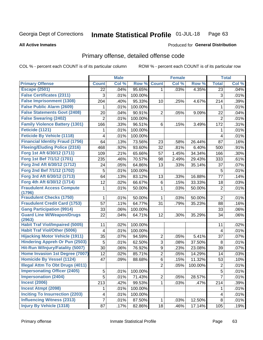### Inmate Statistical Profile 01-JUL-18 Page 63

### **All Active Inmates**

### **Produced for General Distribution**

# Primary offense, detailed offense code

COL % - percent each COUNT is of its particular column

|                                            |              | <b>Male</b> |         |                | <b>Female</b> |         |                  | <b>Total</b> |
|--------------------------------------------|--------------|-------------|---------|----------------|---------------|---------|------------------|--------------|
| <b>Primary Offense</b>                     | <b>Count</b> | Col %       | Row %   | <b>Count</b>   | Col %         | Row %   | <b>Total</b>     | Col %        |
| <b>Escape (2501)</b>                       | 22           | .04%        | 95.65%  | $\mathbf{1}$   | .03%          | 4.35%   | 23               | .04%         |
| <b>False Certificates (2311)</b>           | 3            | .01%        | 100.00% |                |               |         | 3                | .01%         |
| <b>False Imprisonment (1308)</b>           | 204          | .40%        | 95.33%  | 10             | .25%          | 4.67%   | 214              | .39%         |
| <b>False Public Alarm (2609)</b>           | 1            | .01%        | 100.00% |                |               |         | 1                | .01%         |
| <b>False Statements Govt (2408)</b>        | 20           | .04%        | 90.91%  | $\overline{2}$ | .05%          | 9.09%   | 22               | .04%         |
| <b>False Swearing (2402)</b>               | 2            | .01%        | 100.00% |                |               |         | $\overline{2}$   | .01%         |
| <b>Family Violence Battery (1301)</b>      | 166          | .33%        | 96.51%  | 6              | .15%          | 3.49%   | 172              | .31%         |
| Feticide (1121)                            | 1            | .01%        | 100.00% |                |               |         | 1                | .01%         |
| <b>Feticide By Vehicle (1118)</b>          | 4            | .01%        | 100.00% |                |               |         | 4                | .01%         |
| <b>Financial Identity Fraud (1756)</b>     | 64           | .13%        | 73.56%  | 23             | .58%          | 26.44%  | 87               | .16%         |
| <b>Fleeing/Eluding Police (2316)</b>       | 468          | .92%        | 93.60%  | 32             | .81%          | 6.40%   | 500              | .91%         |
| Forg 1st Aft 6/30/12 (1711)                | 109          | .21%        | 65.66%  | 57             | 1.45%         | 34.34%  | 166              | .30%         |
| Forg 1st Bef 7/1/12 (1701)                 | 235          | .46%        | 70.57%  | 98             | 2.49%         | 29.43%  | 333              | .61%         |
| Forg 2nd Aft 6/30/12 (1712)                | 24           | .05%        | 64.86%  | 13             | .33%          | 35.14%  | 37               | .07%         |
| Forg 2nd Bef 7/1/12 (1702)                 | 5            | .01%        | 100.00% |                |               |         | $\overline{5}$   | .01%         |
| Forg 3rd Aft 6/30/12 (1713)                | 64           | .13%        | 83.12%  | 13             | .33%          | 16.88%  | 77               | .14%         |
| Forg 4th Aft 6/30/12 (1714)                | 12           | .02%        | 66.67%  | 6              | .15%          | 33.33%  | 18               | .03%         |
| <b>Fraudulent Access Compute</b><br>(1796) | 1            | .01%        | 50.00%  | 1              | .03%          | 50.00%  | $\boldsymbol{2}$ | .01%         |
| <b>Fraudulent Checks (1750)</b>            | 1            | .01%        | 50.00%  | $\mathbf{1}$   | .03%          | 50.00%  | $\overline{2}$   | .01%         |
| <b>Fraudulent Credit Card (1753)</b>       | 57           | .11%        | 64.77%  | 31             | .79%          | 35.23%  | 88               | .16%         |
| <b>Gang Participation (9914)</b>           | 33           | .06%        | 100.00% |                |               |         | 33               | .06%         |
| <b>Guard Line W/Weapon/Drugs</b><br>(2963) | 22           | .04%        | 64.71%  | 12             | .30%          | 35.29%  | 34               | .06%         |
| <b>Habit Traf Viol/Impaired (5005)</b>     | 11           | .02%        | 100.00% |                |               |         | 11               | .02%         |
| <b>Habit Traf Viol/Other (5006)</b>        | 4            | .01%        | 100.00% |                |               |         | 4                | .01%         |
| <b>Hijacking Motor Vehicle (1911)</b>      | 35           | .07%        | 94.59%  | $\overline{2}$ | .05%          | 5.41%   | 37               | .07%         |
| <b>Hindering Appreh Or Pun (2503)</b>      | 5            | .01%        | 62.50%  | 3              | .08%          | 37.50%  | 8                | .01%         |
| Hit-Run W/Injury/Fatality (5007)           | 30           | .06%        | 76.92%  | 9              | .23%          | 23.08%  | 39               | .07%         |
| Home Invasion 1st Degree (7007)            | 12           | .02%        | 85.71%  | $\overline{c}$ | .05%          | 14.29%  | 14               | .03%         |
| <b>Homicide By Vessel (1124)</b>           | 47           | .09%        | 88.68%  | 6              | .15%          | 11.32%  | 53               | .10%         |
| <b>Illegal Attm To Obt Drugs (4011)</b>    |              |             |         | $\overline{2}$ | .05%          | 100.00% | $\overline{2}$   | .01%         |
| <b>Impersonating Officer (2405)</b>        | 5            | .01%        | 100.00% |                |               |         | 5                | .01%         |
| <b>Impersonation (2404)</b>                | 5            | .01%        | 71.43%  | $\overline{2}$ | .05%          | 28.57%  | $\overline{7}$   | .01%         |
| <b>Incest (2006)</b>                       | 213          | .42%        | 99.53%  | $\mathbf{1}$   | .03%          | .47%    | 214              | .39%         |
| <b>Incest Atmpt (2098)</b>                 | 1            | .01%        | 100.00% |                |               |         | 1                | .01%         |
| <b>Inciting To Insurrection (2203)</b>     | 4            | .01%        | 100.00% |                |               |         | 4                | .01%         |
| <b>Influencing Witness (2313)</b>          | 7            | .01%        | 87.50%  | $\mathbf{1}$   | .03%          | 12.50%  | 8                | .01%         |
| <b>Injury By Vehicle (1318)</b>            | 87           | .17%        | 82.86%  | 18             | .46%          | 17.14%  | 105              | .19%         |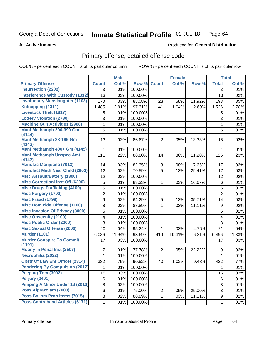### Inmate Statistical Profile 01-JUL-18 Page 64

### **All Active Inmates**

# **Produced for General Distribution**

# Primary offense, detailed offense code

COL % - percent each COUNT is of its particular column

|                                            |                | <b>Male</b> |         |                | <b>Female</b> |        |                | <b>Total</b> |
|--------------------------------------------|----------------|-------------|---------|----------------|---------------|--------|----------------|--------------|
| <b>Primary Offense</b>                     | <b>Count</b>   | Col %       | Row %   | <b>Count</b>   | Col %         | Row %  | <b>Total</b>   | Col %        |
| <b>Insurrection (2202)</b>                 | 3              | .01%        | 100.00% |                |               |        | 3              | .01%         |
| <b>Interference With Custody (1312)</b>    | 13             | .03%        | 100.00% |                |               |        | 13             | .02%         |
| <b>Involuntary Manslaughter (1103)</b>     | 170            | .33%        | 88.08%  | 23             | .58%          | 11.92% | 193            | .35%         |
| Kidnapping (1311)                          | 1,485          | 2.91%       | 97.31%  | 41             | 1.04%         | 2.69%  | 1,526          | 2.78%        |
| <b>Livestock Theft (1817)</b>              | 5              | .01%        | 100.00% |                |               |        | 5              | .01%         |
| <b>Lottery Violation (2730)</b>            | 3              | .01%        | 100.00% |                |               |        | 3              | .01%         |
| <b>Machine Gun Activities (2906)</b>       | 1              | .01%        | 100.00% |                |               |        | 1              | .01%         |
| Manf Methamph 200-399 Gm<br>(4144)         | 5              | .01%        | 100.00% |                |               |        | 5              | .01%         |
| Manf Methamph 28-199 Gm<br>(4143)          | 13             | .03%        | 86.67%  | $\overline{2}$ | .05%          | 13.33% | 15             | .03%         |
| Manf Methamph 400+ Gm (4145)               | 1.             | .01%        | 100.00% |                |               |        | 1              | .01%         |
| <b>Manf Methamph Unspec Amt</b><br>(4147)  | 111            | .22%        | 88.80%  | 14             | .36%          | 11.20% | 125            | .23%         |
| <b>Manufac Marijuana (7012)</b>            | 14             | .03%        | 82.35%  | 3              | .08%          | 17.65% | 17             | .03%         |
| <b>Manufact Meth Near Child (2803)</b>     | 12             | .02%        | 70.59%  | 5              | .13%          | 29.41% | 17             | .03%         |
| <b>Misc Assault/Battery (1300)</b>         | 12             | .02%        | 100.00% |                |               |        | 12             | .02%         |
| <b>Misc Correctionl Inst Off (6200)</b>    | 5              | .01%        | 83.33%  | 1              | .03%          | 16.67% | 6              | .01%         |
| <b>Misc Drugs Trafficking (4100)</b>       | 5              | .01%        | 100.00% |                |               |        | 5              | .01%         |
| <b>Misc Forgery (1700)</b>                 | $\overline{2}$ | .01%        | 100.00% |                |               |        | $\overline{2}$ | .01%         |
| <b>Misc Fraud (1799)</b>                   | 9              | .02%        | 64.29%  | 5              | .13%          | 35.71% | 14             | .03%         |
| <b>Misc Homicide Offense (1100)</b>        | 8              | .02%        | 88.89%  | 1              | .03%          | 11.11% | 9              | .02%         |
| <b>Misc Invasion Of Privacy (3000)</b>     | 5              | .01%        | 100.00% |                |               |        | 5              | .01%         |
| <b>Misc Obscenity (2100)</b>               | 4              | .01%        | 100.00% |                |               |        | 4              | .01%         |
| <b>Misc Public Order (2200)</b>            | 3              | .01%        | 100.00% |                |               |        | 3              | .01%         |
| <b>Misc Sexual Offense (2000)</b>          | 20             | .04%        | 95.24%  | 1              | .03%          | 4.76%  | 21             | .04%         |
| <b>Murder (1101)</b>                       | 6,086          | 11.94%      | 93.69%  | 410            | 10.41%        | 6.31%  | 6,496          | 11.83%       |
| <b>Murder Conspire To Commit</b><br>(1191) | 17             | .03%        | 100.00% |                |               |        | 17             | .03%         |
| <b>Mutiny In Penal Inst (2507)</b>         | 7              | .01%        | 77.78%  | $\overline{2}$ | .05%          | 22.22% | 9              | .02%         |
| Necrophilia (2022)                         | 1              | .01%        | 100.00% |                |               |        | 1              | .01%         |
| <b>Obstr Of Law Enf Officer (2314)</b>     | 382            | .75%        | 90.52%  | 40             | 1.02%         | 9.48%  | 422            | .77%         |
| <b>Pandering By Compulsion (2017)</b>      | $\mathbf{1}$   | .01%        | 100.00% |                |               |        | $\mathbf{1}$   | .01%         |
| Peeping Tom (3002)                         | 15             | .03%        | 100.00% |                |               |        | 15             | .03%         |
| <b>Perjury (2401)</b>                      | 6              | .01%        | 100.00% |                |               |        | 6              | .01%         |
| <b>Pimping A Minor Under 18 (2016)</b>     | 8              | .02%        | 100.00% |                |               |        | 8              | .01%         |
| Poss Alprazolam (7003)                     | 6              | .01%        | 75.00%  | $\overline{2}$ | .05%          | 25.00% | 8              | .01%         |
| Poss By Inm Proh Items (7015)              | 8              | .02%        | 88.89%  | 1              | .03%          | 11.11% | 9              | .02%         |
| <b>Poss Contraband Articles (5171)</b>     | $\mathbf{1}$   | .01%        | 100.00% |                |               |        | 1              | .01%         |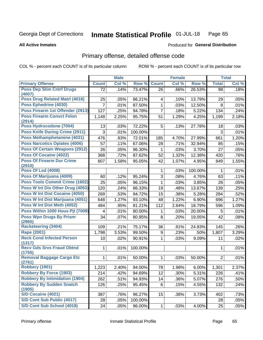### Inmate Statistical Profile 01-JUL-18 Page 65

### **All Active Inmates**

### Produced for General Distribution

# Primary offense, detailed offense code

COL % - percent each COUNT is of its particular column

|                                            |                | <b>Male</b> |         |              | <b>Female</b> |         |                | <b>Total</b> |
|--------------------------------------------|----------------|-------------|---------|--------------|---------------|---------|----------------|--------------|
| <b>Primary Offense</b>                     | <b>Count</b>   | Col %       | Row %   | <b>Count</b> | Col %         | Row %   | <b>Total</b>   | Col %        |
| <b>Poss Dep Stim Cntrf Drugs</b>           | 72             | .14%        | 73.47%  | 26           | .66%          | 26.53%  | 98             | .18%         |
| (4007)<br>Poss Drug Related Matrl (4016)   |                |             |         |              |               |         |                |              |
|                                            | 25             | .05%        | 86.21%  | 4            | .10%          | 13.79%  | 29             | .05%         |
| Poss Ephedrine (4030)                      | $\overline{7}$ | .01%        | 87.50%  | 1            | .03%          | 12.50%  | 8              | .01%         |
| Poss Firearm 1st Offender (2913)           | 127            | .25%        | 94.78%  | 7            | .18%          | 5.22%   | 134            | .24%         |
| <b>Poss Firearm Convct Felon</b><br>(2914) | 1,148          | 2.25%       | 95.75%  | 51           | 1.29%         | 4.25%   | 1,199          | 2.18%        |
| Poss Hydrocodone (7004)                    | 13             | .03%        | 72.22%  | 5            | .13%          | 27.78%  | 18             | .03%         |
| <b>Poss Knife During Crime (2911)</b>      | 3              | .01%        | 100.00% |              |               |         | 3              | .01%         |
| Poss Methamphetamine (4031)                | 476            | .93%        | 72.01%  | 185          | 4.70%         | 27.99%  | 661            | 1.20%        |
| <b>Poss Narcotics Opiates (4006)</b>       | 57             | .11%        | 67.06%  | 28           | .71%          | 32.94%  | 85             | .15%         |
| <b>Poss Of Certain Weapons (2912)</b>      | 26             | .05%        | 96.30%  | 1            | .03%          | 3.70%   | 27             | .05%         |
| <b>Poss Of Cocaine (4022)</b>              | 368            | .72%        | 87.62%  | 52           | 1.32%         | 12.38%  | 420            | .76%         |
| <b>Poss Of Firearm Dur Crime</b><br>(2910) | 807            | 1.58%       | 95.05%  | 42           | 1.07%         | 4.95%   | 849            | 1.55%        |
| <b>Poss Of Lsd (4008)</b>                  |                |             |         | 1            | .03%          | 100.00% | $\mathbf 1$    | .01%         |
| Poss Of Marijuana (4009)                   | 60             | .12%        | 95.24%  | 3            | .08%          | 4.76%   | 63             | .11%         |
| Poss Tools Commit Crime (1602)             | 25             | .05%        | 96.15%  | 1            | .03%          | 3.85%   | 26             | .05%         |
| Poss W Int Dis Other Drug (4053)           | 120            | .24%        | 86.33%  | 19           | .48%          | 13.67%  | 139            | .25%         |
| <b>Poss W Int Dist Cocaine (4050)</b>      | 269            | .53%        | 94.72%  | 15           | .38%          | 5.28%   | 284            | .52%         |
| Poss W Int Dist Marijuana (4051)           | 648            | 1.27%       | 93.10%  | 48           | 1.22%         | 6.90%   | 696            | 1.27%        |
| Poss W Int Dist Meth (4052)                | 484            | .95%        | 81.21%  | 112          | 2.84%         | 18.79%  | 596            | 1.09%        |
| Poss Within 1000 Hous Pjt (7009)           | 4              | .01%        | 80.00%  | 1            | .03%          | 20.00%  | 5              | .01%         |
| <b>Poss Wpn Drugs By Prisnr</b>            | 34             | .07%        | 80.95%  | 8            | .20%          | 19.05%  | 42             | .08%         |
| (2965)                                     |                |             |         |              |               |         |                |              |
| <b>Racketeering (3404)</b>                 | 109            | .21%        | 75.17%  | 36           | .91%          | 24.83%  | 145            | .26%         |
| <b>Rape (2001)</b>                         | 1,798          | 3.53%       | 99.50%  | 9            | .23%          | .50%    | 1,807          | 3.29%        |
| <b>Reck Cond Infected Person</b><br>(1317) | 10             | .02%        | 90.91%  | $\mathbf{1}$ | .03%          | 9.09%   | 11             | .02%         |
| <b>Recv Gds Srvs Fraud Obtnd</b><br>(1755) | 1              | .01%        | 100.00% |              |               |         | 1              | .01%         |
| <b>Removal Baggage Cargo Etc</b><br>(2761) | 1              | .01%        | 50.00%  | 1            | .03%          | 50.00%  | $\overline{2}$ | .01%         |
| <b>Robbery (1901)</b>                      | 1,223          | 2.40%       | 94.00%  | 78           | 1.98%         | 6.00%   | 1,301          | 2.37%        |
| <b>Robbery By Force (1903)</b>             | 214            | .42%        | 94.69%  | 12           | .30%          | 5.31%   | 226            | .41%         |
| <b>Robbery By Intimidation (1904)</b>      | 262            | .51%        | 94.93%  | 14           | .36%          | 5.07%   | 276            | .50%         |
| <b>Robbery By Sudden Snatch</b><br>(1905)  | 126            | .25%        | 95.45%  | 6            | .15%          | 4.55%   | 132            | .24%         |
| <b>S/D Cocaine (4021)</b>                  | 387            | .76%        | 96.27%  | 15           | .38%          | 3.73%   | 402            | .73%         |
| S/D Cont Sub Public (4017)                 | 28             | .05%        | 100.00% |              |               |         | 28             | .05%         |
| S/D Cont Sub School (4018)                 | 24             | .05%        | 96.00%  | $\mathbf{1}$ | .03%          | 4.00%   | 25             | .05%         |
|                                            |                |             |         |              |               |         |                |              |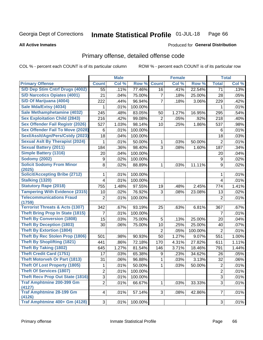### Inmate Statistical Profile 01-JUL-18 Page 66

### **All Active Inmates**

### Produced for General Distribution

# Primary offense, detailed offense code

COL % - percent each COUNT is of its particular column

|                                            |                | <b>Male</b> |         |                | <b>Female</b> |         |                | <b>Total</b> |
|--------------------------------------------|----------------|-------------|---------|----------------|---------------|---------|----------------|--------------|
| <b>Primary Offense</b>                     | <b>Count</b>   | Col %       | Row %   | <b>Count</b>   | Col %         | Row %   | <b>Total</b>   | Col %        |
| S/D Dep Stim Cntrf Drugs (4002)            | 55             | .11%        | 77.46%  | 16             | .41%          | 22.54%  | 71             | .13%         |
| <b>S/D Narcotics Opiates (4001)</b>        | 21             | .04%        | 75.00%  | 7              | .18%          | 25.00%  | 28             | .05%         |
| S/D Of Marijuana (4004)                    | 222            | .44%        | 96.94%  | 7              | .18%          | 3.06%   | 229            | .42%         |
| Sale Mda/Extsy (4034)                      | 1              | .01%        | 100.00% |                |               |         | 1              | .01%         |
| Sale Methamphetamine (4032)                | 245            | .48%        | 83.05%  | 50             | 1.27%         | 16.95%  | 295            | .54%         |
| <b>Sex Exploitation Child (2843)</b>       | 216            | .42%        | 99.08%  | 2              | .05%          | .92%    | 218            | .40%         |
| <b>Sex Offender Fail Registr (2026)</b>    | 527            | 1.03%       | 98.14%  | 10             | .25%          | 1.86%   | 537            | .98%         |
| <b>Sex Offender Fail To Move (2028)</b>    | 6              | .01%        | 100.00% |                |               |         | 6              | .01%         |
| Sexl/Asslt/Agn/Pers/Cstdy (2023)           | 18             | .04%        | 100.00% |                |               |         | 18             | .03%         |
| <b>Sexual Aslt By Therapist (2024)</b>     | 1              | .01%        | 50.00%  | 1              | .03%          | 50.00%  | $\overline{2}$ | .01%         |
| <b>Sexual Battery (2011)</b>               | 184            | .36%        | 98.40%  | 3              | .08%          | 1.60%   | 187            | .34%         |
| <b>Simple Battery (1316)</b>               | 20             | .04%        | 100.00% |                |               |         | 20             | .04%         |
| <b>Sodomy (2002)</b>                       | 9              | .02%        | 100.00% |                |               |         | 9              | .02%         |
| <b>Solicit Sodomy From Minor</b>           | 8              | .02%        | 88.89%  | 1              | .03%          | 11.11%  | 9              | .02%         |
| (2025)                                     |                |             |         |                |               |         |                |              |
| <b>Solicit/Accepting Bribe (2712)</b>      | 1.             | .01%        | 100.00% |                |               |         | 1              | .01%         |
| <b>Stalking (1320)</b>                     | 4              | .01%        | 100.00% |                |               |         | 4              | .01%         |
| <b>Statutory Rape (2018)</b>               | 755            | 1.48%       | 97.55%  | 19             | .48%          | 2.45%   | 774            | 1.41%        |
| <b>Tampering With Evidence (2315)</b>      | 10             | .02%        | 76.92%  | 3              | .08%          | 23.08%  | 13             | .02%         |
| <b>Telecommunications Fraud</b><br>(1759)  | 2              | .01%        | 100.00% |                |               |         | 2              | .01%         |
| <b>Terrorist Threats &amp; Acts (1307)</b> | 342            | .67%        | 93.19%  | 25             | .63%          | 6.81%   | 367            | .67%         |
| <b>Theft Bring Prop In State (1815)</b>    | 7              | .01%        | 100.00% |                |               |         | $\overline{7}$ | .01%         |
| <b>Theft By Conversion (1808)</b>          | 15             | .03%        | 75.00%  | 5              | .13%          | 25.00%  | 20             | .04%         |
| <b>Theft By Deception (1803)</b>           | 30             | .06%        | 75.00%  | 10             | .25%          | 25.00%  | 40             | .07%         |
| <b>Theft By Extortion (1804)</b>           |                |             |         | $\overline{2}$ | .05%          | 100.00% | $\overline{2}$ | .01%         |
| <b>Theft By Rec Stolen Prop (1806)</b>     | 501            | .98%        | 90.93%  | 50             | 1.27%         | 9.07%   | 551            | 1.00%        |
| <b>Theft By Shoplifting (1821)</b>         | 441            | .86%        | 72.18%  | 170            | 4.31%         | 27.82%  | 611            | 1.11%        |
| Theft By Taking (1802)                     | 645            | 1.27%       | 81.54%  | 146            | 3.71%         | 18.46%  | 791            | 1.44%        |
| <b>Theft Credit Card (1751)</b>            | 17             | .03%        | 65.38%  | 9              | .23%          | 34.62%  | 26             | .05%         |
| <b>Theft Motorveh Or Part (1813)</b>       | 31             | .06%        | 96.88%  | 1              | .03%          | 3.13%   | 32             | .06%         |
| <b>Theft Of Lost Property (1805)</b>       | 1              | .01%        | 50.00%  | 1              | .03%          | 50.00%  | $\overline{c}$ | .01%         |
| <b>Theft Of Services (1807)</b>            | $\overline{2}$ | .01%        | 100.00% |                |               |         | $\overline{2}$ | .01%         |
| <b>Theft Recv Prop Out State (1816)</b>    | 3              | .01%        | 100.00% |                |               |         | 3              | .01%         |
| <b>Traf Amphtmine 200-399 Gm</b>           | $\overline{2}$ | .01%        | 66.67%  | 1              | .03%          | 33.33%  | 3              | .01%         |
| (4127)                                     |                |             |         |                |               |         |                |              |
| <b>Traf Amphtmine 28-199 Gm</b><br>(4126)  | $\overline{4}$ | .01%        | 57.14%  | 3 <sup>1</sup> | .08%          | 42.86%  | $\overline{7}$ | .01%         |
| Traf Amphtmine 400+ Gm (4128)              | 3              | .01%        | 100.00% |                |               |         | 3              | .01%         |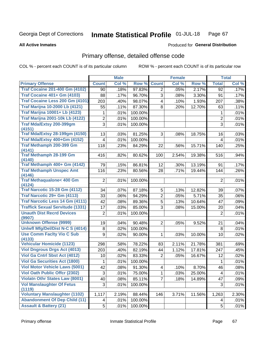### Inmate Statistical Profile 01-JUL-18 Page 67

### **All Active Inmates**

## Produced for General Distribution

# Primary offense, detailed offense code

COL % - percent each COUNT is of its particular column

| Col %<br><b>Count</b><br>Col %<br>Row %<br><b>Count</b><br>Col %<br>Row %<br><b>Total</b><br><b>Traf Cocaine 201-400 Gm (4102)</b><br>97.83%<br>.17%<br>.18%<br>.05%<br>2.17%<br>90<br>2<br>92<br><b>Traf Cocaine 401+ Gm (4103)</b><br>96.70%<br>3<br>3.30%<br>88<br>.17%<br>.08%<br>.17%<br>91<br>Traf Cocaine Less 200 Gm (4101)<br>203<br>.40%<br>98.07%<br>1.93%<br>207<br>.38%<br>.10%<br>4<br><b>Traf Marijna 10-2000 Lb (4121)</b><br>87.30%<br>.11%<br>55<br>.11%<br>8<br>.20%<br>12.70%<br>63<br><b>Traf Marijna 10001+ Lb (4123)</b><br>.01%<br>.01%<br>100.00%<br>1<br>1<br><b>Traf Marijna 2001-10k Lb (4122)</b><br>$\overline{2}$<br>$\overline{2}$<br>.01%<br>100.00%<br>.01%<br>Traf Mda/Extsy 200-399gm<br>3<br>3<br>.01%<br>100.00%<br>.01%<br>(4151)<br><b>Traf Mda/Extsy 28-199gm (4150)</b><br>81.25%<br>.03%<br>13<br>.03%<br>3<br>.08%<br>18.75%<br>16<br>Traf Mda/Extsy 400+Gm (4152)<br>.01%<br>100.00%<br>.01%<br>$\overline{4}$<br>4<br>Traf Methamph 200-399 Gm<br>118<br>15.71%<br>.25%<br>.23%<br>84.29%<br>140<br>22<br>.56%<br>(4141)<br><b>Traf Methamph 28-199 Gm</b><br>416<br>.82%<br>80.62%<br>19.38%<br>.94%<br>100<br>2.54%<br>516<br>(4140)<br>Traf Methamph 400+ Gm (4142)<br>86.81%<br>13.19%<br>79<br>.15%<br>12<br>.30%<br>.17%<br>91<br><b>Traf Methamph Unspec Amt</b><br>116<br>.23%<br>80.56%<br>.71%<br>19.44%<br>144<br>.26%<br>28<br>(4146)<br><b>Traf Methaqualone&lt; 400 Gm</b><br>100.00%<br>.01%<br>$\overline{2}$<br>.01%<br>$\overline{2}$<br>(4124)<br><b>Traf Narcotic 15-28 Gm (4112)</b><br>87.18%<br>5<br>.13%<br>12.82%<br>.07%<br>34<br>.07%<br>39<br>Traf Narcotic 29+ Gm (4113)<br>$\overline{2}$<br>33<br>.06%<br>94.29%<br>5.71%<br>.06%<br>.05%<br>35<br>Traf Narcotic Less 14 Gm (4111)<br>5<br>42<br>.08%<br>89.36%<br>.13%<br>10.64%<br>.09%<br>47<br><b>Traffick Sexual Servitude (1331)</b><br>85.00%<br>3<br>17<br>.03%<br>.08%<br>15.00%<br>.04%<br>20<br><b>Unauth Dist Recrd Devices</b><br>.01%<br>$\overline{2}$<br>.01%<br>100.00%<br>$\overline{2}$<br>(9907)<br><b>Unknown Offense (9999)</b><br>90.48%<br>.04%<br>19<br>.04%<br>2<br>.05%<br>9.52%<br>21<br>Uniwfl Mfg/Del/Dist N-C S (4014)<br>.01%<br>.02%<br>100.00%<br>8<br>8<br><b>Use Comm Facity Vio C Sub</b><br>9<br>.02%<br>.02%<br>90.00%<br>.03%<br>10.00%<br>10<br>1<br>(4133)<br><b>Vehicular Homicide (1123)</b><br>.58%<br>78.22%<br>2.11%<br>21.78%<br>.69%<br>298<br>381<br>83<br><b>Viol Dngrous Drgs Act (4013)</b><br>82.19%<br>1.12%<br>17.81%<br>.45%<br>203<br>.40%<br>247<br>44<br>Viol Ga Cntrl Sbst Act (4012)<br>83.33%<br>.02%<br>10<br>.02%<br>2<br>.05%<br>16.67%<br>12<br><b>Viol Ga Securities Act (1800)</b><br>.01%<br>.01%<br>100.00%<br>1<br>1<br>Viol Motor Vehicle Laws (5001)<br>42<br>.08%<br>91.30%<br>8.70%<br>46<br>.08%<br>.10%<br>4<br><b>Viol Oath Public Offer (2302)</b><br>3<br>.01%<br>75.00%<br>.01%<br>1<br>.03%<br>25.00%<br>4<br><b>Violatn Othr States Law (8001)</b><br>40<br>85.11%<br>.08%<br>.18%<br>14.89%<br>47<br>.09%<br>7<br><b>Vol Manslaughter Of Fetus</b><br>3<br>.01%<br>100.00%<br>3<br>.01%<br>(1119)<br><b>Voluntary Manslaughter (1102)</b><br>88.44%<br>2.30%<br>1,117<br>2.19%<br>3.71%<br>11.56%<br>1,263<br>146<br><b>Abandonment Of Dep Child (11)</b><br>.01%<br>100.00%<br>.01%<br>4<br>4<br><b>Assault &amp; Battery (21)</b><br>5<br>.01%<br>100.00%<br>5<br>.01% |                        | <b>Male</b> |  | <b>Female</b> |  | <b>Total</b> |
|--------------------------------------------------------------------------------------------------------------------------------------------------------------------------------------------------------------------------------------------------------------------------------------------------------------------------------------------------------------------------------------------------------------------------------------------------------------------------------------------------------------------------------------------------------------------------------------------------------------------------------------------------------------------------------------------------------------------------------------------------------------------------------------------------------------------------------------------------------------------------------------------------------------------------------------------------------------------------------------------------------------------------------------------------------------------------------------------------------------------------------------------------------------------------------------------------------------------------------------------------------------------------------------------------------------------------------------------------------------------------------------------------------------------------------------------------------------------------------------------------------------------------------------------------------------------------------------------------------------------------------------------------------------------------------------------------------------------------------------------------------------------------------------------------------------------------------------------------------------------------------------------------------------------------------------------------------------------------------------------------------------------------------------------------------------------------------------------------------------------------------------------------------------------------------------------------------------------------------------------------------------------------------------------------------------------------------------------------------------------------------------------------------------------------------------------------------------------------------------------------------------------------------------------------------------------------------------------------------------------------------------------------------------------------------------------------------------------------------------------------------------------------------------------------------------------------------------------------------------------------------------------------------------------------------------------------------------------------------------------------------------------------------------------------------------------------------------------------------------------------------------------------------------------------------------------------------------------------------------------------------------------------------------------------------------------------------------------------------------------------------------------|------------------------|-------------|--|---------------|--|--------------|
|                                                                                                                                                                                                                                                                                                                                                                                                                                                                                                                                                                                                                                                                                                                                                                                                                                                                                                                                                                                                                                                                                                                                                                                                                                                                                                                                                                                                                                                                                                                                                                                                                                                                                                                                                                                                                                                                                                                                                                                                                                                                                                                                                                                                                                                                                                                                                                                                                                                                                                                                                                                                                                                                                                                                                                                                                                                                                                                                                                                                                                                                                                                                                                                                                                                                                                                                                                                            | <b>Primary Offense</b> |             |  |               |  |              |
|                                                                                                                                                                                                                                                                                                                                                                                                                                                                                                                                                                                                                                                                                                                                                                                                                                                                                                                                                                                                                                                                                                                                                                                                                                                                                                                                                                                                                                                                                                                                                                                                                                                                                                                                                                                                                                                                                                                                                                                                                                                                                                                                                                                                                                                                                                                                                                                                                                                                                                                                                                                                                                                                                                                                                                                                                                                                                                                                                                                                                                                                                                                                                                                                                                                                                                                                                                                            |                        |             |  |               |  |              |
|                                                                                                                                                                                                                                                                                                                                                                                                                                                                                                                                                                                                                                                                                                                                                                                                                                                                                                                                                                                                                                                                                                                                                                                                                                                                                                                                                                                                                                                                                                                                                                                                                                                                                                                                                                                                                                                                                                                                                                                                                                                                                                                                                                                                                                                                                                                                                                                                                                                                                                                                                                                                                                                                                                                                                                                                                                                                                                                                                                                                                                                                                                                                                                                                                                                                                                                                                                                            |                        |             |  |               |  |              |
|                                                                                                                                                                                                                                                                                                                                                                                                                                                                                                                                                                                                                                                                                                                                                                                                                                                                                                                                                                                                                                                                                                                                                                                                                                                                                                                                                                                                                                                                                                                                                                                                                                                                                                                                                                                                                                                                                                                                                                                                                                                                                                                                                                                                                                                                                                                                                                                                                                                                                                                                                                                                                                                                                                                                                                                                                                                                                                                                                                                                                                                                                                                                                                                                                                                                                                                                                                                            |                        |             |  |               |  |              |
|                                                                                                                                                                                                                                                                                                                                                                                                                                                                                                                                                                                                                                                                                                                                                                                                                                                                                                                                                                                                                                                                                                                                                                                                                                                                                                                                                                                                                                                                                                                                                                                                                                                                                                                                                                                                                                                                                                                                                                                                                                                                                                                                                                                                                                                                                                                                                                                                                                                                                                                                                                                                                                                                                                                                                                                                                                                                                                                                                                                                                                                                                                                                                                                                                                                                                                                                                                                            |                        |             |  |               |  |              |
|                                                                                                                                                                                                                                                                                                                                                                                                                                                                                                                                                                                                                                                                                                                                                                                                                                                                                                                                                                                                                                                                                                                                                                                                                                                                                                                                                                                                                                                                                                                                                                                                                                                                                                                                                                                                                                                                                                                                                                                                                                                                                                                                                                                                                                                                                                                                                                                                                                                                                                                                                                                                                                                                                                                                                                                                                                                                                                                                                                                                                                                                                                                                                                                                                                                                                                                                                                                            |                        |             |  |               |  |              |
|                                                                                                                                                                                                                                                                                                                                                                                                                                                                                                                                                                                                                                                                                                                                                                                                                                                                                                                                                                                                                                                                                                                                                                                                                                                                                                                                                                                                                                                                                                                                                                                                                                                                                                                                                                                                                                                                                                                                                                                                                                                                                                                                                                                                                                                                                                                                                                                                                                                                                                                                                                                                                                                                                                                                                                                                                                                                                                                                                                                                                                                                                                                                                                                                                                                                                                                                                                                            |                        |             |  |               |  |              |
|                                                                                                                                                                                                                                                                                                                                                                                                                                                                                                                                                                                                                                                                                                                                                                                                                                                                                                                                                                                                                                                                                                                                                                                                                                                                                                                                                                                                                                                                                                                                                                                                                                                                                                                                                                                                                                                                                                                                                                                                                                                                                                                                                                                                                                                                                                                                                                                                                                                                                                                                                                                                                                                                                                                                                                                                                                                                                                                                                                                                                                                                                                                                                                                                                                                                                                                                                                                            |                        |             |  |               |  |              |
|                                                                                                                                                                                                                                                                                                                                                                                                                                                                                                                                                                                                                                                                                                                                                                                                                                                                                                                                                                                                                                                                                                                                                                                                                                                                                                                                                                                                                                                                                                                                                                                                                                                                                                                                                                                                                                                                                                                                                                                                                                                                                                                                                                                                                                                                                                                                                                                                                                                                                                                                                                                                                                                                                                                                                                                                                                                                                                                                                                                                                                                                                                                                                                                                                                                                                                                                                                                            |                        |             |  |               |  |              |
|                                                                                                                                                                                                                                                                                                                                                                                                                                                                                                                                                                                                                                                                                                                                                                                                                                                                                                                                                                                                                                                                                                                                                                                                                                                                                                                                                                                                                                                                                                                                                                                                                                                                                                                                                                                                                                                                                                                                                                                                                                                                                                                                                                                                                                                                                                                                                                                                                                                                                                                                                                                                                                                                                                                                                                                                                                                                                                                                                                                                                                                                                                                                                                                                                                                                                                                                                                                            |                        |             |  |               |  |              |
|                                                                                                                                                                                                                                                                                                                                                                                                                                                                                                                                                                                                                                                                                                                                                                                                                                                                                                                                                                                                                                                                                                                                                                                                                                                                                                                                                                                                                                                                                                                                                                                                                                                                                                                                                                                                                                                                                                                                                                                                                                                                                                                                                                                                                                                                                                                                                                                                                                                                                                                                                                                                                                                                                                                                                                                                                                                                                                                                                                                                                                                                                                                                                                                                                                                                                                                                                                                            |                        |             |  |               |  |              |
|                                                                                                                                                                                                                                                                                                                                                                                                                                                                                                                                                                                                                                                                                                                                                                                                                                                                                                                                                                                                                                                                                                                                                                                                                                                                                                                                                                                                                                                                                                                                                                                                                                                                                                                                                                                                                                                                                                                                                                                                                                                                                                                                                                                                                                                                                                                                                                                                                                                                                                                                                                                                                                                                                                                                                                                                                                                                                                                                                                                                                                                                                                                                                                                                                                                                                                                                                                                            |                        |             |  |               |  |              |
|                                                                                                                                                                                                                                                                                                                                                                                                                                                                                                                                                                                                                                                                                                                                                                                                                                                                                                                                                                                                                                                                                                                                                                                                                                                                                                                                                                                                                                                                                                                                                                                                                                                                                                                                                                                                                                                                                                                                                                                                                                                                                                                                                                                                                                                                                                                                                                                                                                                                                                                                                                                                                                                                                                                                                                                                                                                                                                                                                                                                                                                                                                                                                                                                                                                                                                                                                                                            |                        |             |  |               |  |              |
|                                                                                                                                                                                                                                                                                                                                                                                                                                                                                                                                                                                                                                                                                                                                                                                                                                                                                                                                                                                                                                                                                                                                                                                                                                                                                                                                                                                                                                                                                                                                                                                                                                                                                                                                                                                                                                                                                                                                                                                                                                                                                                                                                                                                                                                                                                                                                                                                                                                                                                                                                                                                                                                                                                                                                                                                                                                                                                                                                                                                                                                                                                                                                                                                                                                                                                                                                                                            |                        |             |  |               |  |              |
|                                                                                                                                                                                                                                                                                                                                                                                                                                                                                                                                                                                                                                                                                                                                                                                                                                                                                                                                                                                                                                                                                                                                                                                                                                                                                                                                                                                                                                                                                                                                                                                                                                                                                                                                                                                                                                                                                                                                                                                                                                                                                                                                                                                                                                                                                                                                                                                                                                                                                                                                                                                                                                                                                                                                                                                                                                                                                                                                                                                                                                                                                                                                                                                                                                                                                                                                                                                            |                        |             |  |               |  |              |
|                                                                                                                                                                                                                                                                                                                                                                                                                                                                                                                                                                                                                                                                                                                                                                                                                                                                                                                                                                                                                                                                                                                                                                                                                                                                                                                                                                                                                                                                                                                                                                                                                                                                                                                                                                                                                                                                                                                                                                                                                                                                                                                                                                                                                                                                                                                                                                                                                                                                                                                                                                                                                                                                                                                                                                                                                                                                                                                                                                                                                                                                                                                                                                                                                                                                                                                                                                                            |                        |             |  |               |  |              |
|                                                                                                                                                                                                                                                                                                                                                                                                                                                                                                                                                                                                                                                                                                                                                                                                                                                                                                                                                                                                                                                                                                                                                                                                                                                                                                                                                                                                                                                                                                                                                                                                                                                                                                                                                                                                                                                                                                                                                                                                                                                                                                                                                                                                                                                                                                                                                                                                                                                                                                                                                                                                                                                                                                                                                                                                                                                                                                                                                                                                                                                                                                                                                                                                                                                                                                                                                                                            |                        |             |  |               |  |              |
|                                                                                                                                                                                                                                                                                                                                                                                                                                                                                                                                                                                                                                                                                                                                                                                                                                                                                                                                                                                                                                                                                                                                                                                                                                                                                                                                                                                                                                                                                                                                                                                                                                                                                                                                                                                                                                                                                                                                                                                                                                                                                                                                                                                                                                                                                                                                                                                                                                                                                                                                                                                                                                                                                                                                                                                                                                                                                                                                                                                                                                                                                                                                                                                                                                                                                                                                                                                            |                        |             |  |               |  |              |
|                                                                                                                                                                                                                                                                                                                                                                                                                                                                                                                                                                                                                                                                                                                                                                                                                                                                                                                                                                                                                                                                                                                                                                                                                                                                                                                                                                                                                                                                                                                                                                                                                                                                                                                                                                                                                                                                                                                                                                                                                                                                                                                                                                                                                                                                                                                                                                                                                                                                                                                                                                                                                                                                                                                                                                                                                                                                                                                                                                                                                                                                                                                                                                                                                                                                                                                                                                                            |                        |             |  |               |  |              |
|                                                                                                                                                                                                                                                                                                                                                                                                                                                                                                                                                                                                                                                                                                                                                                                                                                                                                                                                                                                                                                                                                                                                                                                                                                                                                                                                                                                                                                                                                                                                                                                                                                                                                                                                                                                                                                                                                                                                                                                                                                                                                                                                                                                                                                                                                                                                                                                                                                                                                                                                                                                                                                                                                                                                                                                                                                                                                                                                                                                                                                                                                                                                                                                                                                                                                                                                                                                            |                        |             |  |               |  |              |
|                                                                                                                                                                                                                                                                                                                                                                                                                                                                                                                                                                                                                                                                                                                                                                                                                                                                                                                                                                                                                                                                                                                                                                                                                                                                                                                                                                                                                                                                                                                                                                                                                                                                                                                                                                                                                                                                                                                                                                                                                                                                                                                                                                                                                                                                                                                                                                                                                                                                                                                                                                                                                                                                                                                                                                                                                                                                                                                                                                                                                                                                                                                                                                                                                                                                                                                                                                                            |                        |             |  |               |  |              |
|                                                                                                                                                                                                                                                                                                                                                                                                                                                                                                                                                                                                                                                                                                                                                                                                                                                                                                                                                                                                                                                                                                                                                                                                                                                                                                                                                                                                                                                                                                                                                                                                                                                                                                                                                                                                                                                                                                                                                                                                                                                                                                                                                                                                                                                                                                                                                                                                                                                                                                                                                                                                                                                                                                                                                                                                                                                                                                                                                                                                                                                                                                                                                                                                                                                                                                                                                                                            |                        |             |  |               |  |              |
|                                                                                                                                                                                                                                                                                                                                                                                                                                                                                                                                                                                                                                                                                                                                                                                                                                                                                                                                                                                                                                                                                                                                                                                                                                                                                                                                                                                                                                                                                                                                                                                                                                                                                                                                                                                                                                                                                                                                                                                                                                                                                                                                                                                                                                                                                                                                                                                                                                                                                                                                                                                                                                                                                                                                                                                                                                                                                                                                                                                                                                                                                                                                                                                                                                                                                                                                                                                            |                        |             |  |               |  |              |
|                                                                                                                                                                                                                                                                                                                                                                                                                                                                                                                                                                                                                                                                                                                                                                                                                                                                                                                                                                                                                                                                                                                                                                                                                                                                                                                                                                                                                                                                                                                                                                                                                                                                                                                                                                                                                                                                                                                                                                                                                                                                                                                                                                                                                                                                                                                                                                                                                                                                                                                                                                                                                                                                                                                                                                                                                                                                                                                                                                                                                                                                                                                                                                                                                                                                                                                                                                                            |                        |             |  |               |  |              |
|                                                                                                                                                                                                                                                                                                                                                                                                                                                                                                                                                                                                                                                                                                                                                                                                                                                                                                                                                                                                                                                                                                                                                                                                                                                                                                                                                                                                                                                                                                                                                                                                                                                                                                                                                                                                                                                                                                                                                                                                                                                                                                                                                                                                                                                                                                                                                                                                                                                                                                                                                                                                                                                                                                                                                                                                                                                                                                                                                                                                                                                                                                                                                                                                                                                                                                                                                                                            |                        |             |  |               |  |              |
|                                                                                                                                                                                                                                                                                                                                                                                                                                                                                                                                                                                                                                                                                                                                                                                                                                                                                                                                                                                                                                                                                                                                                                                                                                                                                                                                                                                                                                                                                                                                                                                                                                                                                                                                                                                                                                                                                                                                                                                                                                                                                                                                                                                                                                                                                                                                                                                                                                                                                                                                                                                                                                                                                                                                                                                                                                                                                                                                                                                                                                                                                                                                                                                                                                                                                                                                                                                            |                        |             |  |               |  |              |
|                                                                                                                                                                                                                                                                                                                                                                                                                                                                                                                                                                                                                                                                                                                                                                                                                                                                                                                                                                                                                                                                                                                                                                                                                                                                                                                                                                                                                                                                                                                                                                                                                                                                                                                                                                                                                                                                                                                                                                                                                                                                                                                                                                                                                                                                                                                                                                                                                                                                                                                                                                                                                                                                                                                                                                                                                                                                                                                                                                                                                                                                                                                                                                                                                                                                                                                                                                                            |                        |             |  |               |  |              |
|                                                                                                                                                                                                                                                                                                                                                                                                                                                                                                                                                                                                                                                                                                                                                                                                                                                                                                                                                                                                                                                                                                                                                                                                                                                                                                                                                                                                                                                                                                                                                                                                                                                                                                                                                                                                                                                                                                                                                                                                                                                                                                                                                                                                                                                                                                                                                                                                                                                                                                                                                                                                                                                                                                                                                                                                                                                                                                                                                                                                                                                                                                                                                                                                                                                                                                                                                                                            |                        |             |  |               |  |              |
|                                                                                                                                                                                                                                                                                                                                                                                                                                                                                                                                                                                                                                                                                                                                                                                                                                                                                                                                                                                                                                                                                                                                                                                                                                                                                                                                                                                                                                                                                                                                                                                                                                                                                                                                                                                                                                                                                                                                                                                                                                                                                                                                                                                                                                                                                                                                                                                                                                                                                                                                                                                                                                                                                                                                                                                                                                                                                                                                                                                                                                                                                                                                                                                                                                                                                                                                                                                            |                        |             |  |               |  |              |
|                                                                                                                                                                                                                                                                                                                                                                                                                                                                                                                                                                                                                                                                                                                                                                                                                                                                                                                                                                                                                                                                                                                                                                                                                                                                                                                                                                                                                                                                                                                                                                                                                                                                                                                                                                                                                                                                                                                                                                                                                                                                                                                                                                                                                                                                                                                                                                                                                                                                                                                                                                                                                                                                                                                                                                                                                                                                                                                                                                                                                                                                                                                                                                                                                                                                                                                                                                                            |                        |             |  |               |  |              |
|                                                                                                                                                                                                                                                                                                                                                                                                                                                                                                                                                                                                                                                                                                                                                                                                                                                                                                                                                                                                                                                                                                                                                                                                                                                                                                                                                                                                                                                                                                                                                                                                                                                                                                                                                                                                                                                                                                                                                                                                                                                                                                                                                                                                                                                                                                                                                                                                                                                                                                                                                                                                                                                                                                                                                                                                                                                                                                                                                                                                                                                                                                                                                                                                                                                                                                                                                                                            |                        |             |  |               |  |              |
|                                                                                                                                                                                                                                                                                                                                                                                                                                                                                                                                                                                                                                                                                                                                                                                                                                                                                                                                                                                                                                                                                                                                                                                                                                                                                                                                                                                                                                                                                                                                                                                                                                                                                                                                                                                                                                                                                                                                                                                                                                                                                                                                                                                                                                                                                                                                                                                                                                                                                                                                                                                                                                                                                                                                                                                                                                                                                                                                                                                                                                                                                                                                                                                                                                                                                                                                                                                            |                        |             |  |               |  |              |
|                                                                                                                                                                                                                                                                                                                                                                                                                                                                                                                                                                                                                                                                                                                                                                                                                                                                                                                                                                                                                                                                                                                                                                                                                                                                                                                                                                                                                                                                                                                                                                                                                                                                                                                                                                                                                                                                                                                                                                                                                                                                                                                                                                                                                                                                                                                                                                                                                                                                                                                                                                                                                                                                                                                                                                                                                                                                                                                                                                                                                                                                                                                                                                                                                                                                                                                                                                                            |                        |             |  |               |  |              |
|                                                                                                                                                                                                                                                                                                                                                                                                                                                                                                                                                                                                                                                                                                                                                                                                                                                                                                                                                                                                                                                                                                                                                                                                                                                                                                                                                                                                                                                                                                                                                                                                                                                                                                                                                                                                                                                                                                                                                                                                                                                                                                                                                                                                                                                                                                                                                                                                                                                                                                                                                                                                                                                                                                                                                                                                                                                                                                                                                                                                                                                                                                                                                                                                                                                                                                                                                                                            |                        |             |  |               |  |              |
|                                                                                                                                                                                                                                                                                                                                                                                                                                                                                                                                                                                                                                                                                                                                                                                                                                                                                                                                                                                                                                                                                                                                                                                                                                                                                                                                                                                                                                                                                                                                                                                                                                                                                                                                                                                                                                                                                                                                                                                                                                                                                                                                                                                                                                                                                                                                                                                                                                                                                                                                                                                                                                                                                                                                                                                                                                                                                                                                                                                                                                                                                                                                                                                                                                                                                                                                                                                            |                        |             |  |               |  |              |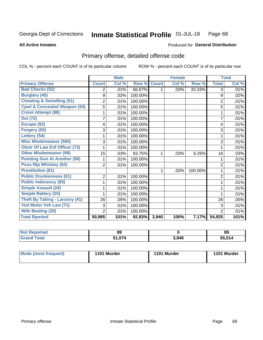### Inmate Statistical Profile 01-JUL-18 Page 68

**All Active Inmates** 

## **Produced for General Distribution**

# Primary offense, detailed offense code

COL % - percent each COUNT is of its particular column

|                                         |                | <b>Male</b> |         |              | <b>Female</b> |         |                | <b>Total</b> |
|-----------------------------------------|----------------|-------------|---------|--------------|---------------|---------|----------------|--------------|
| <b>Primary Offense</b>                  | <b>Count</b>   | Col %       | Row %   | <b>Count</b> | Col %         | Row %   | <b>Total</b>   | Col %        |
| <b>Bad Checks (52)</b>                  | $\overline{2}$ | .01%        | 66.67%  | 1.           | .03%          | 33.33%  | 3              | .01%         |
| <b>Burglary (45)</b>                    | 9              | .02%        | 100.00% |              |               |         | 9              | .02%         |
| <b>Cheating &amp; Swindling (51)</b>    | $\overline{c}$ | .01%        | 100.00% |              |               |         | $\overline{2}$ | .01%         |
| <b>Cpwl &amp; Concealed Weapon (93)</b> | 5              | .01%        | 100.00% |              |               |         | 5              | .01%         |
| <b>Crmnl Attempt (98)</b>               |                | .01%        | 100.00% |              |               |         |                | .01%         |
| <b>Dui (72)</b>                         | 7              | .01%        | 100.00% |              |               |         | $\overline{7}$ | .01%         |
| Escape (92)                             | 4              | .01%        | 100.00% |              |               |         | 4              | .01%         |
| Forgery (55)                            | 3              | .01%        | 100.00% |              |               |         | 3              | .01%         |
| Lottery (54)                            |                | .01%        | 100.00% |              |               |         |                | .01%         |
| <b>Misc Misdemeanor (500)</b>           | 3              | .01%        | 100.00% |              |               |         | 3              | .01%         |
| <b>Obstr Of Law Enf Officer (73)</b>    |                | .01%        | 100.00% |              |               |         |                | .01%         |
| <b>Other Misdemeanor (99)</b>           | 15             | .03%        | 93.75%  | 1            | .03%          | 6.25%   | 16             | .03%         |
| <b>Pointing Gun At Another (96)</b>     |                | .01%        | 100.00% |              |               |         |                | .01%         |
| <b>Poss Ntp Whiskey (64)</b>            | $\overline{2}$ | .01%        | 100.00% |              |               |         | $\overline{2}$ | .01%         |
| <b>Prostitution (81)</b>                |                |             |         | 1            | .03%          | 100.00% | 1              | .01%         |
| <b>Public Drunkenness (61)</b>          | $\overline{2}$ | .01%        | 100.00% |              |               |         | $\overline{2}$ | .01%         |
| <b>Public Indecency (83)</b>            |                | .01%        | 100.00% |              |               |         |                | .01%         |
| Simple Assault (24)                     |                | .01%        | 100.00% |              |               |         | 1              | .01%         |
| <b>Simple Battery (25)</b>              |                | .01%        | 100.00% |              |               |         |                | .01%         |
| <b>Theft By Taking - Larceny (41)</b>   | 26             | .05%        | 100.00% |              |               |         | 26             | .05%         |
| Viol Motor Veh Law (71)                 | 3              | .01%        | 100.00% |              |               |         | 3              | .01%         |
| <b>Wife Beating (28)</b>                | $\overline{2}$ | .01%        | 100.00% |              |               |         | $\overline{2}$ | .01%         |
| <b>Total Rported</b>                    | 50,985         | 101%        | 92.83%  | 3,940        | 100%          | 7.17%   | 54,925         | 101%         |

| 'ted | 89          |       | 89      |
|------|-------------|-------|---------|
|      | 074<br>E 4. | 3,940 | EE N4 A |

| Mode (most frequent) | 1101 Murder | 1101 Murder | 1101 Murder |
|----------------------|-------------|-------------|-------------|
|                      |             |             |             |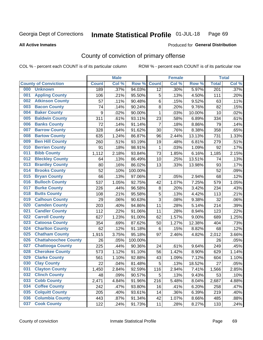### Inmate Statistical Profile 01-JUL-18 Page 69

### **All Active Inmates**

## Produced for General Distribution

# County of conviction of primary offense

COL % - percent each COUNT is of its particular column

|     |                             |              | <b>Male</b> |         |                 | <b>Female</b> |        |                  | <b>Total</b> |
|-----|-----------------------------|--------------|-------------|---------|-----------------|---------------|--------|------------------|--------------|
|     | <b>County of Conviction</b> | <b>Count</b> | Col %       | Row %   | <b>Count</b>    | Col %         | Row %  | <b>Total</b>     | Col %        |
| 000 | <b>Unknown</b>              | 189          | .37%        | 94.03%  | $\overline{12}$ | .30%          | 5.97%  | $\overline{201}$ | .37%         |
| 001 | <b>Appling County</b>       | 106          | .21%        | 95.50%  | 5               | .13%          | 4.50%  | 111              | .20%         |
| 002 | <b>Atkinson County</b>      | 57           | .11%        | 90.48%  | 6               | .15%          | 9.52%  | 63               | .11%         |
| 003 | <b>Bacon County</b>         | 74           | .14%        | 90.24%  | 8               | .20%          | 9.76%  | 82               | .15%         |
| 004 | <b>Baker County</b>         | 9            | .02%        | 90.00%  | $\mathbf{1}$    | .03%          | 10.00% | 10               | .02%         |
| 005 | <b>Baldwin County</b>       | 311          | .61%        | 93.11%  | 23              | .58%          | 6.89%  | 334              | .61%         |
| 006 | <b>Banks County</b>         | 72           | .14%        | 91.14%  | $\overline{7}$  | .18%          | 8.86%  | 79               | .14%         |
| 007 | <b>Barrow County</b>        | 328          | .64%        | 91.62%  | 30              | .76%          | 8.38%  | 358              | .65%         |
| 008 | <b>Bartow County</b>        | 635          | 1.24%       | 86.87%  | 96              | 2.44%         | 13.13% | 731              | 1.33%        |
| 009 | <b>Ben Hill County</b>      | 260          | .51%        | 93.19%  | 19              | .48%          | 6.81%  | 279              | .51%         |
| 010 | <b>Berrien County</b>       | 91           | .18%        | 98.91%  | 1               | .03%          | 1.09%  | 92               | .17%         |
| 011 | <b>Bibb County</b>          | 1,112        | 2.18%       | 93.84%  | 73              | 1.85%         | 6.16%  | 1,185            | 2.15%        |
| 012 | <b>Bleckley County</b>      | 64           | .13%        | 86.49%  | 10              | .25%          | 13.51% | 74               | .13%         |
| 013 | <b>Brantley County</b>      | 80           | .16%        | 86.02%  | 13              | .33%          | 13.98% | 93               | .17%         |
| 014 | <b>Brooks County</b>        | 52           | .10%        | 100.00% |                 |               |        | 52               | .09%         |
| 015 | <b>Bryan County</b>         | 66           | .13%        | 97.06%  | $\overline{2}$  | .05%          | 2.94%  | 68               | .12%         |
| 016 | <b>Bulloch County</b>       | 537          | 1.05%       | 92.75%  | 42              | 1.07%         | 7.25%  | 579              | 1.05%        |
| 017 | <b>Burke County</b>         | 226          | .44%        | 96.58%  | 8               | .20%          | 3.42%  | 234              | .43%         |
| 018 | <b>Butts County</b>         | 108          | .21%        | 95.58%  | 5               | .13%          | 4.42%  | 113              | .21%         |
| 019 | <b>Calhoun County</b>       | 29           | .06%        | 90.63%  | 3               | .08%          | 9.38%  | 32               | .06%         |
| 020 | <b>Camden County</b>        | 203          | .40%        | 94.86%  | 11              | .28%          | 5.14%  | 214              | .39%         |
| 021 | <b>Candler County</b>       | 112          | .22%        | 91.06%  | 11              | .28%          | 8.94%  | 123              | .22%         |
| 022 | <b>Carroll County</b>       | 627          | 1.23%       | 91.00%  | 62              | 1.57%         | 9.00%  | 689              | 1.25%        |
| 023 | <b>Catoosa County</b>       | 354          | .69%        | 87.62%  | 50              | 1.27%         | 12.38% | 404              | .73%         |
| 024 | <b>Charlton County</b>      | 62           | .12%        | 91.18%  | 6               | .15%          | 8.82%  | 68               | .12%         |
| 025 | <b>Chatham County</b>       | 1,915        | 3.75%       | 95.18%  | 97              | 2.46%         | 4.82%  | 2,012            | 3.66%        |
| 026 | <b>Chattahoochee County</b> | 26           | .05%        | 100.00% |                 |               |        | 26               | .05%         |
| 027 | <b>Chattooga County</b>     | 225          | .44%        | 90.36%  | 24              | .61%          | 9.64%  | 249              | .45%         |
| 028 | <b>Cherokee County</b>      | 573          | 1.12%       | 91.10%  | 56              | 1.42%         | 8.90%  | 629              | 1.14%        |
| 029 | <b>Clarke County</b>        | 561          | 1.10%       | 92.88%  | 43              | 1.09%         | 7.12%  | 604              | 1.10%        |
| 030 | <b>Clay County</b>          | 22           | .04%        | 81.48%  | 5               | .13%          | 18.52% | 27               | .05%         |
| 031 | <b>Clayton County</b>       | 1,450        | 2.84%       | 92.59%  | 116             | 2.94%         | 7.41%  | 1,566            | 2.85%        |
| 032 | <b>Clinch County</b>        | 48           | .09%        | 90.57%  | 5               | .13%          | 9.43%  | 53               | .10%         |
| 033 | <b>Cobb County</b>          | 2,471        | 4.84%       | 91.96%  | 216             | 5.48%         | 8.04%  | 2,687            | 4.88%        |
| 034 | <b>Coffee County</b>        | 242          | .47%        | 93.80%  | 16              | .41%          | 6.20%  | 258              | .47%         |
| 035 | <b>Colquitt County</b>      | 205          | .40%        | 93.61%  | 14              | .36%          | 6.39%  | 219              | .40%         |
| 036 | <b>Columbia County</b>      | 443          | .87%        | 91.34%  | 42              | 1.07%         | 8.66%  | 485              | .88%         |
| 037 | <b>Cook County</b>          | 122          | .24%        | 91.73%  | 11              | .28%          | 8.27%  | 133              | .24%         |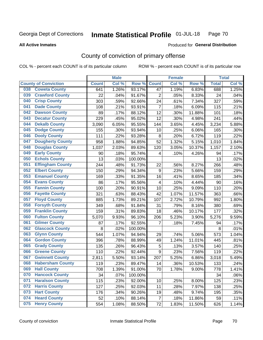### Inmate Statistical Profile 01-JUL-18 Page 70

**All Active Inmates** 

### Produced for General Distribution

# County of conviction of primary offense

COL % - percent each COUNT is of its particular column

|                                |              | <b>Male</b> |         |                | <b>Female</b> |        |              | <b>Total</b> |
|--------------------------------|--------------|-------------|---------|----------------|---------------|--------|--------------|--------------|
| <b>County of Conviction</b>    | <b>Count</b> | Col %       | Row %   | <b>Count</b>   | Col %         | Row %  | <b>Total</b> | Col %        |
| <b>Coweta County</b><br>038    | 641          | 1.26%       | 93.17%  | 47             | 1.19%         | 6.83%  | 688          | 1.25%        |
| <b>Crawford County</b><br>039  | 22           | .04%        | 91.67%  | $\overline{2}$ | .05%          | 8.33%  | 24           | .04%         |
| <b>Crisp County</b><br>040     | 303          | .59%        | 92.66%  | 24             | .61%          | 7.34%  | 327          | .59%         |
| <b>Dade County</b><br>041      | 108          | .21%        | 93.91%  | $\overline{7}$ | .18%          | 6.09%  | 115          | .21%         |
| <b>Dawson County</b><br>042    | 89           | .17%        | 88.12%  | 12             | .30%          | 11.88% | 101          | .18%         |
| 043<br><b>Decatur County</b>   | 229          | .45%        | 95.02%  | 12             | .30%          | 4.98%  | 241          | .44%         |
| <b>Dekalb County</b><br>044    | 3,090        | 6.05%       | 95.55%  | 144            | 3.65%         | 4.45%  | 3,234        | 5.88%        |
| <b>Dodge County</b><br>045     | 155          | .30%        | 93.94%  | 10             | .25%          | 6.06%  | 165          | .30%         |
| <b>Dooly County</b><br>046     | 111          | .22%        | 93.28%  | 8              | .20%          | 6.72%  | 119          | .22%         |
| <b>Dougherty County</b><br>047 | 958          | 1.88%       | 94.85%  | 52             | 1.32%         | 5.15%  | 1,010        | 1.84%        |
| <b>Douglas County</b><br>048   | 1,037        | 2.03%       | 89.63%  | 120            | 3.05%         | 10.37% | 1,157        | 2.10%        |
| <b>Early County</b><br>049     | 90           | .18%        | 95.74%  | 4              | .10%          | 4.26%  | 94           | .17%         |
| <b>Echols County</b><br>050    | 13           | .03%        | 100.00% |                |               |        | 13           | .02%         |
| <b>Effingham County</b><br>051 | 244          | .48%        | 91.73%  | 22             | .56%          | 8.27%  | 266          | .48%         |
| <b>Elbert County</b><br>052    | 150          | .29%        | 94.34%  | 9              | .23%          | 5.66%  | 159          | .29%         |
| <b>Emanuel County</b><br>053   | 169          | .33%        | 91.35%  | 16             | .41%          | 8.65%  | 185          | .34%         |
| <b>Evans County</b><br>054     | 86           | .17%        | 95.56%  | $\overline{4}$ | .10%          | 4.44%  | 90           | .16%         |
| <b>Fannin County</b><br>055    | 100          | .20%        | 90.91%  | 10             | .25%          | 9.09%  | 110          | .20%         |
| <b>Fayette County</b><br>056   | 321          | .63%        | 88.43%  | 42             | 1.07%         | 11.57% | 363          | .66%         |
| <b>Floyd County</b><br>057     | 885          | 1.73%       | 89.21%  | 107            | 2.72%         | 10.79% | 992          | 1.80%        |
| <b>Forsyth County</b><br>058   | 349          | .68%        | 91.84%  | 31             | .79%          | 8.16%  | 380          | .69%         |
| <b>Franklin County</b><br>059  | 159          | .31%        | 89.83%  | 18             | .46%          | 10.17% | 177          | .32%         |
| <b>Fulton County</b><br>060    | 5,070        | 9.93%       | 96.10%  | 206            | 5.23%         | 3.90%  | 5,276        | 9.59%        |
| <b>Gilmer County</b><br>061    | 87           | .17%        | 92.55%  | 7              | .18%          | 7.45%  | 94           | .17%         |
| <b>Glascock County</b><br>062  | 8            | .02%        | 100.00% |                |               |        | 8            | .01%         |
| 063<br><b>Glynn County</b>     | 544          | 1.07%       | 94.94%  | 29             | .74%          | 5.06%  | 573          | 1.04%        |
| <b>Gordon County</b><br>064    | 396          | .78%        | 88.99%  | 49             | 1.24%         | 11.01% | 445          | .81%         |
| 065<br><b>Grady County</b>     | 135          | .26%        | 96.43%  | 5              | .13%          | 3.57%  | 140          | .25%         |
| <b>Greene County</b><br>066    | 110          | .22%        | 92.44%  | 9              | .23%          | 7.56%  | 119          | .22%         |
| <b>Gwinnett County</b><br>067  | 2,811        | 5.50%       | 93.14%  | 207            | 5.25%         | 6.86%  | 3,018        | 5.49%        |
| <b>Habersham County</b><br>068 | 119          | .23%        | 89.47%  | 14             | .36%          | 10.53% | 133          | .24%         |
| 069<br><b>Hall County</b>      | 708          | 1.39%       | 91.00%  | 70             | 1.78%         | 9.00%  | 778          | 1.41%        |
| <b>Hancock County</b><br>070   | 34           | .07%        | 100.00% |                |               |        | 34           | .06%         |
| <b>Haralson County</b><br>071  | 115          | .23%        | 92.00%  | 10             | .25%          | 8.00%  | 125          | .23%         |
| <b>Harris County</b><br>072    | 127          | .25%        | 92.03%  | 11             | .28%          | 7.97%  | 138          | .25%         |
| <b>Hart County</b><br>073      | 176          | .34%        | 90.26%  | 19             | .48%          | 9.74%  | 195          | .35%         |
| <b>Heard County</b><br>074     | 52           | .10%        | 88.14%  | $\overline{7}$ | .18%          | 11.86% | 59           | .11%         |
| <b>Henry County</b><br>075     | 554          | 1.08%       | 88.50%  | 72             | 1.83%         | 11.50% | 626          | 1.14%        |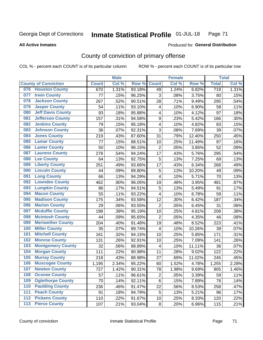### Inmate Statistical Profile 01-JUL-18 Page 71

### **All Active Inmates**

## Produced for General Distribution

# County of conviction of primary offense

COL % - percent each COUNT is of its particular column

|     |                             |              | <b>Male</b> |        |                         | <b>Female</b> |        |                  | <b>Total</b> |
|-----|-----------------------------|--------------|-------------|--------|-------------------------|---------------|--------|------------------|--------------|
|     | <b>County of Conviction</b> | <b>Count</b> | Col %       | Row %  | <b>Count</b>            | Col %         | Row %  | <b>Total</b>     | Col %        |
| 076 | <b>Houston County</b>       | 670          | 1.31%       | 93.18% | 49                      | 1.24%         | 6.82%  | $\overline{719}$ | 1.31%        |
| 077 | <b>Irwin County</b>         | 77           | .15%        | 96.25% | 3                       | .08%          | 3.75%  | 80               | .15%         |
| 078 | <b>Jackson County</b>       | 267          | .52%        | 90.51% | 28                      | .71%          | 9.49%  | 295              | .54%         |
| 079 | <b>Jasper County</b>        | 54           | .11%        | 93.10% | $\overline{\mathbf{4}}$ | .10%          | 6.90%  | 58               | .11%         |
| 080 | <b>Jeff Davis County</b>    | 93           | .18%        | 95.88% | 4                       | .10%          | 4.12%  | 97               | .18%         |
| 081 | <b>Jefferson County</b>     | 157          | .31%        | 94.58% | 9                       | .23%          | 5.42%  | 166              | .30%         |
| 082 | <b>Jenkins County</b>       | 79           | .15%        | 95.18% | 4                       | .10%          | 4.82%  | 83               | .15%         |
| 083 | <b>Johnson County</b>       | 36           | .07%        | 92.31% | 3                       | .08%          | 7.69%  | 39               | .07%         |
| 084 | <b>Jones County</b>         | 219          | .43%        | 87.60% | 31                      | .79%          | 12.40% | 250              | .45%         |
| 085 | <b>Lamar County</b>         | 77           | .15%        | 88.51% | 10                      | .25%          | 11.49% | 87               | .16%         |
| 086 | <b>Lanier County</b>        | 50           | .10%        | 96.15% | $\overline{2}$          | .05%          | 3.85%  | 52               | .09%         |
| 087 | <b>Laurens County</b>       | 278          | .54%        | 94.24% | 17                      | .43%          | 5.76%  | 295              | .54%         |
| 088 | <b>Lee County</b>           | 64           | .13%        | 92.75% | 5                       | .13%          | 7.25%  | 69               | .13%         |
| 089 | <b>Liberty County</b>       | 251          | .49%        | 93.66% | 17                      | .43%          | 6.34%  | 268              | .49%         |
| 090 | <b>Lincoln County</b>       | 44           | .09%        | 89.80% | 5                       | .13%          | 10.20% | 49               | .09%         |
| 091 | <b>Long County</b>          | 66           | .13%        | 94.29% | 4                       | .10%          | 5.71%  | 70               | .13%         |
| 092 | <b>Lowndes County</b>       | 462          | .90%        | 96.05% | 19                      | .48%          | 3.95%  | 481              | .87%         |
| 093 | <b>Lumpkin County</b>       | 86           | .17%        | 94.51% | 5                       | .13%          | 5.49%  | 91               | .17%         |
| 094 | <b>Macon County</b>         | 55           | .11%        | 93.22% | 4                       | .10%          | 6.78%  | 59               | .11%         |
| 095 | <b>Madison County</b>       | 175          | .34%        | 93.58% | 12                      | .30%          | 6.42%  | 187              | .34%         |
| 096 | <b>Marion County</b>        | 29           | .06%        | 93.55% | $\overline{2}$          | .05%          | 6.45%  | 31               | .06%         |
| 097 | <b>Mcduffie County</b>      | 198          | .39%        | 95.19% | 10                      | .25%          | 4.81%  | 208              | .38%         |
| 098 | <b>Mcintosh County</b>      | 44           | .09%        | 95.65% | $\overline{2}$          | .05%          | 4.35%  | 46               | .08%         |
| 099 | <b>Meriwether County</b>    | 204          | .40%        | 91.48% | 19                      | .48%          | 8.52%  | 223              | .41%         |
| 100 | <b>Miller County</b>        | 35           | .07%        | 89.74% | 4                       | .10%          | 10.26% | 39               | .07%         |
| 101 | <b>Mitchell County</b>      | 161          | .32%        | 94.15% | 10                      | .25%          | 5.85%  | 171              | .31%         |
| 102 | <b>Monroe County</b>        | 131          | .26%        | 92.91% | 10                      | .25%          | 7.09%  | 141              | .26%         |
| 103 | <b>Montgomery County</b>    | 32           | .06%        | 88.89% | $\overline{\mathbf{4}}$ | .10%          | 11.11% | 36               | .07%         |
| 104 | <b>Morgan County</b>        | 111          | .22%        | 90.98% | 11                      | .28%          | 9.02%  | 122              | .22%         |
| 105 | <b>Murray County</b>        | 218          | .43%        | 88.98% | 27                      | .69%          | 11.02% | 245              | .45%         |
| 106 | <b>Muscogee County</b>      | 1,195        | 2.34%       | 95.22% | 60                      | 1.52%         | 4.78%  | 1,255            | 2.28%        |
| 107 | <b>Newton County</b>        | 727          | 1.42%       | 90.31% | 78                      | 1.98%         | 9.69%  | 805              | 1.46%        |
| 108 | <b>Oconee County</b>        | 57           | .11%        | 96.61% | $\overline{2}$          | .05%          | 3.39%  | 59               | .11%         |
| 109 | <b>Oglethorpe County</b>    | 70           | .14%        | 92.11% | 6                       | .15%          | 7.89%  | 76               | .14%         |
| 110 | <b>Paulding County</b>      | 236          | .46%        | 91.47% | 22                      | .56%          | 8.53%  | 258              | .47%         |
| 111 | <b>Peach County</b>         | 91           | .18%        | 94.79% | 5                       | .13%          | 5.21%  | 96               | .17%         |
| 112 | <b>Pickens County</b>       | 110          | .22%        | 91.67% | 10                      | .25%          | 8.33%  | 120              | .22%         |
| 113 | <b>Pierce County</b>        | 107          | .21%        | 93.04% | 8                       | .20%          | 6.96%  | 115              | .21%         |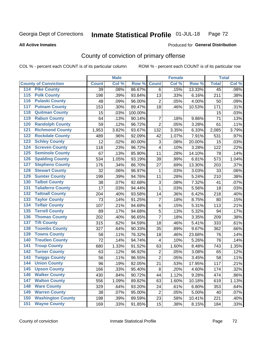### Inmate Statistical Profile 01-JUL-18 Page 72

**All Active Inmates** 

### Produced for General Distribution

# County of conviction of primary offense

COL % - percent each COUNT is of its particular column

|                                          |                 | <b>Male</b> |         |                | <b>Female</b> |        |                 | <b>Total</b> |
|------------------------------------------|-----------------|-------------|---------|----------------|---------------|--------|-----------------|--------------|
| <b>County of Conviction</b>              | <b>Count</b>    | Col %       | Row %   | <b>Count</b>   | Col %         | Row %  | <b>Total</b>    | Col %        |
| <b>Pike County</b><br>114                | $\overline{39}$ | .08%        | 86.67%  | 6              | .15%          | 13.33% | $\overline{45}$ | .08%         |
| <b>Polk County</b><br>$\overline{115}$   | 198             | .39%        | 93.84%  | 13             | .33%          | 6.16%  | 211             | .38%         |
| <b>Pulaski County</b><br>116             | 48              | .09%        | 96.00%  | $\overline{2}$ | .05%          | 4.00%  | 50              | .09%         |
| <b>Putnam County</b><br>117              | 153             | .30%        | 89.47%  | 18             | .46%          | 10.53% | 171             | .31%         |
| <b>Quitman County</b><br>118             | 15              | .03%        | 100.00% |                |               |        | 15              | .03%         |
| <b>Rabun County</b><br>119               | 64              | .13%        | 90.14%  | $\overline{7}$ | .18%          | 9.86%  | 71              | .13%         |
| <b>Randolph County</b><br>120            | 59              | .12%        | 96.72%  | $\overline{2}$ | .05%          | 3.28%  | 61              | .11%         |
| <b>Richmond County</b><br>121            | 1,953           | 3.82%       | 93.67%  | 132            | 3.35%         | 6.33%  | 2,085           | 3.79%        |
| <b>Rockdale County</b><br>122            | 489             | .96%        | 92.09%  | 42             | 1.07%         | 7.91%  | 531             | .97%         |
| <b>Schley County</b><br>123              | 12              | .02%        | 80.00%  | 3              | .08%          | 20.00% | 15              | .03%         |
| <b>Screven County</b><br>124             | 118             | .23%        | 96.72%  | 4              | .10%          | 3.28%  | 122             | .22%         |
| <b>Seminole County</b><br>125            | 67              | .13%        | 85.90%  | 11             | .28%          | 14.10% | 78              | .14%         |
| <b>Spalding County</b><br>126            | 534             | 1.05%       | 93.19%  | 39             | .99%          | 6.81%  | 573             | 1.04%        |
| <b>Stephens County</b><br>127            | 176             | .34%        | 86.70%  | 27             | .69%          | 13.30% | 203             | .37%         |
| <b>Stewart County</b><br>128             | 32              | .06%        | 96.97%  | 1              | .03%          | 3.03%  | 33              | .06%         |
| <b>Sumter County</b><br>129              | 199             | .39%        | 94.76%  | 11             | .28%          | 5.24%  | 210             | .38%         |
| <b>Talbot County</b><br>130              | 38              | .07%        | 92.68%  | 3              | .08%          | 7.32%  | 41              | .07%         |
| <b>Taliaferro County</b><br>131          | 17              | .03%        | 94.44%  | 1              | .03%          | 5.56%  | 18              | .03%         |
| <b>Tattnall County</b><br>132            | 204             | .40%        | 93.58%  | 14             | .36%          | 6.42%  | 218             | .40%         |
| <b>Taylor County</b><br>133              | 73              | .14%        | 91.25%  | 7              | .18%          | 8.75%  | 80              | .15%         |
| <b>Telfair County</b><br>134             | 107             | .21%        | 94.69%  | 6              | .15%          | 5.31%  | 113             | .21%         |
| <b>Terrell County</b><br>135             | 89              | .17%        | 94.68%  | 5              | .13%          | 5.32%  | 94              | .17%         |
| <b>Thomas County</b><br>136              | 202             | .40%        | 96.65%  | $\overline{7}$ | .18%          | 3.35%  | 209             | .38%         |
| <b>Tift County</b><br>137                | 315             | .62%        | 94.59%  | 18             | .46%          | 5.41%  | 333             | .61%         |
| <b>Toombs County</b><br>138              | 327             | .64%        | 90.33%  | 35             | .89%          | 9.67%  | 362             | .66%         |
| <b>Towns County</b><br>139               | 58              | .11%        | 76.32%  | 18             | .46%          | 23.68% | 76              | .14%         |
| <b>Treutlen County</b><br>140            | 72              | .14%        | 94.74%  | 4              | .10%          | 5.26%  | 76              | .14%         |
| <b>Troup County</b><br>141               | 680             | 1.33%       | 91.52%  | 63             | 1.60%         | 8.48%  | 743             | 1.35%        |
| <b>Turner County</b><br>142              | 63              | .12%        | 96.92%  | $\overline{2}$ | .05%          | 3.08%  | 65              | .12%         |
| <b>Twiggs County</b><br>$\overline{143}$ | 56              | .11%        | 96.55%  | $\overline{2}$ | .05%          | 3.45%  | 58              | .11%         |
| <b>Union County</b><br>144               | 96              | .19%        | 82.05%  | 21             | .53%          | 17.95% | 117             | .21%         |
| 145<br><b>Upson County</b>               | 166             | .33%        | 95.40%  | 8              | .20%          | 4.60%  | 174             | .32%         |
| <b>Walker County</b><br>146              | 430             | .84%        | 90.72%  | 44             | 1.12%         | 9.28%  | 474             | .86%         |
| <b>Walton County</b><br>147              | 556             | 1.09%       | 89.82%  | 63             | 1.60%         | 10.18% | 619             | 1.13%        |
| <b>Ware County</b><br>148                | 329             | .64%        | 93.20%  | 24             | .61%          | 6.80%  | 353             | .64%         |
| <b>Warren County</b><br>149              | 38              | .07%        | 95.00%  | $\overline{2}$ | .05%          | 5.00%  | 40              | .07%         |
| <b>Washington County</b><br>150          | 198             | .39%        | 89.59%  | 23             | .58%          | 10.41% | 221             | .40%         |
| <b>Wayne County</b><br>151               | 169             | .33%        | 91.85%  | 15             | .38%          | 8.15%  | 184             | .33%         |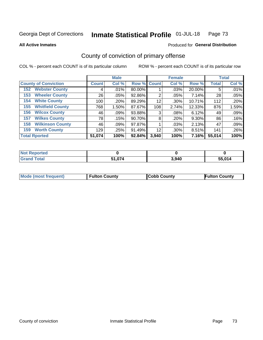### Inmate Statistical Profile 01-JUL-18 Page 73

**All Active Inmates** 

## **Produced for General Distribution**

# County of conviction of primary offense

COL % - percent each COUNT is of its particular column

|                                |              | <b>Male</b> |             |       | <b>Female</b> |          |              | <b>Total</b> |
|--------------------------------|--------------|-------------|-------------|-------|---------------|----------|--------------|--------------|
| <b>County of Conviction</b>    | <b>Count</b> | Col %       | Row % Count |       | Col %         | Row %    | <b>Total</b> | Col %        |
| <b>Webster County</b><br>152   | 4            | .01%        | 80.00%      |       | .03%          | 20.00%   | 5            | .01%         |
| <b>Wheeler County</b><br>153   | 26           | .05%        | 92.86%      | 2     | .05%          | 7.14%    | 28           | .05%         |
| <b>White County</b><br>154     | 100          | .20%        | 89.29%      | 12    | .30%          | 10.71%   | 112          | .20%         |
| <b>Whitfield County</b><br>155 | 768          | 1.50%       | 87.67%      | 108   | 2.74%         | 12.33%   | 876          | 1.59%        |
| <b>Wilcox County</b><br>156    | 46           | $.09\%$     | 93.88%      | 3     | .08%          | 6.12%    | 49'          | .09%         |
| <b>Wilkes County</b><br>157    | 78           | .15%        | 90.70%      | 8     | .20%          | $9.30\%$ | 86           | .16%         |
| <b>Wilkinson County</b><br>158 | 46           | .09%        | 97.87%      |       | .03%          | 2.13%    | 47           | .09%         |
| <b>Worth County</b><br>159     | 129          | .25%        | 91.49%      | 12    | .30%          | 8.51%    | 141          | .26%         |
| <b>Total Rported</b>           | 51,074       | 100%        | 92.84%      | 3,940 | 100%          | 7.16%    | 55,014       | 100%         |

| <b>Not Reported</b> |        |       |        |
|---------------------|--------|-------|--------|
| <b>Grand Total</b>  | 1,074ذ | 3,940 | 55.014 |

| Mode (most frequent) | <b>Fulton County</b> | <b>Cobb County</b> | <b>Fulton County</b> |
|----------------------|----------------------|--------------------|----------------------|
|                      |                      |                    |                      |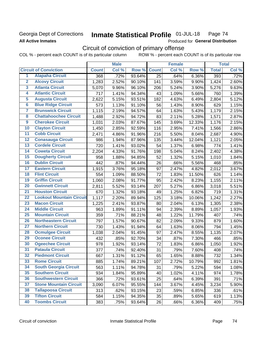## Georgia Dept of Corrections **All Active Inmates**

### Inmate Statistical Profile 01-JUL-18 Page 74

Produced for General Distribution

# Circuit of conviction of primary offense

COL % - percent each COUNT is of its particular column ROW % - percent each COUNT is of its particular row

|                         |                                 |              | <b>Male</b> |        |              | <b>Female</b> |        |              | <b>Total</b> |
|-------------------------|---------------------------------|--------------|-------------|--------|--------------|---------------|--------|--------------|--------------|
|                         | <b>Circuit of Conviction</b>    | <b>Count</b> | Col %       | Row %  | <b>Count</b> | Col %         | Row %  | <b>Total</b> | Col %        |
| 1                       | <b>Alapaha Circuit</b>          | 368          | .72%        | 93.64% | 25           | .64%          | 6.36%  | 393          | .72%         |
| $\overline{2}$          | <b>Alcovy Circuit</b>           | 1,283        | 2.52%       | 90.10% | 141          | 3.59%         | 9.90%  | 1,424        | 2.60%        |
| $\overline{\mathbf{3}}$ | <b>Atlanta Circuit</b>          | 5,070        | 9.96%       | 96.10% | 206          | 5.24%         | 3.90%  | 5,276        | 9.63%        |
| 4                       | <b>Atlantic Circuit</b>         | 717          | 1.41%       | 94.34% | 43           | 1.09%         | 5.66%  | 760          | 1.39%        |
| $\overline{5}$          | <b>Augusta Circuit</b>          | 2,622        | 5.15%       | 93.51% | 182          | 4.63%         | 6.49%  | 2,804        | 5.12%        |
| $\overline{\bf{6}}$     | <b>Blue Ridge Circuit</b>       | 573          | 1.13%       | 91.10% | 56           | 1.43%         | 8.90%  | 629          | 1.15%        |
| 7                       | <b>Brunswick Circuit</b>        | 1,115        | 2.19%       | 94.57% | 64           | 1.63%         | 5.43%  | 1,179        | 2.15%        |
| $\overline{\mathbf{8}}$ | <b>Chattahoochee Circuit</b>    | 1,488        | 2.92%       | 94.72% | 83           | 2.11%         | 5.28%  | 1,571        | 2.87%        |
| $\overline{9}$          | <b>Cherokee Circuit</b>         | 1,031        | 2.03%       | 87.67% | 145          | 3.69%         | 12.33% | 1,176        | 2.15%        |
| 10                      | <b>Clayton Circuit</b>          | 1,450        | 2.85%       | 92.59% | 116          | 2.95%         | 7.41%  | 1,566        | 2.86%        |
| $\overline{11}$         | <b>Cobb Circuit</b>             | 2,471        | 4.86%       | 91.96% | 216          | 5.50%         | 8.04%  | 2,687        | 4.90%        |
| $\overline{12}$         | <b>Conasauga Circuit</b>        | 986          | 1.94%       | 87.96% | 135          | 3.44%         | 12.04% | 1,121        | 2.05%        |
| 13                      | <b>Cordele Circuit</b>          | 720          | 1.41%       | 93.02% | 54           | 1.37%         | 6.98%  | 774          | 1.41%        |
| $\overline{14}$         | <b>Coweta Circuit</b>           | 2,204        | 4.33%       | 91.76% | 198          | 5.04%         | 8.24%  | 2,402        | 4.38%        |
| 15                      | <b>Dougherty Circuit</b>        | 958          | 1.88%       | 94.85% | 52           | 1.32%         | 5.15%  | 1,010        | 1.84%        |
| 16                      | <b>Dublin Circuit</b>           | 442          | .87%        | 94.44% | 26           | .66%          | 5.56%  | 468          | .85%         |
| 17                      | <b>Eastern Circuit</b>          | 1,915        | 3.76%       | 95.18% | 97           | 2.47%         | 4.82%  | 2,012        | 3.67%        |
| $\overline{18}$         | <b>Flint Circuit</b>            | 554          | 1.09%       | 88.50% | 72           | 1.83%         | 11.50% | 626          | 1.14%        |
| 19                      | <b>Griffin Circuit</b>          | 1,060        | 2.08%       | 91.77% | 95           | 2.42%         | 8.23%  | 1,155        | 2.11%        |
| 20                      | <b>Gwinnett Circuit</b>         | 2,811        | 5.52%       | 93.14% | 207          | 5.27%         | 6.86%  | 3,018        | 5.51%        |
| $\overline{21}$         | <b>Houston Circuit</b>          | 670          | 1.32%       | 93.18% | 49           | 1.25%         | 6.82%  | 719          | 1.31%        |
| $\overline{22}$         | <b>Lookout Mountain Circuit</b> | 1,117        | 2.20%       | 89.94% | 125          | 3.18%         | 10.06% | 1,242        | 2.27%        |
| 23                      | <b>Macon Circuit</b>            | 1,225        | 2.41%       | 93.87% | 80           | 2.04%         | 6.13%  | 1,305        | 2.38%        |
| $\overline{24}$         | <b>Middle Circuit</b>           | 963          | 1.89%       | 91.11% | 94           | 2.39%         | 8.89%  | 1,057        | 1.93%        |
| $\overline{25}$         | <b>Mountain Circuit</b>         | 359          | .71%        | 88.21% | 48           | 1.22%         | 11.79% | 407          | .74%         |
| 26                      | <b>Northeastern Circuit</b>     | 797          | 1.57%       | 90.67% | 82           | 2.09%         | 9.33%  | 879          | 1.60%        |
| $\overline{27}$         | <b>Northern Circuit</b>         | 730          | 1.43%       | 91.94% | 64           | 1.63%         | 8.06%  | 794          | 1.45%        |
| 28                      | <b>Ocmulgee Circuit</b>         | 1,038        | 2.04%       | 91.45% | 97           | 2.47%         | 8.55%  | 1,135        | 2.07%        |
| 29                      | <b>Oconee Circuit</b>           | 432          | .85%        | 92.70% | 34           | .87%          | 7.30%  | 466          | .85%         |
| 30                      | <b>Ogeechee Circuit</b>         | 978          | 1.92%       | 93.14% | 72           | 1.83%         | 6.86%  | 1,050        | 1.92%        |
| $\overline{31}$         | <b>Pataula Circuit</b>          | 377          | .74%        | 92.40% | 31           | .79%          | 7.60%  | 408          | .74%         |
| 32                      | <b>Piedmont Circuit</b>         | 667          | 1.31%       | 91.12% | 65           | 1.65%         | 8.88%  | 732          | 1.34%        |
| 33                      | <b>Rome Circuit</b>             | 885          | 1.74%       | 89.21% | 107          | 2.72%         | 10.79% | 992          | 1.81%        |
| 34                      | <b>South Georgia Circuit</b>    | 563          | 1.11%       | 94.78% | 31           | .79%          | 5.22%  | 594          | 1.08%        |
| 35                      | <b>Southern Circuit</b>         | 934          | 1.84%       | 95.89% | 40           | 1.02%         | 4.11%  | 974          | 1.78%        |
| 36                      | <b>Southwestern Circuit</b>     | 366          | .72%        | 93.61% | 25           | .64%          | 6.39%  | 391          | .71%         |
| 37                      | <b>Stone Mountain Circuit</b>   | 3,090        | 6.07%       | 95.55% | 144          | 3.67%         | 4.45%  | 3,234        | 5.90%        |
| 38                      | <b>Tallapoosa Circuit</b>       | 313          | .62%        | 93.15% | 23           | .59%          | 6.85%  | 336          | .61%         |
| 39                      | <b>Tifton Circuit</b>           | 584          | 1.15%       | 94.35% | 35           | .89%          | 5.65%  | 619          | 1.13%        |
| 40                      | <b>Toombs Circuit</b>           | 383          | .75%        | 93.64% | 26           | .66%          | 6.36%  | 409          | .75%         |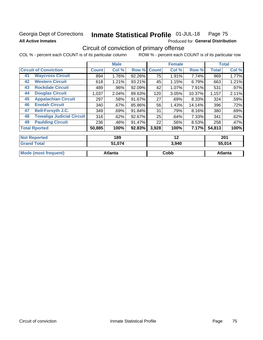# Georgia Dept of Corrections **All Active Inmates**

### Inmate Statistical Profile 01-JUL-18 Page 75

Produced for General Distribution

# Circuit of conviction of primary offense

COL % - percent each COUNT is of its particular column ROW % - percent each COUNT is of its particular row

|    |                                  |              | <b>Male</b> |        |              | <b>Female</b> |        |              | <b>Total</b> |
|----|----------------------------------|--------------|-------------|--------|--------------|---------------|--------|--------------|--------------|
|    | <b>Circuit of Conviction</b>     | <b>Count</b> | Col %       | Row %  | <b>Count</b> | Col %         | Row %  | <b>Total</b> | Col %        |
| 41 | <b>Waycross Circuit</b>          | 894          | 1.76%       | 92.26% | 75           | 1.91%         | 7.74%  | 969          | 1.77%        |
| 42 | <b>Western Circuit</b>           | 618          | 1.21%       | 93.21% | 45           | 1.15%         | 6.79%  | 663          | 1.21%        |
| 43 | <b>Rockdale Circuit</b>          | 489          | .96%        | 92.09% | 42           | 1.07%         | 7.91%  | 531          | .97%         |
| 44 | <b>Douglas Circuit</b>           | 1,037        | 2.04%       | 89.63% | 120          | 3.05%         | 10.37% | 1,157        | 2.11%        |
| 45 | <b>Appalachian Circuit</b>       | 297          | .58%        | 91.67% | 27           | .69%          | 8.33%  | 324          | .59%         |
| 46 | <b>Enotah Circuit</b>            | 340          | .67%        | 85.86% | 56           | 1.43%         | 14.14% | 396          | .72%         |
| 47 | <b>Bell-Forsyth J.C.</b>         | 349          | .69%        | 91.84% | 31           | .79%          | 8.16%  | 380          | .69%         |
| 48 | <b>Towaliga Judicial Circuit</b> | 316          | .62%        | 92.67% | 25           | .64%          | 7.33%  | 341          | .62%         |
| 49 | <b>Paulding Circuit</b>          | 236          | .46%        | 91.47% | 22           | .56%          | 8.53%  | 258          | .47%         |
|    | <b>Total Rported</b>             | 50,885       | 100%        | 92.83% | 3,928        | 100%          | 7.17%  | 54,813       | 100%         |
|    | <b>Not Reported</b>              |              | 189         |        |              | 12            |        |              | 201          |

| 'Grand.<br>Total     | 51,074  | 3,940 | 55,014  |
|----------------------|---------|-------|---------|
| Mode (most frequent) | Atlanta | Cobb  | Atlanta |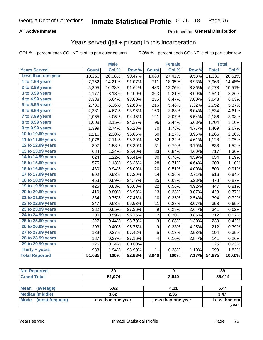### **All Active Inmates**

### Produced for **General Distribution**

## Years served (jail + prison) in this incarceration

|                        |              | <b>Male</b> |         |                  | <b>Female</b> |       |              | <b>Total</b> |
|------------------------|--------------|-------------|---------|------------------|---------------|-------|--------------|--------------|
| <b>Years Served</b>    | <b>Count</b> | Col %       | Row %   | <b>Count</b>     | Col %         | Row % | <b>Total</b> | Col%         |
| Less than one year     | 10,250       | 20.08%      | 90.47%  | 1,080            | 27.41%        | 9.53% | 11,330       | 20.61%       |
| 1 to 1.99 years        | 7,252        | 14.21%      | 91.07%  | 711              | 18.05%        | 8.93% | 7,963        | 14.48%       |
| 2 to 2.99 years        | 5,295        | 10.38%      | 91.64%  | 483              | 12.26%        | 8.36% | 5,778        | 10.51%       |
| 3 to 3.99 years        | 4,177        | 8.18%       | 92.00%  | 363              | 9.21%         | 8.00% | 4,540        | 8.26%        |
| 4 to 4.99 years        | 3,388        | 6.64%       | 93.00%  | 255              | 6.47%         | 7.00% | 3,643        | 6.63%        |
| 5 to 5.99 years        | 2,736        | 5.36%       | 92.68%  | 216              | 5.48%         | 7.32% | 2,952        | 5.37%        |
| 6 to 6.99 years        | 2,381        | 4.67%       | 93.96%  | 153              | 3.88%         | 6.04% | 2,534        | 4.61%        |
| 7 to 7.99 years        | 2,065        | 4.05%       | 94.46%  | 121              | 3.07%         | 5.54% | 2,186        | 3.98%        |
| <b>8 to 8.99 years</b> | 1,608        | 3.15%       | 94.37%  | 96               | 2.44%         | 5.63% | 1,704        | 3.10%        |
| 9 to 9.99 years        | 1,399        | 2.74%       | 95.23%  | 70               | 1.78%         | 4.77% | 1,469        | 2.67%        |
| 10 to 10.99 years      | 1,216        | 2.38%       | 96.05%  | 50               | 1.27%         | 3.95% | 1,266        | 2.30%        |
| 11 to 11.99 years      | 1,076        | 2.11%       | 95.39%  | 52               | 1.32%         | 4.61% | 1,128        | 2.05%        |
| 12 to 12.99 years      | 807          | 1.58%       | 96.30%  | 31               | 0.79%         | 3.70% | 838          | 1.52%        |
| 13 to 13.99 years      | 684          | 1.34%       | 95.40%  | 33               | 0.84%         | 4.60% | 717          | 1.30%        |
| 14 to 14.99 years      | 624          | 1.22%       | 95.41%  | 30               | 0.76%         | 4.59% | 654          | 1.19%        |
| 15 to 15.99 years      | 575          | 1.13%       | 95.36%  | 28               | 0.71%         | 4.64% | 603          | 1.10%        |
| 16 to 16.99 years      | 480          | 0.94%       | 96.00%  | 20               | 0.51%         | 4.00% | 500          | 0.91%        |
| 17 to 17.99 years      | 502          | 0.98%       | 97.29%  | 14               | 0.36%         | 2.71% | 516          | 0.94%        |
| 18 to 18.99 years      | 453          | 0.89%       | 94.77%  | 25               | 0.63%         | 5.23% | 478          | 0.87%        |
| 19 to 19.99 years      | 425          | 0.83%       | 95.08%  | 22               | 0.56%         | 4.92% | 447          | 0.81%        |
| 20 to 20.99 years      | 410          | 0.80%       | 96.93%  | 13               | 0.33%         | 3.07% | 423          | 0.77%        |
| 21 to 21.99 years      | 384          | 0.75%       | 97.46%  | 10               | 0.25%         | 2.54% | 394          | 0.72%        |
| 22 to 22.99 years      | 347          | 0.68%       | 96.93%  | 11               | 0.28%         | 3.07% | 358          | 0.65%        |
| 23 to 23.99 years      | 332          | 0.65%       | 97.36%  | 9                | 0.23%         | 2.64% | 341          | 0.62%        |
| 24 to 24.99 years      | 300          | 0.59%       | 96.15%  | 12               | 0.30%         | 3.85% | 312          | 0.57%        |
| 25 to 25.99 years      | 227          | 0.44%       | 98.70%  | 3                | 0.08%         | 1.30% | 230          | 0.42%        |
| 26 to 26.99 years      | 203          | 0.40%       | 95.75%  | $\boldsymbol{9}$ | 0.23%         | 4.25% | 212          | 0.39%        |
| 27 to 27.99 years      | 189          | 0.37%       | 97.42%  | 5                | 0.13%         | 2.58% | 194          | 0.35%        |
| 28 to 28.99 years      | 137          | 0.27%       | 97.16%  | 4                | 0.10%         | 2.84% | 141          | 0.26%        |
| 29 to 29.99 years      | 125          | 0.24%       | 100.00% |                  |               |       | 125          | 0.23%        |
| Thirty + years         | 988          | 1.94%       | 98.90%  | 11               | 0.28%         | 1.10% | 999          | 1.82%        |
| <b>Total Reported</b>  | 51,035       | 100%        | 92.83%  | 3,940            | 100%          | 7.17% | 54,975       | 100.0%       |

| - IN 6<br>rteo | 39           |       | 39     |
|----------------|--------------|-------|--------|
| int            | E4 874<br>΄Δ | 3,940 | 55,014 |

| Mean<br>(average)    | 6.62               | 4.11               | 6.44          |
|----------------------|--------------------|--------------------|---------------|
| Median (middle)      | 3.62               | 2.35               | 3.47          |
| Mode (most frequent) | Less than one year | Less than one year | Less than one |
|                      |                    |                    | vear          |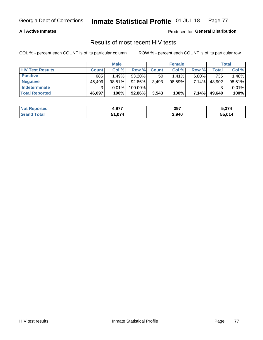#### **All Active Inmates**

Produced for **General Distribution**

## Results of most recent HIV tests

|                         |              | <b>Male</b> |           |              | <b>Female</b> |          |        | Total  |
|-------------------------|--------------|-------------|-----------|--------------|---------------|----------|--------|--------|
| <b>HIV Test Results</b> | <b>Count</b> | Col %       | Row %I    | <b>Count</b> | Col %         | Row %    | Total  | Col %  |
| <b>Positive</b>         | 685          | 1.49%       | $93.20\%$ | 50           | $1.41\%$      | $6.80\%$ | 735    | 1.48%  |
| <b>Negative</b>         | 45,409       | 98.51%      | 92.86%    | 3,493        | $98.59\%$     | 7.14%    | 48,902 | 98.51% |
| Indeterminate           | ົ            | 0.01%       | 100.00%   |              |               |          |        | 0.01%  |
| <b>Total Reported</b>   | 46,097       | 100%        | 92.86%    | 3,543        | 100%          | 7.14%    | 49,640 | 100%   |

| <b>Not Reported</b>  | 4,977  | 397   | <b>F 674</b><br>5,3/4 |
|----------------------|--------|-------|-----------------------|
| <b>Total</b><br>Gran | 51,074 | 3,940 | 55,014                |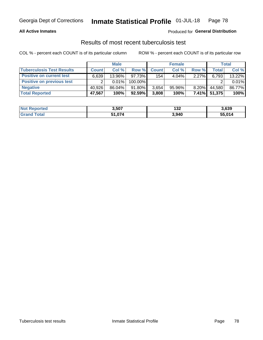### **All Active Inmates**

### Produced for **General Distribution**

### Results of most recent tuberculosis test

|                                  |              | <b>Male</b> |           |              | <b>Female</b> |          |              | Total  |
|----------------------------------|--------------|-------------|-----------|--------------|---------------|----------|--------------|--------|
| <b>Tuberculosis Test Results</b> | <b>Count</b> | Col %       | Row %     | <b>Count</b> | Col %         | Row %    | <b>Total</b> | Col %  |
| <b>Positive on current test</b>  | 6.639        | 13.96%      | 97.73%    | 154          | $4.04\%$      | 2.27%    | 6,793        | 13.22% |
| Positive on previous test        |              | 0.01%       | 100.00%   |              |               |          |              | 0.01%  |
| <b>Negative</b>                  | 40.926       | 86.04%      | 91.80%    | 3.654        | $95.96\%$     | $8.20\%$ | 44.580       | 86.77% |
| <b>Total Reported</b>            | 47,567       | 100%        | $92.59\%$ | 3,808        | 100%          | $7.41\%$ | 51,375       | 100%   |

| <b>Not Reported</b>   | 3,507  | י כי<br>ے د ا | 3,639  |
|-----------------------|--------|---------------|--------|
| <b>c</b> otal<br>Grar | 51,074 | 3,940         | 55,014 |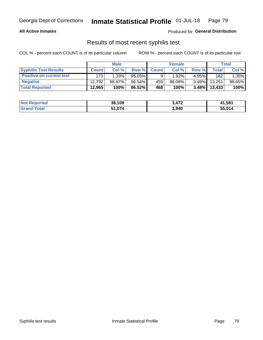### **All Active Inmates**

Produced for **General Distribution**

## Results of most recent syphilis test

|                                 |              | <b>Male</b> |           |              | <b>Female</b> |          |        | Total  |
|---------------------------------|--------------|-------------|-----------|--------------|---------------|----------|--------|--------|
| <b>Syphilis Test Results</b>    | <b>Count</b> | Col%        | Row %I    | <b>Count</b> | Col %         | Row %    | Total  | Col %  |
| <b>Positive on current test</b> | 173          | $1.33\%$    | $95.05\%$ |              | 1.92%         | $4.95\%$ | 182    | 1.35%  |
| <b>Negative</b>                 | 12.792       | $98.67\%$   | 96.54%    | 459          | $98.08\%$     | $3.46\%$ | 13.251 | 98.65% |
| <b>Total Reported</b>           | 12,965       | 100%        | $96.52\%$ | 468          | 100%          | $3.48\%$ | 13,433 | 100%   |

| <b>Not Reported</b> | 38,109 | <b>A72</b> | 41,581 |
|---------------------|--------|------------|--------|
| <b>Grand Total</b>  | 51,074 | 3,940      | 55,014 |